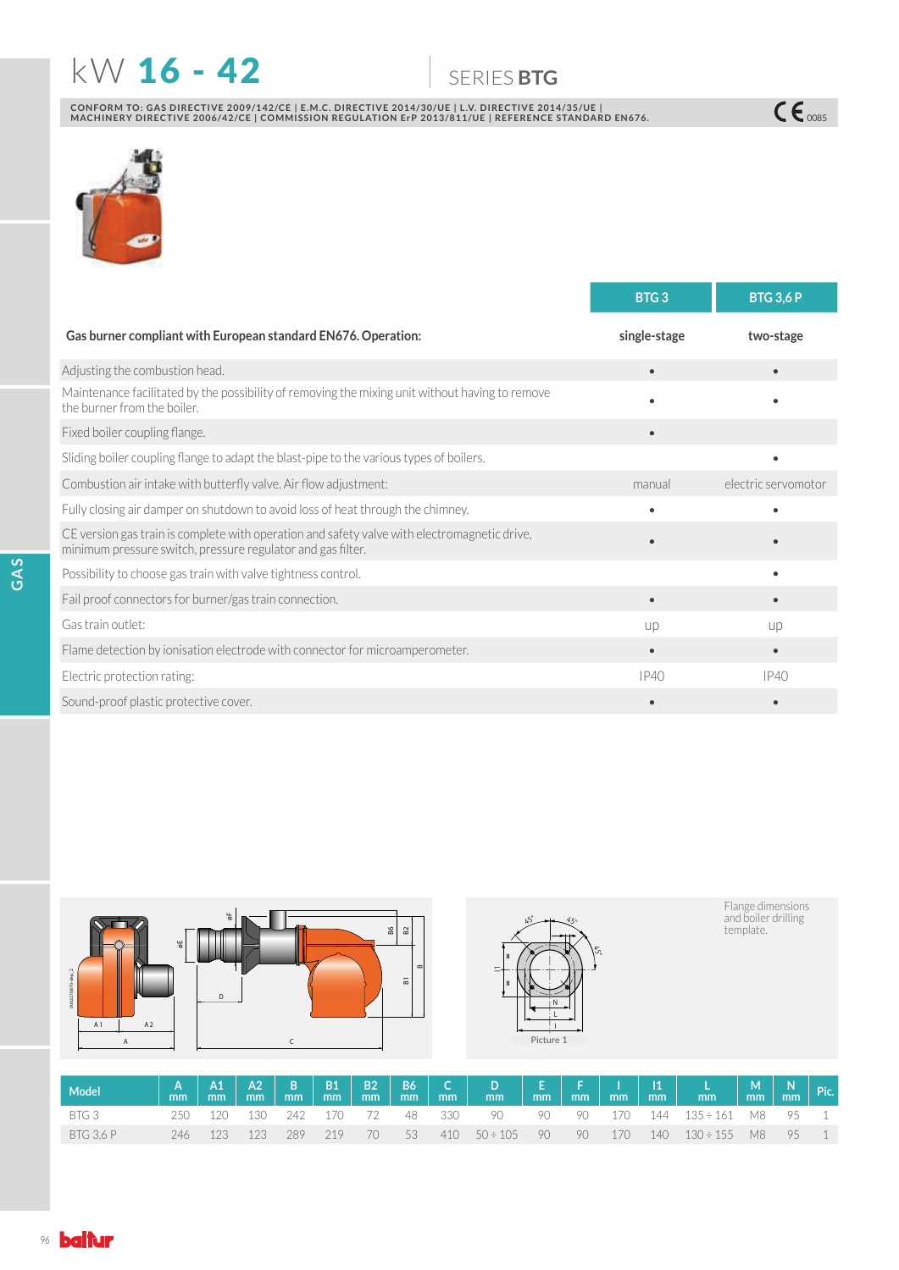# **KW 16 - 42** 6ERIES BTG

CONFORM TO: GAS DIRECTIVE 2009/142/CE | E.M.C. DIRECTIVE 2014/30/UE | L.V. DIRECTIVE 2014/35/UE |<br>MACHINERY DIRECTIVE 2006/42/CE | COMMISSION REGULATION ErP 2013/811/UE | REFERENCE STANDARD EN676.



|                                                                                                                                                             | BTG <sub>3</sub> | <b>BTG 3,6 P</b>    |
|-------------------------------------------------------------------------------------------------------------------------------------------------------------|------------------|---------------------|
| Gas burner compliant with European standard EN676. Operation:                                                                                               | single-stage     | two-stage           |
| Adjusting the combustion head.                                                                                                                              | $\bullet$        |                     |
| Maintenance facilitated by the possibility of removing the mixing unit without having to remove<br>the burner from the boiler.                              |                  |                     |
| Fixed boiler coupling flange.                                                                                                                               | $\bullet$        |                     |
| Sliding boiler coupling flange to adapt the blast-pipe to the various types of boilers.                                                                     |                  |                     |
| Combustion air intake with butterfly valve. Air flow adjustment:                                                                                            | manual           | electric servomotor |
| Fully closing air damper on shutdown to avoid loss of heat through the chimney.                                                                             |                  |                     |
| CE version gas train is complete with operation and safety valve with electromagnetic drive,<br>minimum pressure switch, pressure regulator and gas filter. |                  |                     |
| Possibility to choose gas train with valve tightness control.                                                                                               |                  |                     |
| Fail proof connectors for burner/gas train connection.                                                                                                      |                  |                     |
| Gas train outlet:                                                                                                                                           | up               | up                  |
| Flame detection by ionisation electrode with connector for microamperometer.                                                                                | $\bullet$        | $\bullet$           |
| Electric protection rating:                                                                                                                                 | IP40             | IP40                |
| Sound-proof plastic protective cover.                                                                                                                       |                  |                     |





Flange dimensions<br>and boiler drilling<br>template.

 $C\epsilon_{\text{0085}}$ 

| Model            |  |                        |     |      |  |                         |  |  |                                         |  |  |
|------------------|--|------------------------|-----|------|--|-------------------------|--|--|-----------------------------------------|--|--|
| BTG 3            |  | 250 120 130 242 170 72 |     |      |  |                         |  |  | 48 330 90 90 90 170 144 135÷161 M8 95 1 |  |  |
| <b>BTG 3.6 P</b> |  | 246 123 123 289        | 219 | - 70 |  | $53$ 410 50 ÷ 105 90 90 |  |  | 170 140 130÷155 M8 95 1                 |  |  |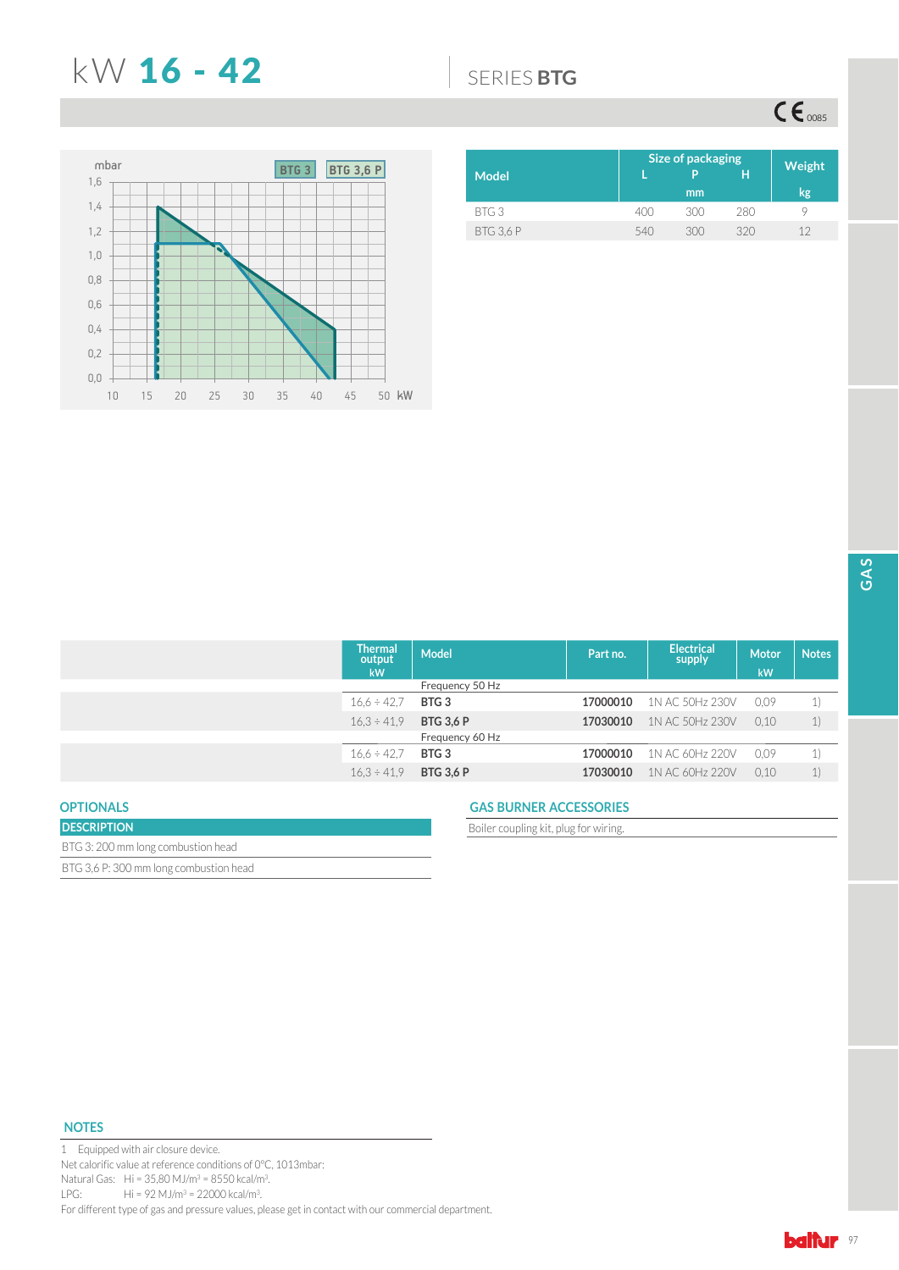## N: 16 - 42 6(5,(6**BTG**

 $CE<sub>0085</sub>$ 



|                  | Size of packaging | Weight |     |    |
|------------------|-------------------|--------|-----|----|
| <b>Model</b>     |                   | Þ      | н   |    |
|                  |                   | mm     |     | kg |
| BTG3             | 400               | 300    | 280 | u  |
| <b>BTG 3.6 P</b> | 540               | 300    | 320 | 12 |

| <b>Thermal</b><br>output<br>kW | <b>Model</b>     | Part no. | <b>Electrical</b><br>supply | <b>Motor</b><br>kW | <b>Notes</b> |
|--------------------------------|------------------|----------|-----------------------------|--------------------|--------------|
|                                | Frequency 50 Hz  |          |                             |                    |              |
| $16.6 \div 42.7$               | BTG <sub>3</sub> | 17000010 | 1N AC 50Hz 230V             | 0.09               | 1)           |
| $16.3 \div 41.9$               | <b>BTG 3,6 P</b> | 17030010 | 1N AC 50Hz 230V             | 0.10               | 1)           |
|                                | Frequency 60 Hz  |          |                             |                    |              |
| $16.6 \div 42.7$               | BTG <sub>3</sub> | 17000010 | 1N AC 60Hz 220V             | 0.09               | 1)           |
| $16.3 \div 41.9$               | <b>BTG 3,6 P</b> | 17030010 | 1N AC 60Hz 220V             | 0.10               | 1)           |
|                                |                  |          |                             |                    |              |

## **OPTIONALS**

| <b>DESCRIPTION</b>                     |  |
|----------------------------------------|--|
| BTG 3: 200 mm long combustion head     |  |
| BTG 3.6 P: 300 mm long combustion head |  |

### **GAS BURNER ACCESSORIES**

Boiler coupling kit, plug for wiring.

## **NOTES**

1 Equipped with air closure device. Net calorific value at reference conditions of 0°C, 1013mbar: Natural Gas:  $Hi = 35,80 M J/m^3 = 8550 kcal/m^3.$ LPG: Hi = 92 MJ/m<sup>3</sup> = 22000 kcal/m<sup>3</sup>. For different type of gas and pressure values, please get in contact with our commercial department.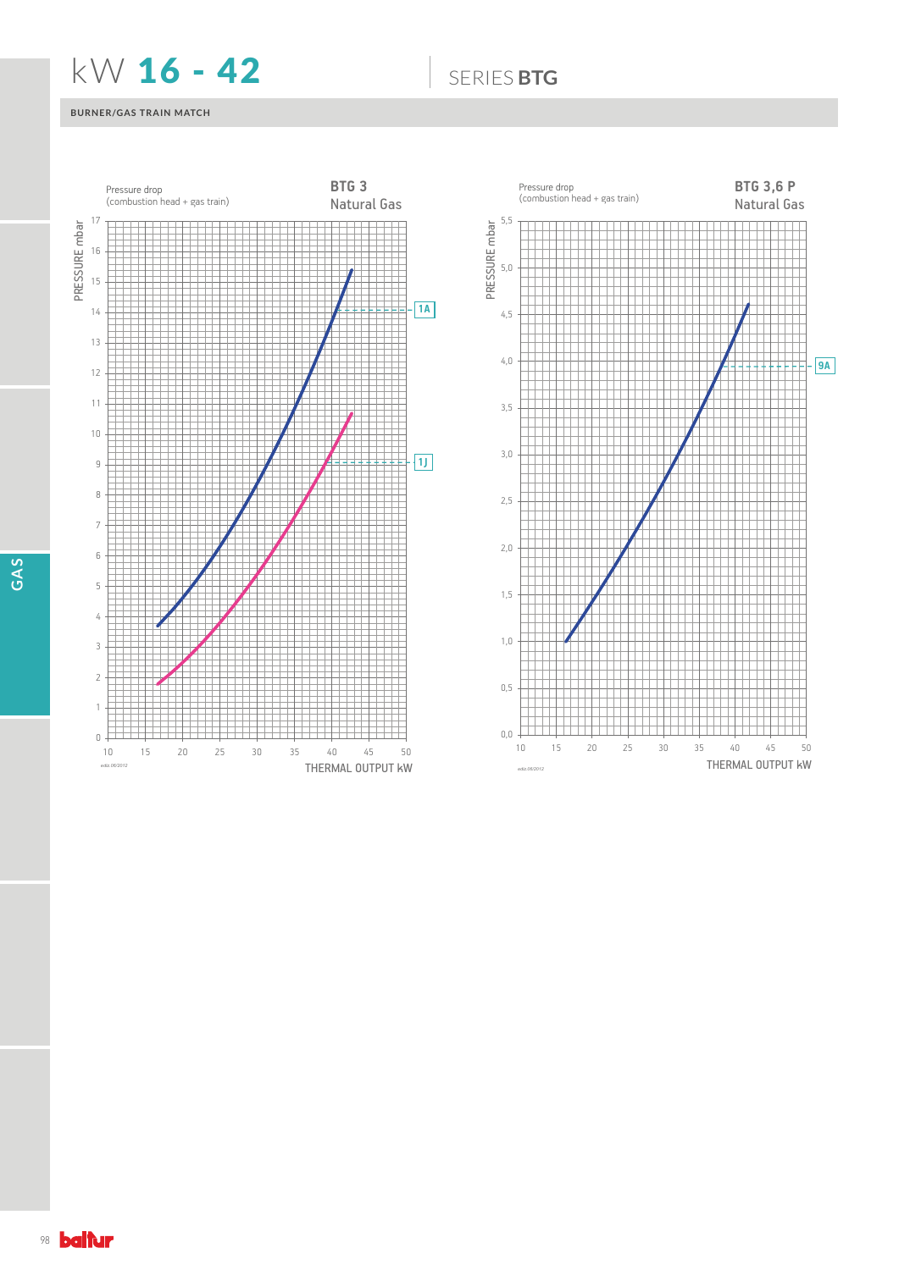## **KW 16 - 42** 6ERIES BTG

## **BURNER/GAS TRAIN MATCH**



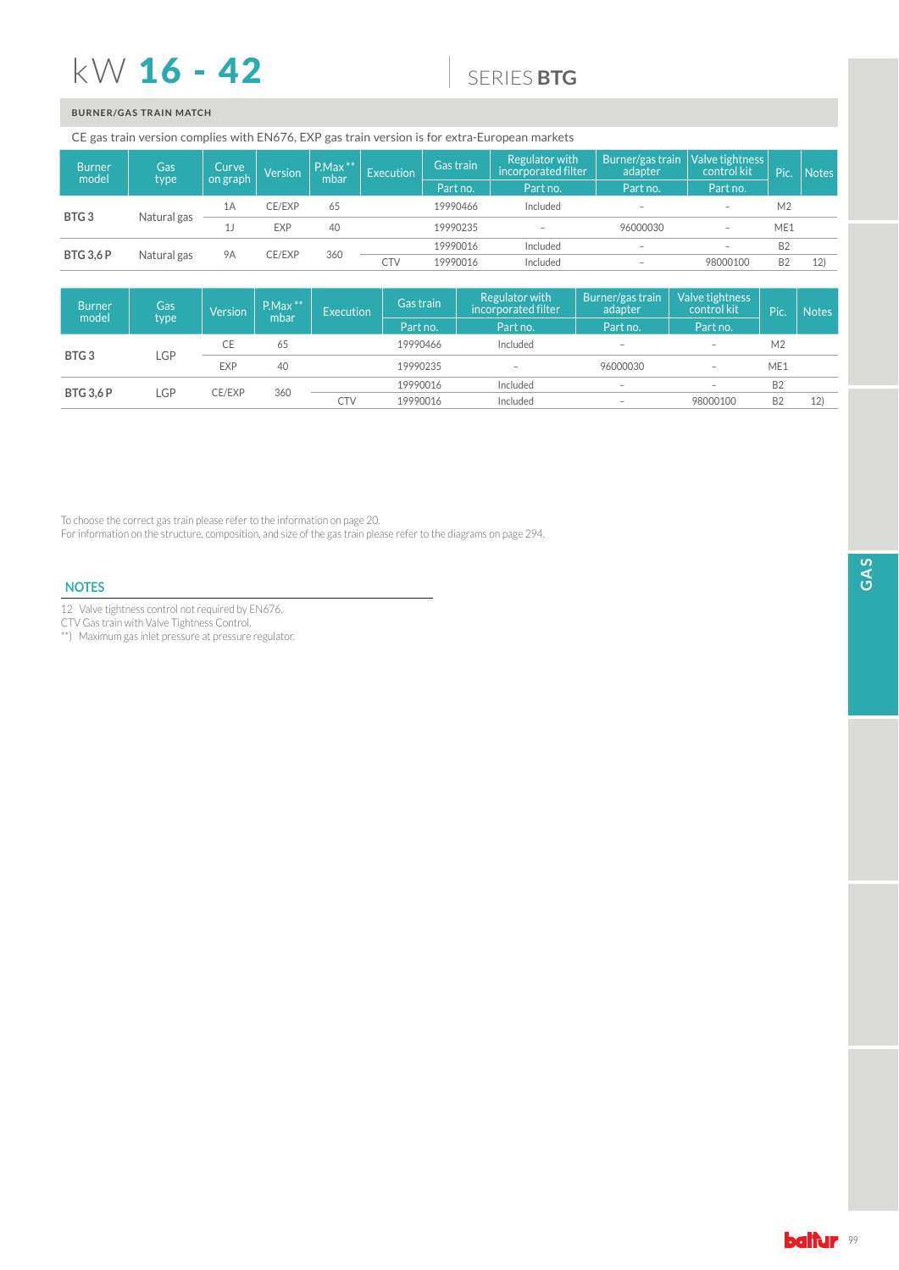# $kW$  16 - 42

## 6(5,(6**BTG**

## **BURNER/GAS TRAIN MATCH**

CE gas train version complies with EN676, EXP gas train version is for extra-European markets

| <b>Burner</b><br>model          | Gas               | Curve     | Version    | $P.Max$ **<br>mbar | Execution  | Gas train | Regulator with<br>incorporated filter | Burner/gas train<br>adapter | Valve tightness<br>control kit  | Pic.      | <b>Notes</b> |
|---------------------------------|-------------------|-----------|------------|--------------------|------------|-----------|---------------------------------------|-----------------------------|---------------------------------|-----------|--------------|
|                                 | type <sup>1</sup> | on graph  |            |                    |            | Part no.  | Part no.                              | Part no.                    | Part no.                        |           |              |
| BTG <sub>3</sub><br>Natural gas | 1Α                | CE/EXP    | 65         |                    | 19990466   | Included  | $\qquad \qquad -$                     | $\qquad \qquad$             | M <sub>2</sub>                  |           |              |
|                                 |                   |           | <b>EXP</b> | 40                 |            | 19990235  | $\overline{\phantom{0}}$              | 96000030                    | $\hspace{0.1mm}-\hspace{0.1mm}$ | ME1       |              |
|                                 |                   |           |            |                    |            | 19990016  | Included                              | $\overline{\phantom{a}}$    | $\hspace{0.1mm}-\hspace{0.1mm}$ | <b>B2</b> |              |
| <b>BTG 3,6 P</b>                | Natural gas       | <b>9A</b> | CE/EXP     | 360                | <b>CTV</b> | 19990016  | Included                              | $\overline{\phantom{a}}$    | 98000100                        | <b>B2</b> | 12)          |

| <b>Burner</b><br>model  | Gas<br>type | Version    | $P.Max$ **<br>mbar | <b>Execution</b> | Gas train<br>Part no. | Regulator with<br>incorporated filter<br>Part no. | Burner/gas train<br>adapter<br>Part no. | Valve tightness<br>control kit<br>Part no. | Pic.            | <b>Notes</b> |
|-------------------------|-------------|------------|--------------------|------------------|-----------------------|---------------------------------------------------|-----------------------------------------|--------------------------------------------|-----------------|--------------|
|                         |             | CE         | 65                 |                  | 19990466              | Included                                          | $\hspace{0.1mm}-\hspace{0.1mm}$         | $\qquad \qquad -$                          | M <sub>2</sub>  |              |
| BTG <sub>3</sub>        | LGP         | <b>EXP</b> | 40                 |                  | 19990235              | $\hspace{0.1mm}-\hspace{0.1mm}$                   | 96000030                                | $\qquad \qquad -$                          | ME <sub>1</sub> |              |
|                         |             |            |                    |                  | 19990016              | Included                                          | $\hspace{0.1mm}-\hspace{0.1mm}$         | $\hspace{0.1mm}-\hspace{0.1mm}$            | <b>B2</b>       |              |
| LGP<br><b>BTG 3,6 P</b> | CE/EXP      | 360        | <b>CTV</b>         | 19990016         | Included              | $\hspace{0.1mm}-\hspace{0.1mm}$                   | 98000100                                | <b>B2</b>                                  | 12)             |              |

To choose the correct gas train please refer to the information on page 20.

For information on the structure, composition, and size of the gas train please refer to the diagrams on page 294.

### **NOTES**

12 Valve tightness control not required by EN676.

CTV Gas train with Valve Tightness Control.

\*\*0D[LPXPJDVLQOHWSUHVVXUHDWSUHVVXUHUHJXODWRU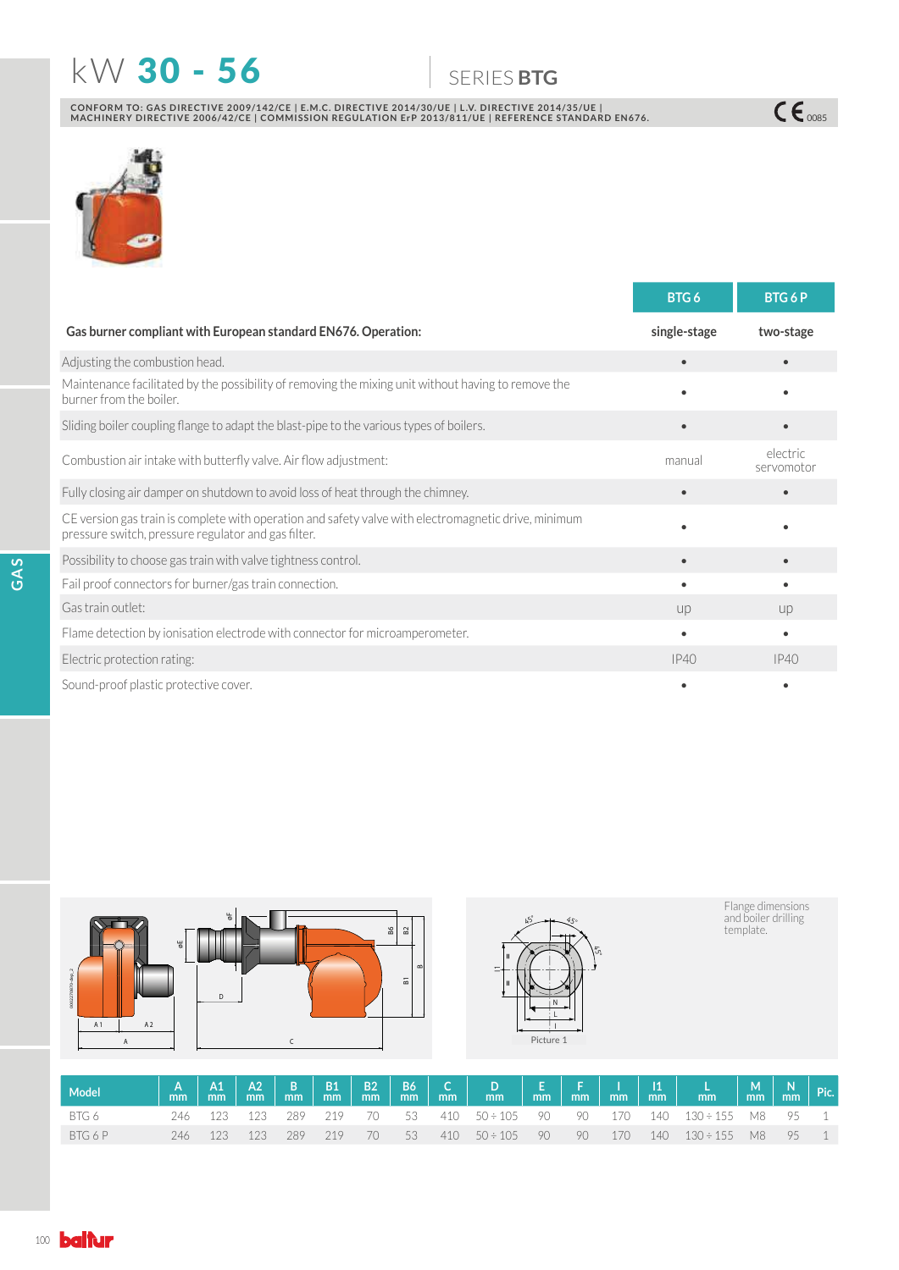# N: 30 - 56 6(5,(6**BTG**

 $C\epsilon_{\text{0085}}$ 

CONFORM TO: GAS DIRECTIVE 2009/142/CE | E.M.C. DIRECTIVE 2014/30/UE | L.V. DIRECTIVE 2014/35/UE |<br>MACHINERY DIRECTIVE 2006/42/CE | COMMISSION REGULATION ErP 2013/811/UE | REFERENCE STANDARD EN676.



|                                                                                                                                                             | BTG6         | <b>BTG6P</b>           |
|-------------------------------------------------------------------------------------------------------------------------------------------------------------|--------------|------------------------|
| Gas burner compliant with European standard EN676. Operation:                                                                                               | single-stage | two-stage              |
| Adjusting the combustion head.                                                                                                                              | $\bullet$    |                        |
| Maintenance facilitated by the possibility of removing the mixing unit without having to remove the<br>burner from the boiler.                              |              |                        |
| Sliding boiler coupling flange to adapt the blast-pipe to the various types of boilers.                                                                     |              |                        |
| Combustion air intake with butterfly valve. Air flow adjustment:                                                                                            | manual       | electric<br>servomotor |
| Fully closing air damper on shutdown to avoid loss of heat through the chimney.                                                                             |              |                        |
| CE version gas train is complete with operation and safety valve with electromagnetic drive, minimum<br>pressure switch, pressure regulator and gas filter. |              |                        |
| Possibility to choose gas train with valve tightness control.                                                                                               |              |                        |
| Fail proof connectors for burner/gas train connection.                                                                                                      |              |                        |
| Gas train outlet:                                                                                                                                           | UD           | U <sub>D</sub>         |
| Flame detection by ionisation electrode with connector for microamperometer.                                                                                | $\bullet$    |                        |
| Electric protection rating:                                                                                                                                 | IP40         | IP40                   |
| Sound-proof plastic protective cover.                                                                                                                       |              |                        |



| Model   |  |                     |     |      |  |                  |    |  |                                                |  |  |
|---------|--|---------------------|-----|------|--|------------------|----|--|------------------------------------------------|--|--|
| BTG 6   |  | 246 123 123 289 219 |     |      |  |                  |    |  | 70 53 410 50÷105 90 90 170 140 130÷155 M8 95 1 |  |  |
| BTG 6 P |  | 246 123 123 289     | 219 | - 70 |  | 53 410 50÷105 90 | 90 |  | 170 140 130÷155 M8 95 1                        |  |  |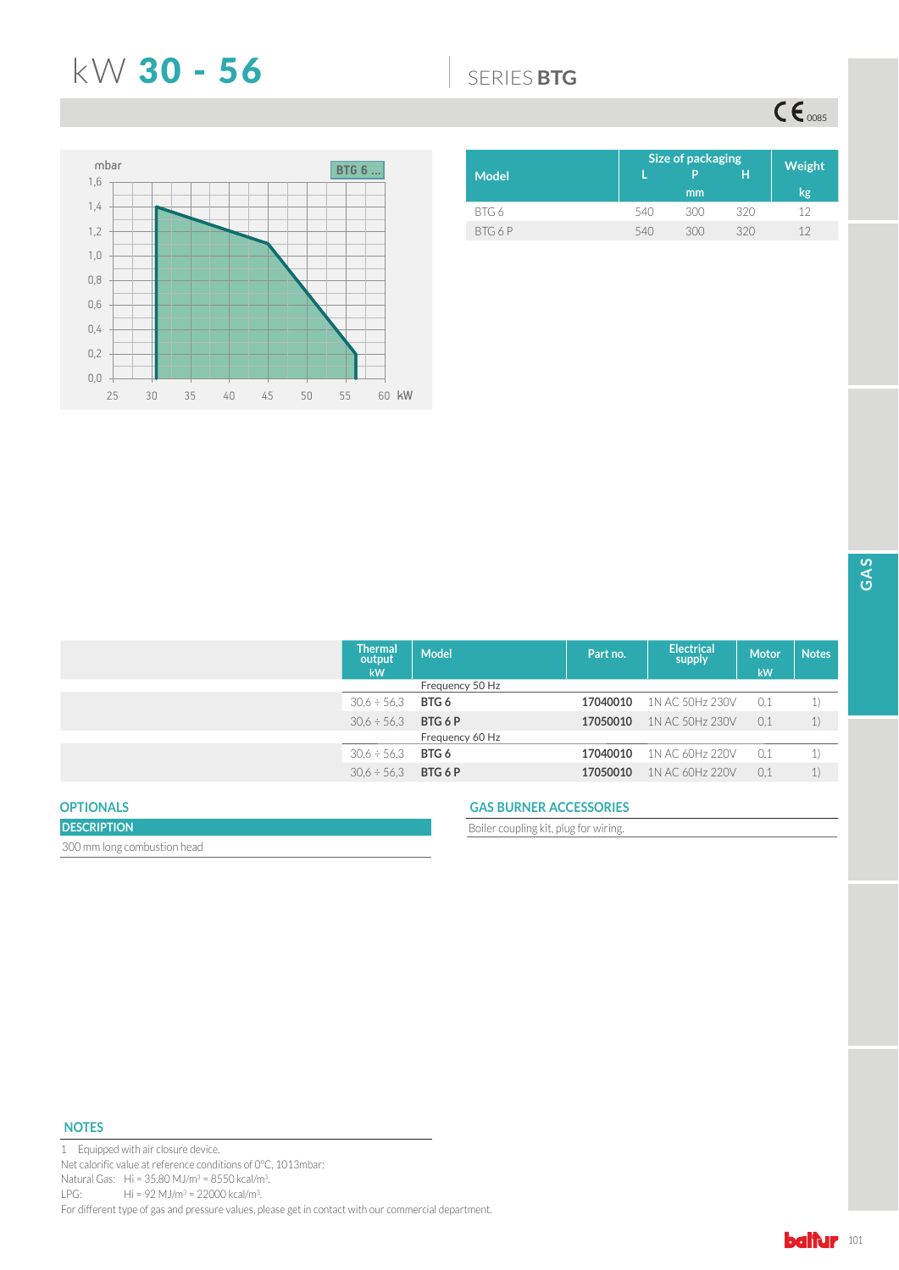## N: 30 - 56 6(5,(6**BTG**

 $CE_{\text{0085}}$ 



|       | Size of packaging |     |     |        |  |  |  |
|-------|-------------------|-----|-----|--------|--|--|--|
| Model |                   | p   | н   | Weight |  |  |  |
|       |                   | mm  |     | kg     |  |  |  |
| BTG6  | 540               | 300 | 320 | 17     |  |  |  |
| BTG6P | 540               | 300 | 320 | 12     |  |  |  |

| <b>Thermal</b><br>output<br>kW | <b>Model</b>    | Part no. | <b>Electrical</b><br>supply | <b>Motor</b><br>kW | <b>Notes</b>                                   |
|--------------------------------|-----------------|----------|-----------------------------|--------------------|------------------------------------------------|
|                                | Frequency 50 Hz |          |                             |                    |                                                |
| $30.6 \div 56.3$               | BTG 6           | 17040010 | 1N AC 50Hz 230V             | 0.1                | $\left( \begin{matrix} 1 \end{matrix} \right)$ |
| $30.6 \div 56.3$               | BTG 6 P         | 17050010 | 1N AC 50Hz 230V             | 0.1                | $\left( \frac{1}{2} \right)$                   |
|                                | Frequency 60 Hz |          |                             |                    |                                                |
| $30.6 \div 56.3$               | BTG 6           | 17040010 | 1N AC 60Hz 220V             | 0.1                | $\left( \begin{matrix} 1 \end{matrix} \right)$ |
| $30.6 \div 56.3$               | BTG 6 P         | 17050010 | 1N AC 60Hz 220V             | 0,1                | $\mathbf{1}$                                   |
|                                |                 |          |                             |                    |                                                |

## **OPTIONALS**

## **DESCRIPTION** 300 mm long combustion head

## **GAS BURNER ACCESSORIES**

Boiler coupling kit, plug for wiring.

## **NOTES**

1 Equipped with air closure device. Net calorific value at reference conditions of 0°C, 1013mbar: Natural Gas:  $Hi = 35,80 M J/m^3 = 8550 kcal/m^3.$ LPG: Hi = 92 MJ/m<sup>3</sup> = 22000 kcal/m<sup>3</sup>. For different type of gas and pressure values, please get in contact with our commercial department.

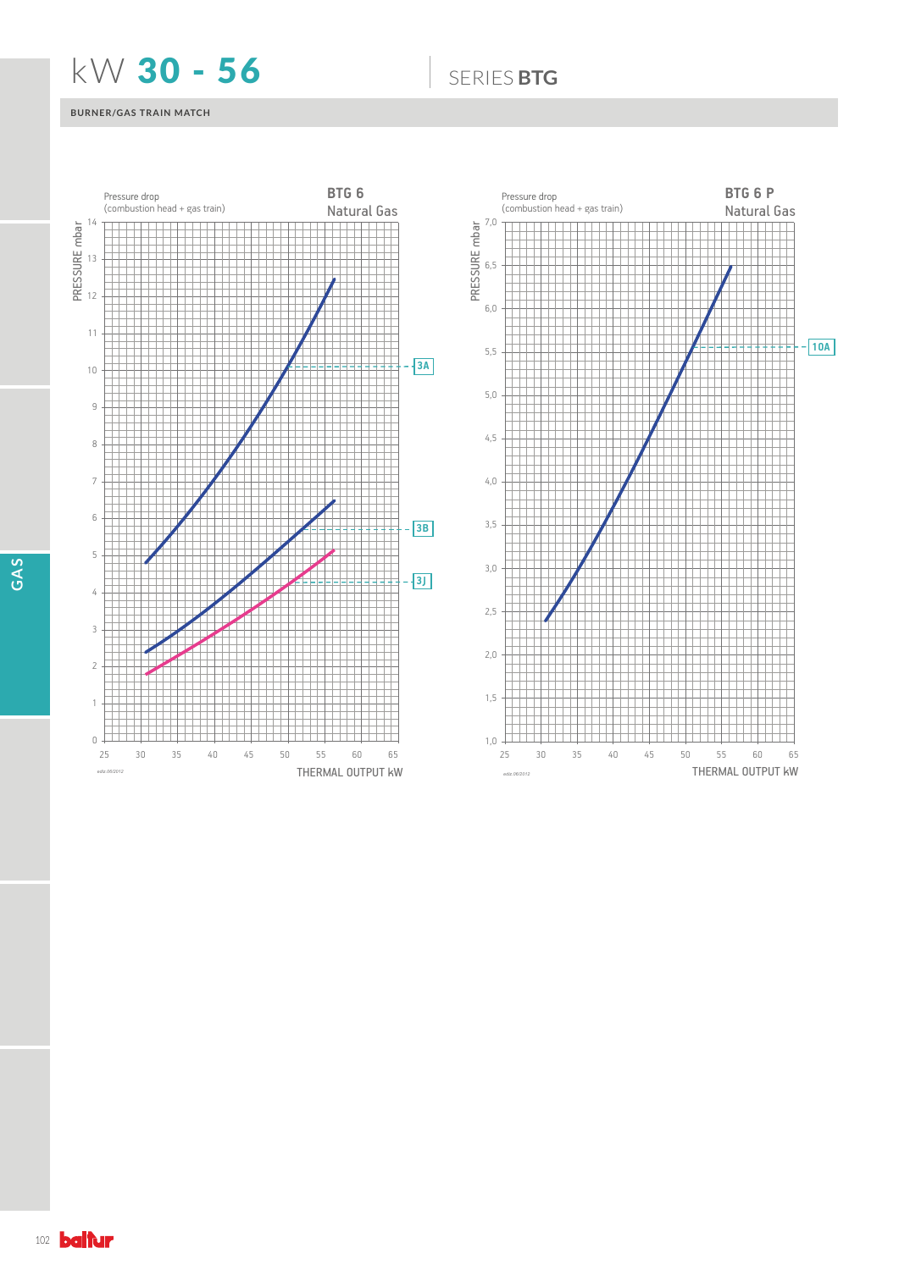## N: 30 - 56 6(5,(6**BTG**

## **BURNER/GAS TRAIN MATCH**





**GAS**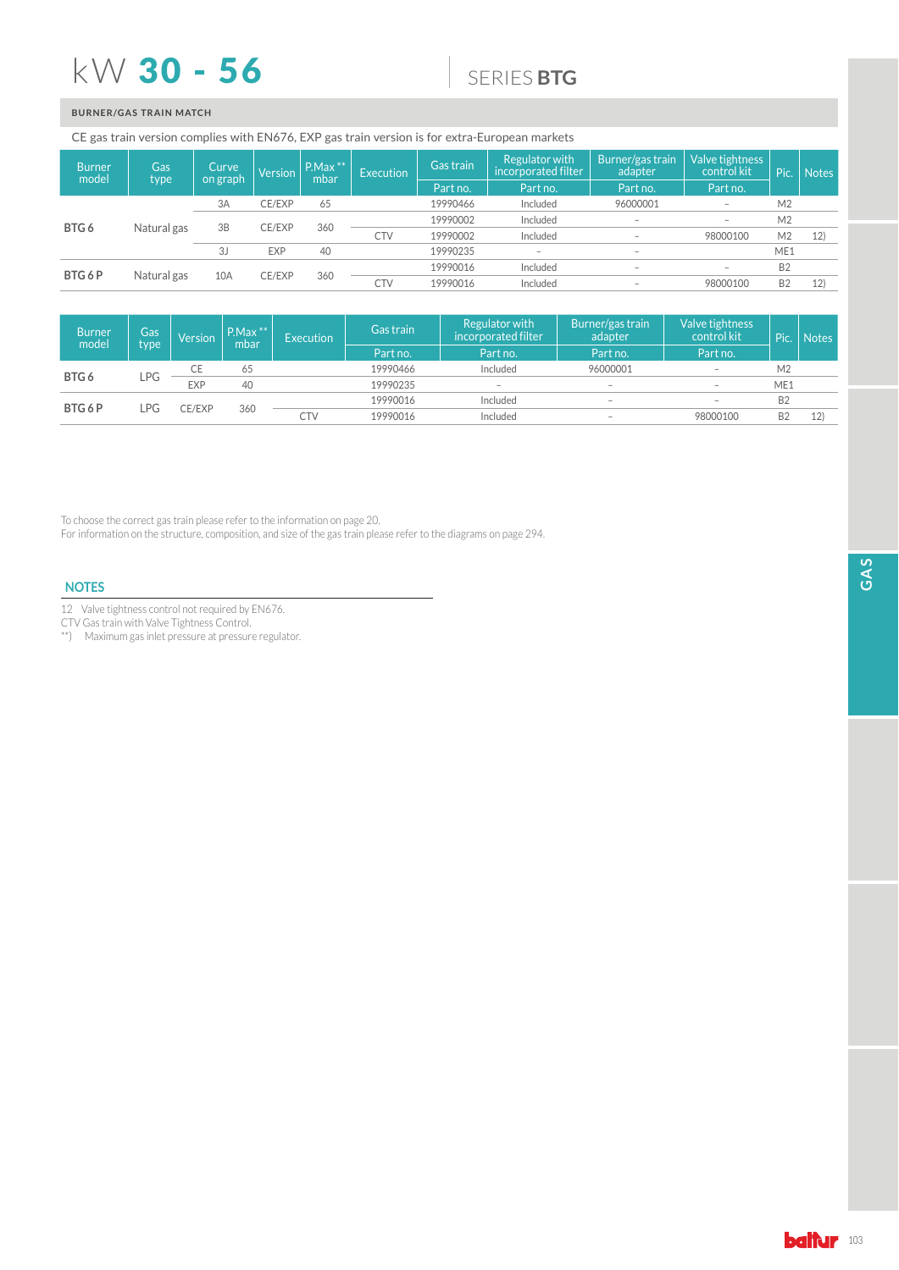## $kW$  30 - 56

## 6(5,(6**BTG**

## **BURNER/GAS TRAIN MATCH**

### CE gas train version complies with EN676, EXP gas train version is for extra-European markets

| <b>Burner</b><br>model | Gas<br>type | Curve.<br>on graph | Version       | $P.Max***$<br>mbar | Execution | Gas train  | Regulator with<br>incorporated filter | 'Burner/gas train<br>adapter | Valve tightness<br>control kit  | Pic.           | Notes          |
|------------------------|-------------|--------------------|---------------|--------------------|-----------|------------|---------------------------------------|------------------------------|---------------------------------|----------------|----------------|
|                        |             |                    |               |                    |           | Part no.   | Part no.                              | Part no.                     | Part no.                        |                |                |
|                        |             | 3A                 | CE/EXP        | 65                 |           | 19990466   | Included                              | 96000001                     | $\overline{\phantom{a}}$        | M <sub>2</sub> |                |
|                        | Natural gas | 3B                 | CE/EXP        | 360                |           | 19990002   | Included                              | $\overline{\phantom{0}}$     | $\hspace{0.1mm}-\hspace{0.1mm}$ | M <sub>2</sub> |                |
| BTG6                   |             |                    |               |                    |           | <b>CTV</b> | 19990002                              | Included                     |                                 | 98000100       | M <sub>2</sub> |
|                        |             | 3J                 | <b>EXP</b>    | 40                 |           | 19990235   |                                       | $\overline{\phantom{a}}$     |                                 | ME1            |                |
| BTG6P                  |             |                    | CE/EXP<br>10A | 360                |           | 19990016   | Included                              | $\overline{\phantom{a}}$     | $\qquad \qquad$                 | <b>B2</b>      |                |
|                        | Natural gas |                    |               |                    | CTV       | 19990016   | Included                              | $\overline{\phantom{a}}$     | 98000100                        | <b>B2</b>      | 12             |

| <b>Burner</b><br>model | Gas<br>type | Version    | $P.Max$ **<br>mbar | <b>Execution</b> | Gas train | Regulator with<br>incorporated filter | Burner/gas train<br>adapter | Valve tightness<br>control kit  | Pic.           | Notes     |  |
|------------------------|-------------|------------|--------------------|------------------|-----------|---------------------------------------|-----------------------------|---------------------------------|----------------|-----------|--|
|                        |             |            |                    |                  | Part no.  | Part no.                              | Part no.                    | Part no.                        |                |           |  |
|                        | LPG         | СE         | 65                 |                  | 19990466  | Included                              | 96000001                    | $\overline{\phantom{0}}$        | M2             |           |  |
| BTG 6                  |             | <b>EXP</b> | 40                 |                  | 19990235  | $\overline{\phantom{a}}$              | $\overline{\phantom{a}}$    | $\overline{\phantom{a}}$        | ME1            |           |  |
| BTG 6 P                | _PG         | CE/EXP     |                    |                  |           | 19990016                              | Included                    | $\hspace{0.1mm}-\hspace{0.1mm}$ |                | <b>B2</b> |  |
|                        |             |            | 360                | <b>CTV</b>       | 19990016  | Included                              | $\overline{\phantom{a}}$    | 98000100                        | B <sub>2</sub> | 12)       |  |

To choose the correct gas train please refer to the information on page 20.

For information on the structure, composition, and size of the gas train please refer to the diagrams on page 294.

## **NOTES**

12 Valve tightness control not required by EN676.

CTV Gas train with Valve Tightness Control.

\*\* 0D[LPXPJDVLQOHWSUHVVXUHDWSUHVVXUHUHJXODWRU

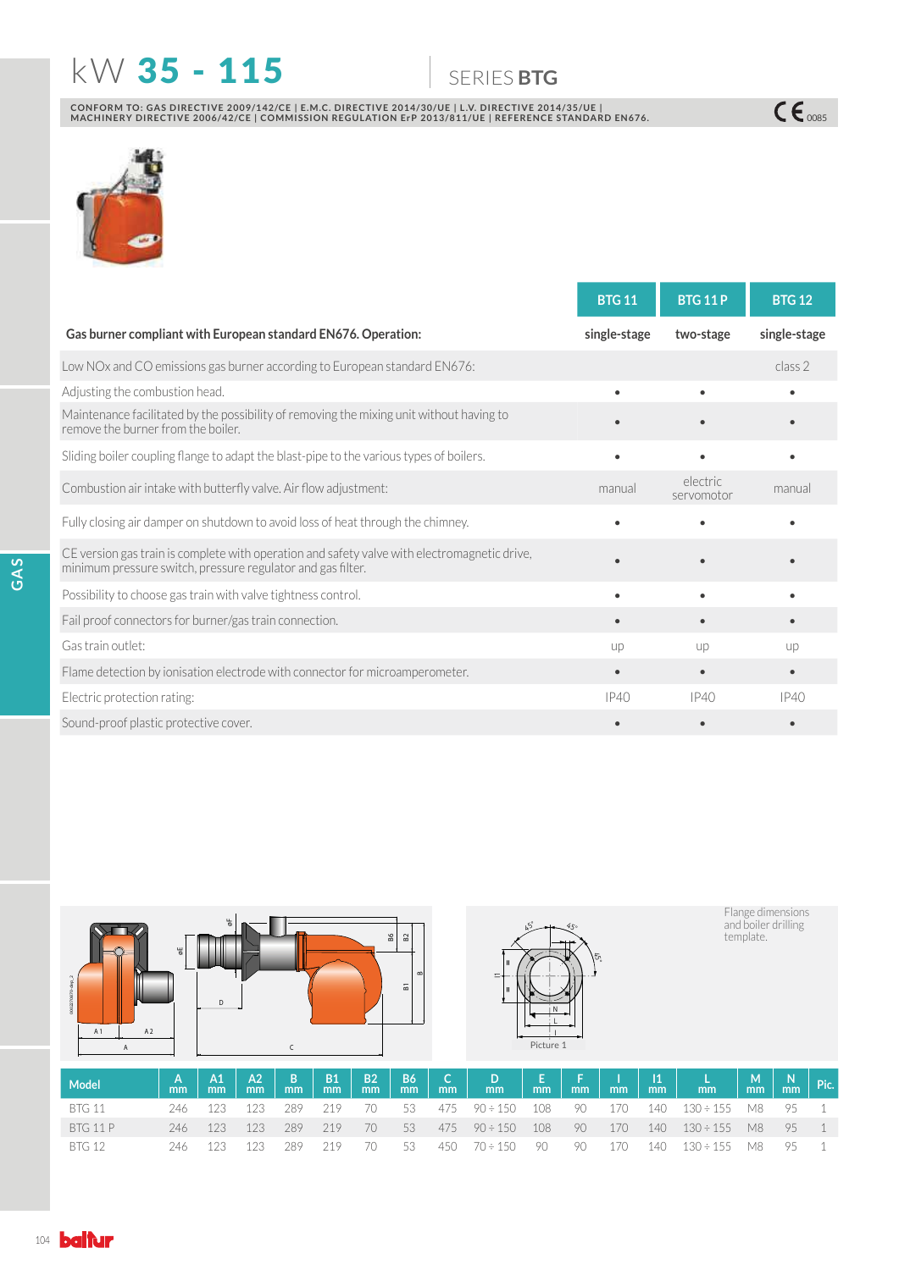# **KW 35 - 115 6** SERIES BTG

 $C\epsilon$   $\frac{1}{2}$ 

CONFORM TO: GAS DIRECTIVE 2009/142/CE | E.M.C. DIRECTIVE 2014/30/UE | L.V. DIRECTIVE 2014/35/UE |<br>MACHINERY DIRECTIVE 2006/42/CE | COMMISSION REGULATION ErP 2013/811/UE | REFERENCE STANDARD EN676.



|                                                                                                                                                             | <b>BTG 11</b> | <b>BTG 11 P</b>        | <b>BTG 12</b> |
|-------------------------------------------------------------------------------------------------------------------------------------------------------------|---------------|------------------------|---------------|
| Gas burner compliant with European standard EN676. Operation:                                                                                               | single-stage  | two-stage              | single-stage  |
| Low NOx and CO emissions gas burner according to European standard EN676:                                                                                   |               |                        | class 2       |
| Adjusting the combustion head.                                                                                                                              |               |                        |               |
| Maintenance facilitated by the possibility of removing the mixing unit without having to<br>remove the burner from the boiler.                              |               |                        |               |
| Sliding boiler coupling flange to adapt the blast-pipe to the various types of boilers.                                                                     |               |                        |               |
| Combustion air intake with butterfly valve. Air flow adjustment:                                                                                            | manual        | electric<br>servomotor | manual        |
| Fully closing air damper on shutdown to avoid loss of heat through the chimney.                                                                             |               |                        |               |
| CE version gas train is complete with operation and safety valve with electromagnetic drive,<br>minimum pressure switch, pressure regulator and gas filter. |               |                        |               |
| Possibility to choose gas train with valve tightness control.                                                                                               |               |                        |               |
| Fail proof connectors for burner/gas train connection.                                                                                                      |               |                        | $\bullet$     |
| Gas train outlet:                                                                                                                                           | up            | up                     | <b>UD</b>     |
| Flame detection by ionisation electrode with connector for microamperometer.                                                                                |               | $\bullet$              | $\bullet$     |
| Electric protection rating:                                                                                                                                 | IP40          | IP40                   | IP40          |
| Sound-proof plastic protective cover.                                                                                                                       |               |                        |               |



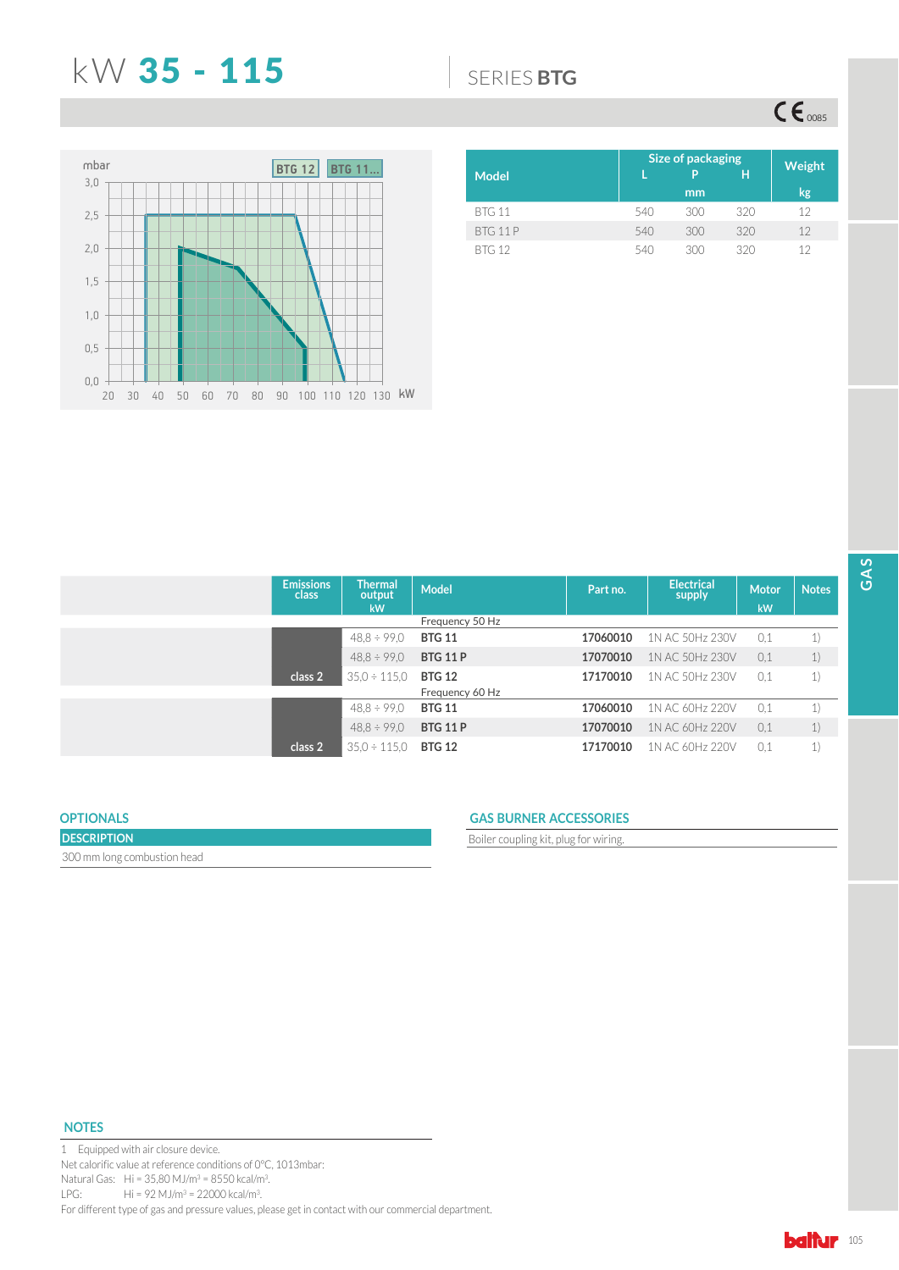## N: 35 - 115 6(5,(6**BTG**

 $CE<sub>o085</sub>$ 



|               | Size of packaging | <b>Weight</b> |     |    |
|---------------|-------------------|---------------|-----|----|
| <b>Model</b>  |                   | P             | H   |    |
|               |                   | mm            |     | kg |
| <b>BTG 11</b> | 540               | 300           | 320 | 12 |
| BTG 11P       | 540               | 300           | 320 | 12 |
| <b>BTG 12</b> | 540               | 300           | 320 | 12 |

| <b>Emissions</b><br>class | <b>Thermal</b><br>output | <b>Model</b>    | Part no. | <b>Electrical</b><br>supply | Motor | <b>Notes</b> |
|---------------------------|--------------------------|-----------------|----------|-----------------------------|-------|--------------|
|                           | <b>kW</b>                |                 |          |                             | kW    |              |
|                           |                          | Frequency 50 Hz |          |                             |       |              |
|                           | $48.8 \div 99.0$         | <b>BTG 11</b>   | 17060010 | 1N AC 50Hz 230V             | 0.1   | 1)           |
|                           | $48.8 \div 99.0$         | <b>BTG 11 P</b> | 17070010 | 1N AC 50Hz 230V             | 0,1   | 1)           |
| class 2                   | $35.0 \div 115.0$        | <b>BTG 12</b>   | 17170010 | 1N AC 50Hz 230V             | 0,1   | 1)           |
|                           |                          | Frequency 60 Hz |          |                             |       |              |
|                           | $48.8 \div 99.0$         | <b>BTG 11</b>   | 17060010 | 1N AC 60Hz 220V             | 0.1   | 1)           |
|                           | $48.8 \div 99.0$         | <b>BTG 11 P</b> | 17070010 | 1N AC 60Hz 220V             | 0.1   | 1)           |
| class 2                   | $35.0 \div 115.0$        | <b>BTG 12</b>   | 17170010 | 1N AC 60Hz 220V             | 0,1   | 1)           |

## **OPTIONALS**

| <b>DESCRIPTION</b>          |  |
|-----------------------------|--|
| 300 mm long combustion head |  |

## **GAS BURNER ACCESSORIES**

Boiler coupling kit, plug for wiring.

## **NOTES**

1 Equipped with air closure device. Net calorific value at reference conditions of 0°C, 1013mbar: Natural Gas:  $Hi = 35,80 M J/m^3 = 8550 kcal/m^3.$ LPG: Hi = 92 MJ/m<sup>3</sup> = 22000 kcal/m<sup>3</sup>. For different type of gas and pressure values, please get in contact with our commercial department.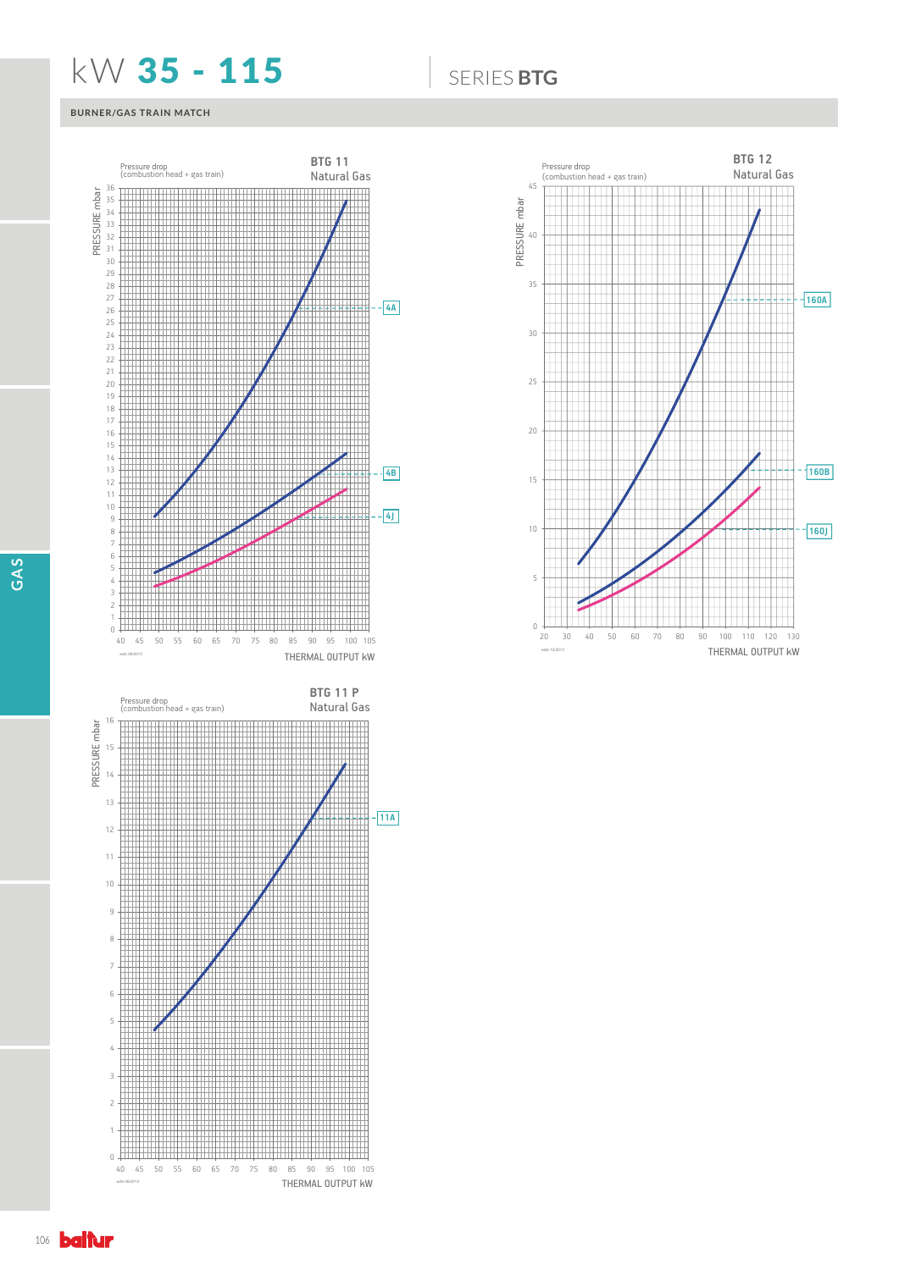## **KW 35 - 115 6** SERIES BTG

## **BURNER/GAS TRAIN MATCH**







**GAS**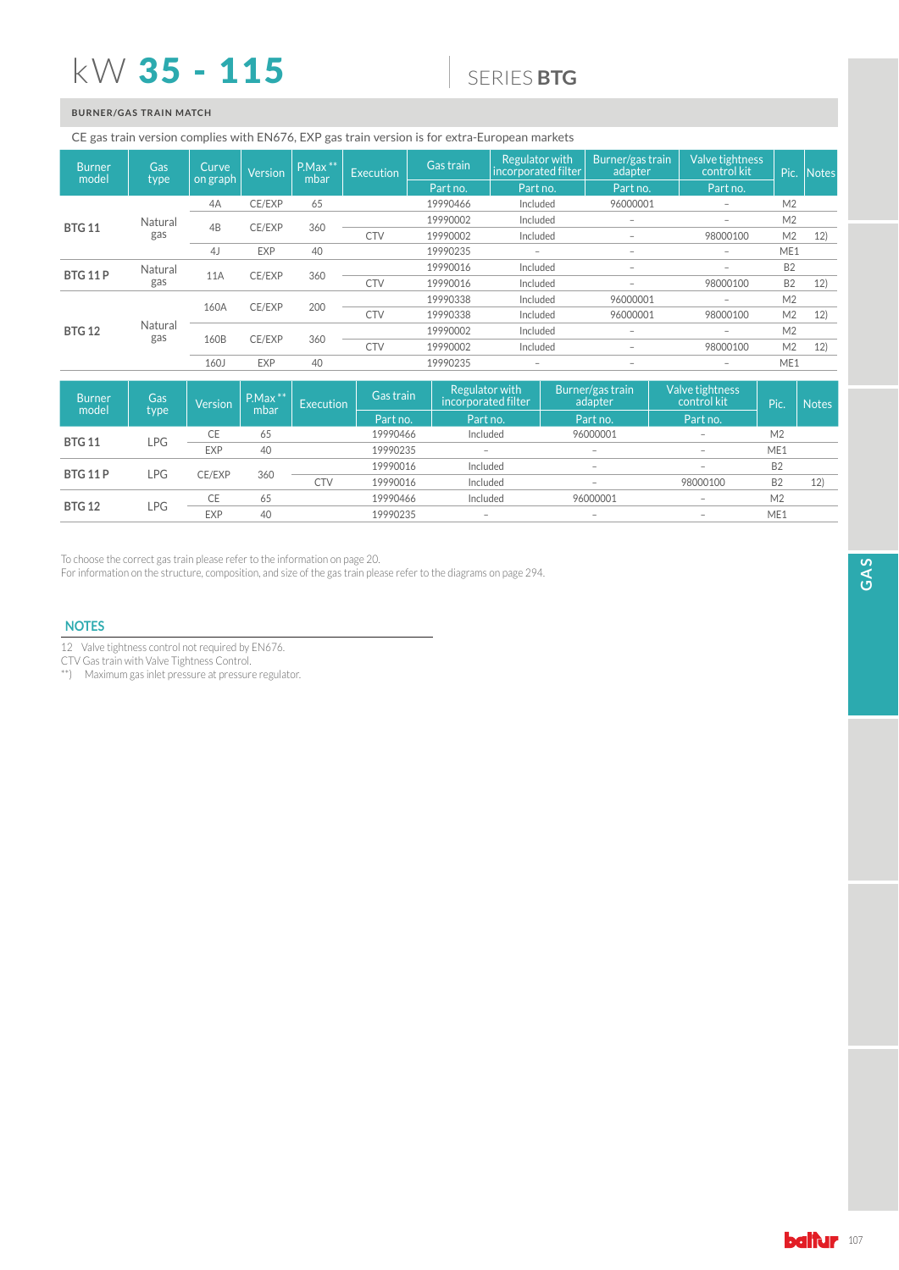# kW 35 - 115

## 6(5,(6**BTG**

## **BURNER/GAS TRAIN MATCH**

### CE gas train version complies with EN676, EXP gas train version is for extra-European markets

| <b>Burner</b><br>model | Gas            | Curve<br>on graph | <b>Version</b> | $P.Max$ **<br>mbar | Execution  | Gas train | Regulator with<br>incorporated filter | Burner/gas train<br>adapter | Valve tightness<br>control kit | Pic.           | Notes |
|------------------------|----------------|-------------------|----------------|--------------------|------------|-----------|---------------------------------------|-----------------------------|--------------------------------|----------------|-------|
|                        | type           |                   |                |                    |            | Part no.  | Part no.                              | Part no.                    | Part no.                       |                |       |
|                        |                | 4A                | CE/EXP         | 65                 |            | 19990466  | Included                              | 96000001                    | $\overline{\phantom{0}}$       | M <sub>2</sub> |       |
| <b>BTG 11</b>          | Natural        | 4B                | CE/EXP         | 360                |            | 19990002  | Included                              | $\overline{\phantom{0}}$    | $-$                            | M <sub>2</sub> |       |
|                        | gas            |                   |                |                    | <b>CTV</b> | 19990002  | Included                              | $\overline{\phantom{0}}$    | 98000100                       | M <sub>2</sub> | 12)   |
|                        |                | 4J                | <b>EXP</b>     | 40                 |            | 19990235  | $\overline{\phantom{0}}$              | $\overline{\phantom{a}}$    | $-$                            | ME1            |       |
| <b>BTG 11 P</b>        | Natural        | 11A               | CE/EXP         | 360                |            | 19990016  | Included                              | $\overline{\phantom{0}}$    | $-$                            | B <sub>2</sub> |       |
|                        | gas            |                   |                |                    | <b>CTV</b> | 19990016  | Included                              |                             | 98000100                       | B <sub>2</sub> | 12)   |
|                        |                | 160A              | CE/EXP         | 200                |            | 19990338  | Included                              | 96000001                    | $\overline{\phantom{0}}$       | M <sub>2</sub> |       |
|                        |                |                   |                |                    | <b>CTV</b> | 19990338  | Included                              | 96000001                    | 98000100                       | M <sub>2</sub> | 12)   |
| <b>BTG 12</b>          | Natural<br>gas | 160B              | CE/EXP         | 360                |            | 19990002  | Included                              | $\overline{\phantom{a}}$    | $\overline{\phantom{0}}$       | M <sub>2</sub> |       |
|                        |                |                   |                |                    | <b>CTV</b> | 19990002  | Included                              | $\overline{\phantom{0}}$    | 98000100                       | M <sub>2</sub> | 12)   |
|                        |                | 160J              | <b>EXP</b>     | 40                 |            | 19990235  |                                       |                             |                                | ME1            |       |

| <b>Burner</b><br>model | Gas<br>type | <b>Version</b> | $P.Max***$<br>mbar | <b>Execution</b> | Gas train | Regulator with<br>incorporated filter | Burner/gas train<br>adapter | Valve tightness<br>control kit  | Pic                             | <b>Notes</b>      |           |  |
|------------------------|-------------|----------------|--------------------|------------------|-----------|---------------------------------------|-----------------------------|---------------------------------|---------------------------------|-------------------|-----------|--|
|                        |             |                |                    |                  | Part no.  | Part no.                              | Part no.                    | Part no.                        |                                 |                   |           |  |
| <b>BTG 11</b>          | LPG         | CE             | 65                 |                  | 19990466  | Included                              | 96000001                    | $\overline{\phantom{a}}$        | M <sub>2</sub>                  |                   |           |  |
|                        |             | <b>EXP</b>     | 40                 |                  | 19990235  | $\overline{\phantom{a}}$              | $\overline{\phantom{0}}$    | $\overline{\phantom{a}}$        | ME1                             |                   |           |  |
| <b>BTG 11 P</b>        | LPG         |                |                    | CE/EXP           | 360       |                                       | 19990016                    | Included                        | $\hspace{0.1mm}-\hspace{0.1mm}$ | $\qquad \qquad =$ | <b>B2</b> |  |
|                        |             |                |                    | <b>CTV</b>       | 19990016  | Included                              |                             | 98000100                        | <b>B2</b>                       | 12)               |           |  |
| <b>BTG 12</b>          | LPG         | CE             | 65                 |                  | 19990466  | Included                              | 96000001                    | $\overline{\phantom{a}}$        | M <sub>2</sub>                  |                   |           |  |
|                        |             | <b>EXP</b>     | 40                 |                  | 19990235  | $\overline{\phantom{a}}$              | $\qquad \qquad$             | $\hspace{0.1mm}-\hspace{0.1mm}$ | ME1                             |                   |           |  |

To choose the correct gas train please refer to the information on page 20.

In the concedence of the structure, composition, and size of the gas train please refer to the diagrams on page 294.

## **NOTES**

12 Valve tightness control not required by EN676.

CTV Gas train with Valve Tightness Control.

\*\*) Maximum gas inlet pressure at pressure regulator.

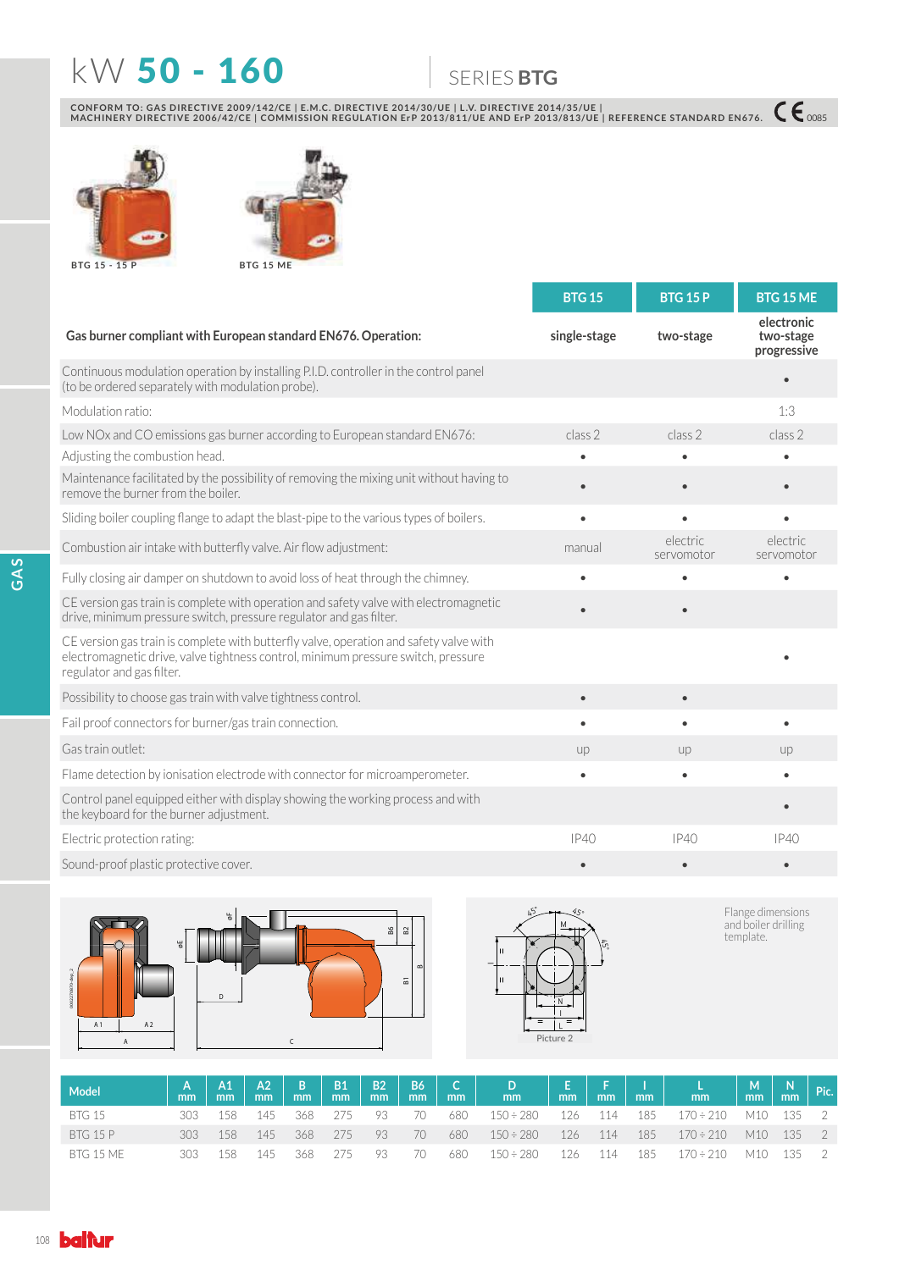# N: 50 - 160 6(5,(6**BTG**

CONFORM TO: GAS DIRECTIVE 2009/142/CE | E.M.C. DIRECTIVE 2014/30/UE | L.V. DIRECTIVE 2014/35/UE |<br>MACHINERY DIRECTIVE 2006/42/CE | COMMISSION REGULATION ErP 2013/811/UE AND ErP 2013/813/UE | REFERENCE STANDARD EN676. 【€ 00





|                                                                                                                                                                                                          | <b>BTG 15</b> | <b>BTG 15 P</b>        | <b>BTG 15 ME</b>                       |
|----------------------------------------------------------------------------------------------------------------------------------------------------------------------------------------------------------|---------------|------------------------|----------------------------------------|
| Gas burner compliant with European standard EN676. Operation:                                                                                                                                            | single-stage  | two-stage              | electronic<br>two-stage<br>progressive |
| Continuous modulation operation by installing P.I.D. controller in the control panel<br>(to be ordered separately with modulation probe).                                                                |               |                        |                                        |
| Modulation ratio:                                                                                                                                                                                        |               |                        | 1:3                                    |
| Low NOx and CO emissions gas burner according to European standard EN676:                                                                                                                                | class 2       | class 2                | class 2                                |
| Adjusting the combustion head.                                                                                                                                                                           |               |                        |                                        |
| Maintenance facilitated by the possibility of removing the mixing unit without having to<br>remove the burner from the boiler.                                                                           | $\bullet$     |                        |                                        |
| Sliding boiler coupling flange to adapt the blast-pipe to the various types of boilers.                                                                                                                  | $\bullet$     | ė                      | ٠                                      |
| Combustion air intake with butterfly valve. Air flow adjustment:                                                                                                                                         | manual        | electric<br>servomotor | electric<br>servomotor                 |
| Fully closing air damper on shutdown to avoid loss of heat through the chimney.                                                                                                                          | $\bullet$     | $\bullet$              |                                        |
| CE version gas train is complete with operation and safety valve with electromagnetic<br>drive, minimum pressure switch, pressure regulator and gas filter.                                              |               |                        |                                        |
| CE version gas train is complete with butterfly valve, operation and safety valve with<br>electromagnetic drive, valve tightness control, minimum pressure switch, pressure<br>regulator and gas filter. |               |                        |                                        |
| Possibility to choose gas train with valve tightness control.                                                                                                                                            | $\bullet$     | $\bullet$              |                                        |
| Fail proof connectors for burner/gas train connection.                                                                                                                                                   | $\bullet$     | $\bullet$              |                                        |
| Gas train outlet:                                                                                                                                                                                        | up            | up                     | up                                     |
| Flame detection by ionisation electrode with connector for microamperometer.                                                                                                                             | $\bullet$     | $\bullet$              |                                        |
| Control panel equipped either with display showing the working process and with<br>the keyboard for the burner adjustment.                                                                               |               |                        |                                        |
| Electric protection rating:                                                                                                                                                                              | IP40          | IP40                   | IP40                                   |
| Sound-proof plastic protective cover.                                                                                                                                                                    |               |                        |                                        |





Flange dimensions<br>and boiler drilling<br>template.

| Model            |      |      |       |         |       |      |            |     |                                  |       |             |       | E   F   I   L<br>  mm   mm   mm   mm | $\begin{array}{ c c c c c } \hline \mathsf{M} & \mathsf{N} & \mathsf{Pic.} \ \hline \mathsf{mm} & \mathsf{mm} & \hline \ \end{array}$ |           |  |
|------------------|------|------|-------|---------|-------|------|------------|-----|----------------------------------|-------|-------------|-------|--------------------------------------|---------------------------------------------------------------------------------------------------------------------------------------|-----------|--|
| <b>BTG 15</b>    | 303. | 158. | - 145 | 368     | - 275 | - 93 | $\sqrt{2}$ | 680 | $150 \div 280$                   |       | 126 114 185 |       | 170 ÷ 210                            | M10 135 2                                                                                                                             |           |  |
| <b>BTG 15 P</b>  | 303  | 158  | 145   | 368 275 |       | -93  | 70         | 680 | $150 \div 280$ $126$ $114$ $185$ |       |             |       | $170 \div 210$ M10 135 2             |                                                                                                                                       |           |  |
| <b>BTG 15 ME</b> | 303  | 158  | 145   | 368     | -275  | 93   | $\sqrt{2}$ | 680 | $150 \div 280$                   | - 126 | 114         | - 185 | 170 ÷ 210                            |                                                                                                                                       | M10 135 2 |  |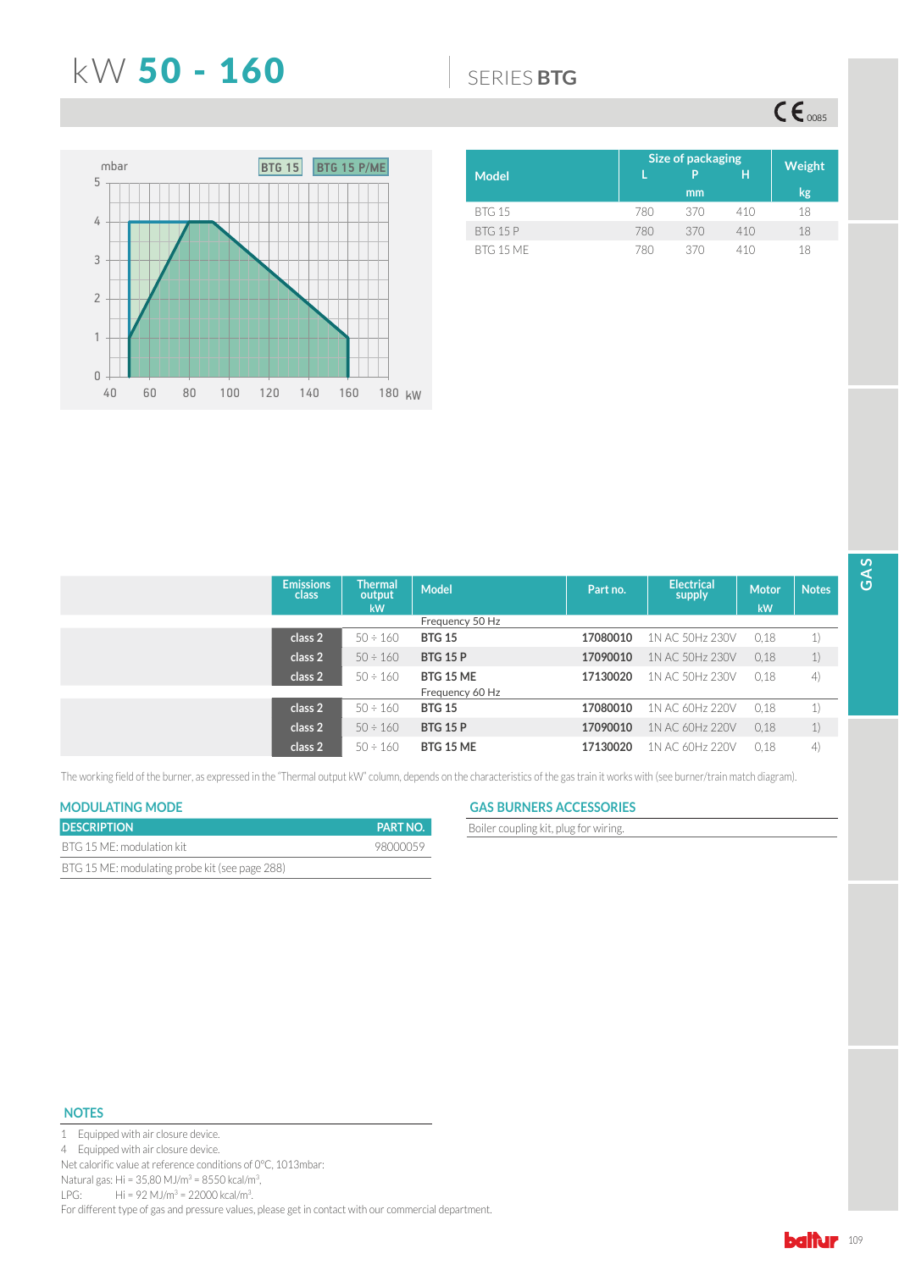## N: 50 - 160 6(5,(6**BTG**

 $\mathsf{CE}_{\text{0085}}$ 



| <b>Model</b>     |     | <b>Size of packaging</b><br>p | н   | Weight |
|------------------|-----|-------------------------------|-----|--------|
|                  |     | mm                            |     | kg     |
| <b>BTG 15</b>    | 780 | 370                           | 410 | 18     |
| <b>BTG 15 P</b>  | 780 | 370                           | 410 | 18     |
| <b>BTG 15 MF</b> | 780 | 370                           | 410 | 18     |

| <b>Emissions</b><br>class | <b>Thermal</b><br>output | <b>Model</b>     | Part no. | <b>Electrical</b><br>supply | <b>Motor</b> | <b>Notes</b> |
|---------------------------|--------------------------|------------------|----------|-----------------------------|--------------|--------------|
|                           | <b>kW</b>                |                  |          |                             | kW           |              |
|                           |                          | Frequency 50 Hz  |          |                             |              |              |
| class 2                   | $50 \div 160$            | <b>BTG 15</b>    | 17080010 | 1N AC 50Hz 230V             | 0,18         | 1)           |
| class 2                   | $50 \div 160$            | <b>BTG 15 P</b>  | 17090010 | 1N AC 50Hz 230V             | 0,18         | 1)           |
| class 2                   | $50 \div 160$            | <b>BTG 15 ME</b> | 17130020 | 1N AC 50Hz 230V             | 0.18         | 4)           |
|                           |                          | Frequency 60 Hz  |          |                             |              |              |
| class 2                   | $50 \div 160$            | <b>BTG 15</b>    | 17080010 | 1N AC 60Hz 220V             | 0.18         | 1)           |
| class 2                   | $50 \div 160$            | <b>BTG 15 P</b>  | 17090010 | 1N AC 60Hz 220V             | 0.18         | 1)           |
| class 2                   | $50 \div 160$            | <b>BTG 15 ME</b> | 17130020 | 1N AC 60Hz 220V             | 0.18         | 4)           |

The working field of the burner, as expressed in the "Thermal output kW" column, depends on the characteristics of the gas train it works with (see burner/train match diagram).

| <b>DESCRIPTION</b>                             | <b>PART NO.</b> |
|------------------------------------------------|-----------------|
| BTG 15 ME: modulation kit                      | 98000059        |
| BTG 15 ME: modulating probe kit (see page 288) |                 |

## **MODULATING MODE GAS BURNERS ACCESSORIES**

**Boiler coupling kit, plug for wiring.** 

### **NOTES**



4 Equipped with air closure device.

Net calorific value at reference conditions of 0°C, 1013mbar:

Natural gas: Hi = 35,80 MJ/m<sup>3</sup> = 8550 kcal/m<sup>3</sup>,

LPG: Hi = 92 MJ/m<sup>3</sup> = 22000 kcal/m<sup>3</sup>.

For different type of gas and pressure values, please get in contact with our commercial department.

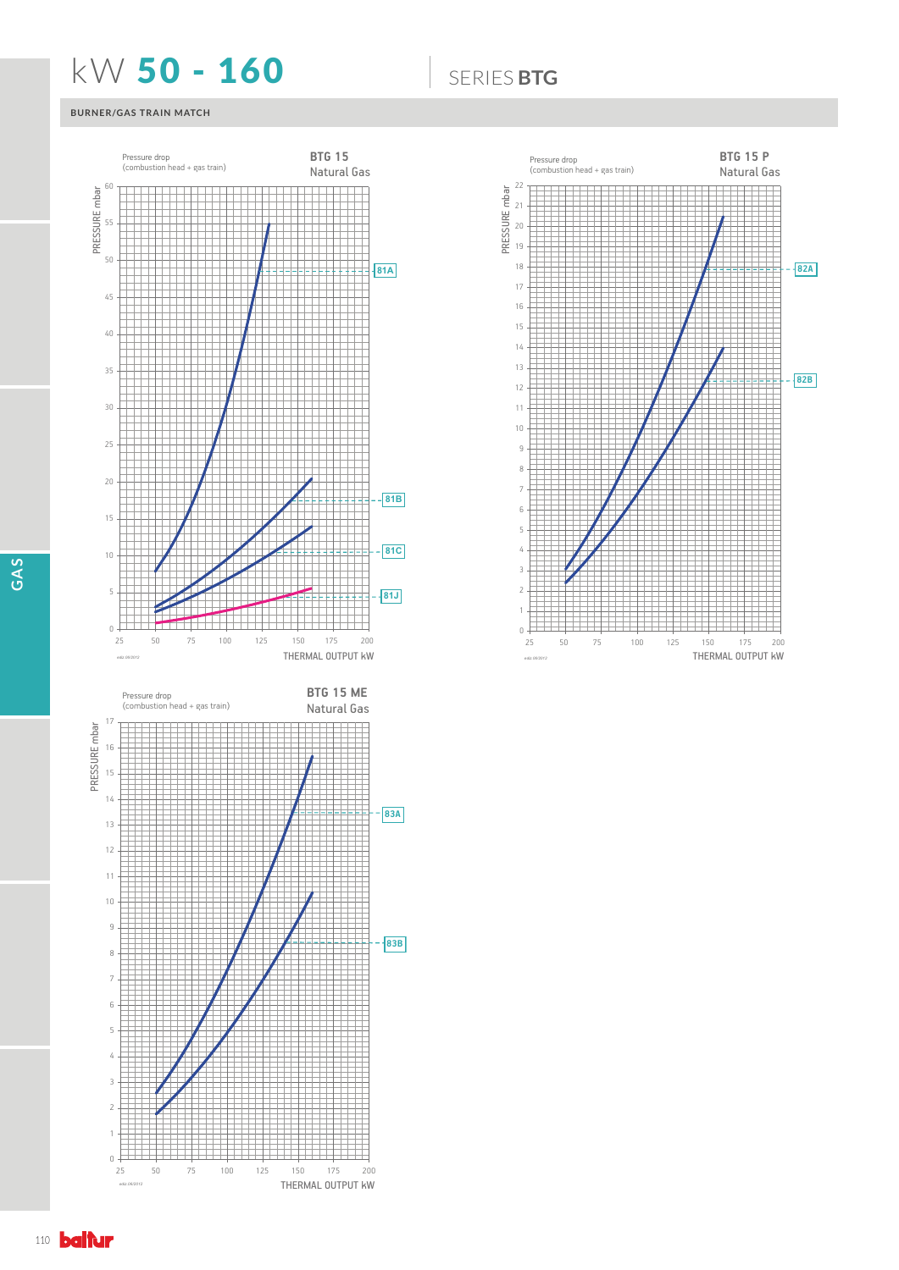## N: 50 - 160 6(5,(6**BTG**

## **BURNER/GAS TRAIN MATCH**







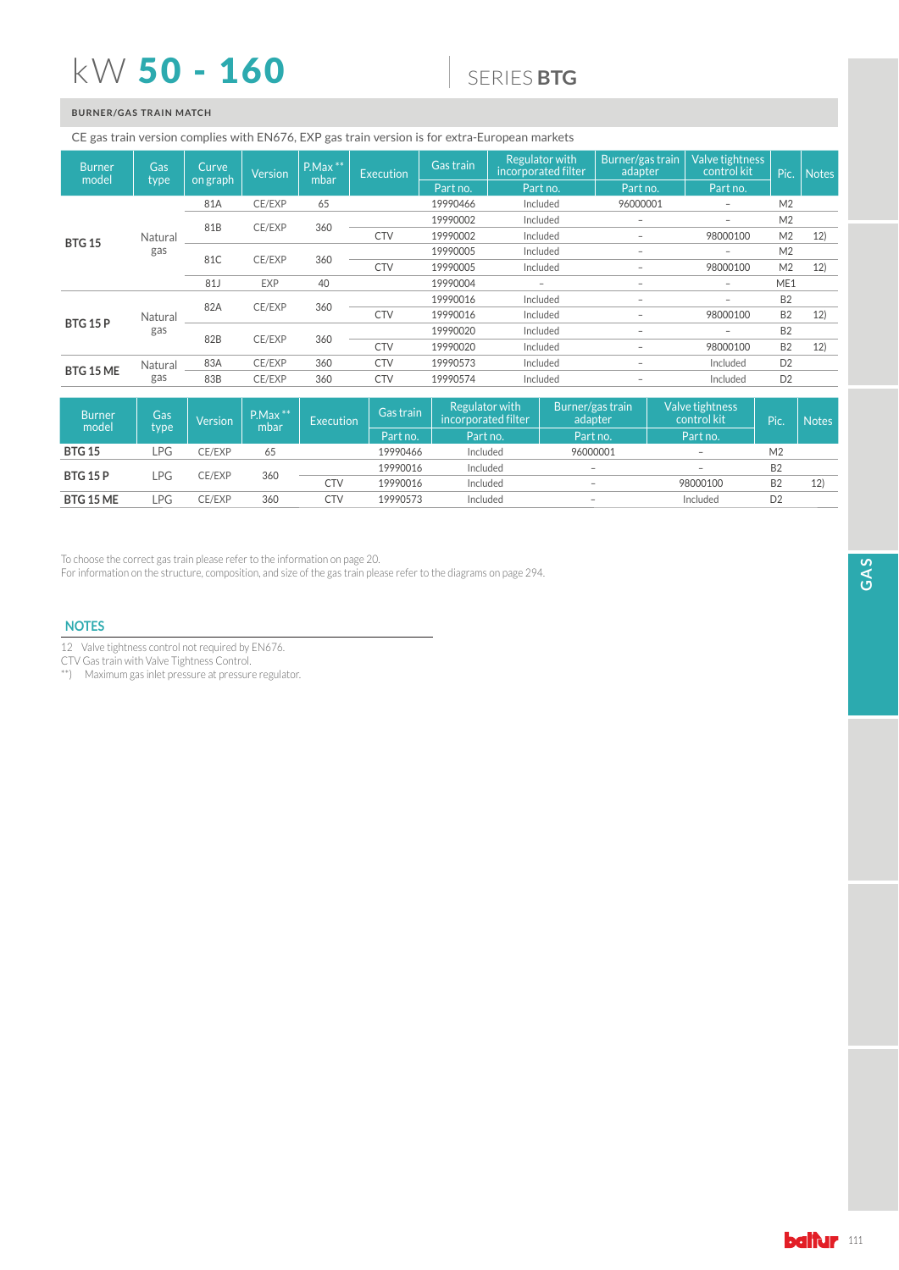## $kW$  50 - 160

## 6(5,(6**BTG**

## **BURNER/GAS TRAIN MATCH**

### CE gas train version complies with EN676, EXP gas train version is for extra-European markets

| <b>Burner</b><br>model | <b>Gas</b> | Curve<br>on graph | <b>Version</b> | $P.Max$ **<br>mbar | <b>Execution</b> | Gas train | <b>Regulator with</b><br>incorporated filter | Burner/gas train<br>adapter | Valve tightness<br>control kit | Pic.           | <b>Notes</b> |
|------------------------|------------|-------------------|----------------|--------------------|------------------|-----------|----------------------------------------------|-----------------------------|--------------------------------|----------------|--------------|
|                        | type       |                   |                |                    |                  | Part no.  | Part no.                                     | Part no.                    | Part no.                       |                |              |
|                        |            | 81A               | CE/EXP         | 65                 |                  | 19990466  | Included                                     | 96000001                    | $\overline{\phantom{0}}$       | M <sub>2</sub> |              |
| <b>BTG 15</b>          |            |                   |                |                    |                  | 19990002  | Included                                     | -                           | $-$                            | M <sub>2</sub> |              |
|                        | Natural    | 81B               | CE/EXP         | 360                | <b>CTV</b>       | 19990002  | Included                                     | -                           | 98000100                       | M <sub>2</sub> | 12)          |
|                        | gas        | 81C               | CE/EXP         | 360                |                  | 19990005  | Included                                     | $\overline{\phantom{0}}$    | $\overline{\phantom{0}}$       | M <sub>2</sub> |              |
|                        |            |                   |                |                    | <b>CTV</b>       | 19990005  | Included                                     | -                           | 98000100                       | M <sub>2</sub> | 12)          |
|                        |            | 81J               | <b>EXP</b>     | 40                 |                  | 19990004  |                                              | $\overline{\phantom{0}}$    | $-$                            | ME1            |              |
|                        |            | 82A               | CE/EXP         |                    |                  | 19990016  | Included                                     | -                           | $\overline{\phantom{0}}$       | <b>B2</b>      |              |
|                        | Natural    |                   |                | 360                | <b>CTV</b>       | 19990016  | Included                                     | $\overline{\phantom{0}}$    | 98000100                       | <b>B2</b>      | 12)          |
| <b>BTG 15 P</b>        | gas        |                   |                |                    |                  | 19990020  | Included                                     | $\overline{\phantom{0}}$    | $\overline{\phantom{0}}$       | <b>B2</b>      |              |
|                        |            | 82B               | CE/EXP         | 360                | <b>CTV</b>       | 19990020  | Included                                     | $\overline{\phantom{0}}$    | 98000100                       | B <sub>2</sub> | 12)          |
| BTG 15 ME              | Natural    | 83A               | CE/EXP         | 360                | <b>CTV</b>       | 19990573  | Included                                     | $\overline{\phantom{0}}$    | Included                       | D <sub>2</sub> |              |
|                        | gas        | 83B               | CE/EXP         | 360                | <b>CTV</b>       | 19990574  | Included                                     | $\overline{\phantom{0}}$    | Included                       | D <sub>2</sub> |              |

| <b>Burner</b><br>model | Gas<br>type | <b>Version</b> | $P.Max$ **<br>mbar | Execution  | Gas train | Regulator with<br>incorporated filter | Burner/gas train<br>adapter | Valve tightness<br>control kit | <b>Pic</b>     | <b>Notes</b> |
|------------------------|-------------|----------------|--------------------|------------|-----------|---------------------------------------|-----------------------------|--------------------------------|----------------|--------------|
|                        |             |                |                    |            | Part no.  | Part no.                              | Part no.                    | Part no.                       |                |              |
| <b>BTG 15</b>          | LPG         | CE/EXP         | 65                 |            | 19990466  | Included                              | 96000001                    | $\overline{\phantom{a}}$       | M <sub>2</sub> |              |
| <b>BTG 15 P</b><br>LPG |             | CE/EXP         |                    |            | 19990016  | Included                              | $\overline{\phantom{a}}$    | $\overline{\phantom{a}}$       | B <sub>2</sub> |              |
|                        |             |                | 360                | <b>CTV</b> | 19990016  | Included                              | $\overline{\phantom{a}}$    | 98000100                       | B <sub>2</sub> | 12)          |
| <b>BTG 15 ME</b>       | LPG         | CE/EXP         | 360                | CTV        | 19990573  | Included                              | $\overline{\phantom{a}}$    | Included                       | D <sub>2</sub> |              |

To choose the correct gas train please refer to the information on page 20. In the concedence of the structure, composition, and size of the gas train please refer to the diagrams on page 294.

## **NOTES**

12 Valve tightness control not required by EN676.

CTV Gas train with Valve Tightness Control.

\*\*) Maximum gas inlet pressure at pressure regulator.

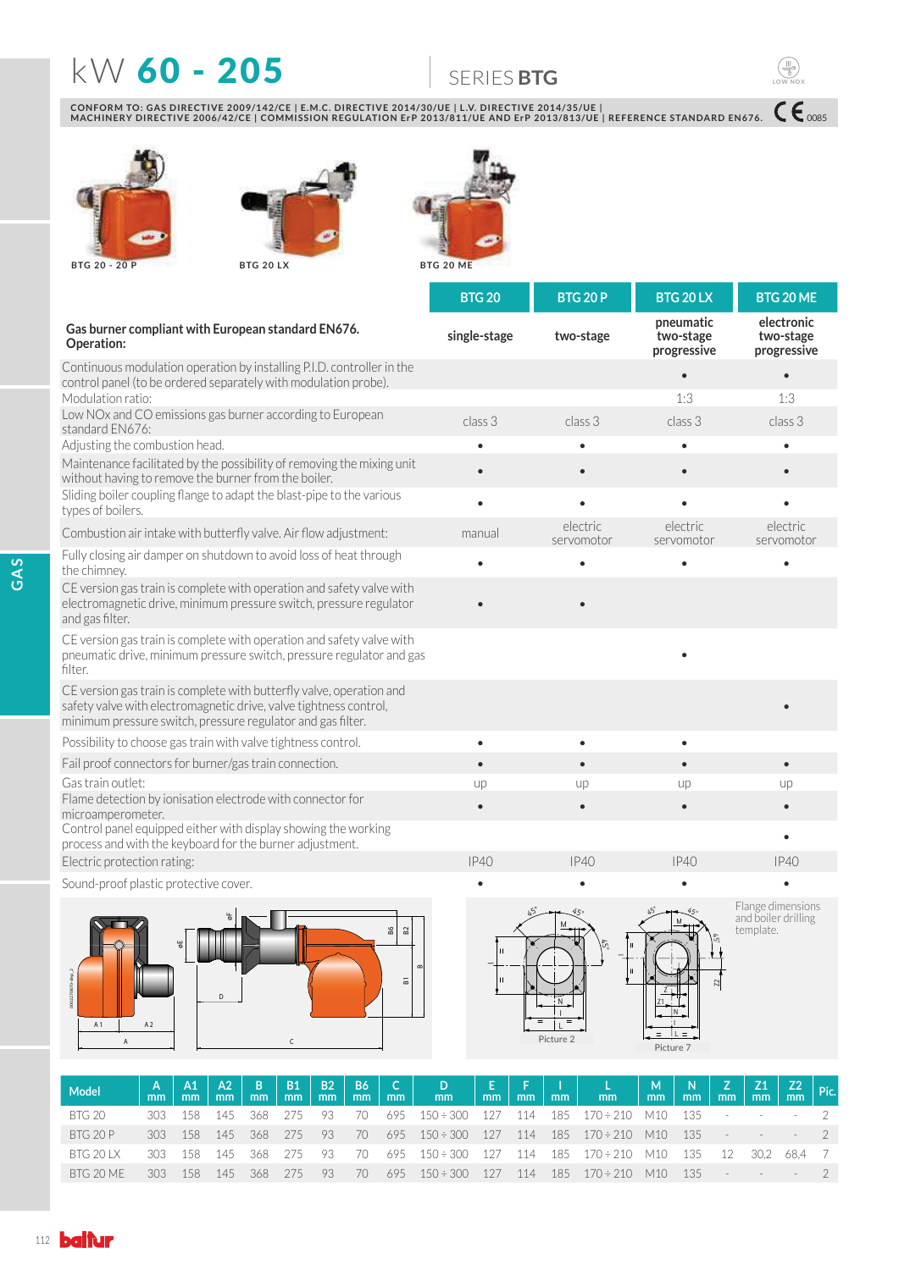# **KW 60 - 205 6** SERIES BTG

CONFORM TO: GAS DIRECTIVE 2009/142/CE | E.M.C. DIRECTIVE 2014/30/UE | L.V. DIRECTIVE 2014/35/UE |<br>MACHINERY DIRECTIVE 2006/42/CE | COMMISSION REGULATION ErP 2013/811/UE AND ErP 2013/813/UE | REFERENCE STANDARD EN676.







| Gas burner compliant with European standard EN676. |              |           |
|----------------------------------------------------|--------------|-----------|
| Operation:                                         | single-stage | two-stage |

)XOO\FORVLQJDLUGDPSHURQVKXWGRZQWRDYRLGORVVRIKHDWWKURXJK the chimney. ••••

CE version gas train is complete with operation and safety valve with electromagnetic drive, minimum pressure switch, pressure regulator and gas filter.

CE version gas train is complete with operation and safety valve with pneumatic drive, minimum pressure switch, pressure regulator and gas filter.

CE version gas train is complete with butterfly valve, operation and safety valve with electromagnetic drive, valve tightness control, minimum pressure switch, pressure regulator and gas filter.

3RVVLELOLW\WRFKRRVHJDVWUDLQZLWKYDOYHWLJKWQHVVFRQWURO •••

Control panel equipped either with display showing the working process and with the keyboard for the burner adjustment.

Electric protection rating: The Company of the Company of the Company of the Company of the Company of the Company of the Company of the Company of the Company of the Company of the Company of the Company of the Company of

Sound-proof plastic protective cover.



|                                                                                                                                           | <b>BTG 20</b> | <b>BTG 20 P</b>        | BTG 20 LX                             | BTG 20 ME                              |
|-------------------------------------------------------------------------------------------------------------------------------------------|---------------|------------------------|---------------------------------------|----------------------------------------|
| Gas burner compliant with European standard EN676.<br>Operation:                                                                          | single-stage  | two-stage              | pneumatic<br>two-stage<br>progressive | electronic<br>two-stage<br>progressive |
| Continuous modulation operation by installing P.I.D. controller in the<br>control panel (to be ordered separately with modulation probe). |               |                        |                                       |                                        |
| Modulation ratio:                                                                                                                         |               |                        | 1:3                                   | 1:3                                    |
| Low NOx and CO emissions gas burner according to European<br>standard EN676:                                                              | class 3       | class 3                | class 3                               | class 3                                |
| Adjusting the combustion head.                                                                                                            | ٠             |                        |                                       |                                        |
| Maintenance facilitated by the possibility of removing the mixing unit<br>without having to remove the burner from the boiler.            |               |                        |                                       |                                        |
| Sliding boiler coupling flange to adapt the blast-pipe to the various<br>types of boilers.                                                |               |                        |                                       |                                        |
| Combustion air intake with butterfly valve. Air flow adjustment:                                                                          | manual        | electric<br>servomotor | electric<br>servomotor                | electric<br>servomotor                 |
| Fully closing air damper on shutdown to avoid loss of heat through                                                                        |               |                        | $\bullet$                             |                                        |

• • Fail proof connectors for burner/gas train connection. \*DVWUDLQRXWOHW up up up up )ODPHGHWHFWLRQE\LRQLVDWLRQHOHFWURGHZLWKFRQQHFWRUIRU microamperometer. ••••

 $h_2$ 

• • • • • • • • •

Flange dimensions and boiler drilling template.

0085

**LOW NOX**

Picture 2 **Figure 2**<br>Picture 7

 $\mathfrak{F}_2$ 

M

45°

N I L **Figura 2**



**Model <sup>A</sup> mm A1 mm A2 mm <sup>B</sup> mm B1 mm B2 B2**<br>mm **B6** | **C**<sub>mm</sub> | **m mm <sup>D</sup> mm <sup>E</sup>**  $\bar{m}$ **mm <sup>I</sup>**  $\frac{1}{2}$  mm **mm <sup>M</sup> mm <sup>N</sup> mm <sup>Z</sup>**  $\frac{Z}{nm}$ **mm Z2**  $\frac{Z2}{mm}$  Pic. 8TG 20 303 158 145 368 275 93 70 695 150÷300 127 114 185 170÷210 M10 135 - - - 2 8TG 20 P 303 158 145 368 275 93 70 695 150÷300 127 114 185 170÷210 M10 135 - - - 2 8TG 20 LX 303 158 145 368 275 93 70 695 150÷300 127 114 185 170÷210 M10 135 12 30,2 68,4 7 BTG 20 ME 303 158 145 368 275 93 70 695 150÷300 127 114 185 170÷210 M10 135 - - - - 2

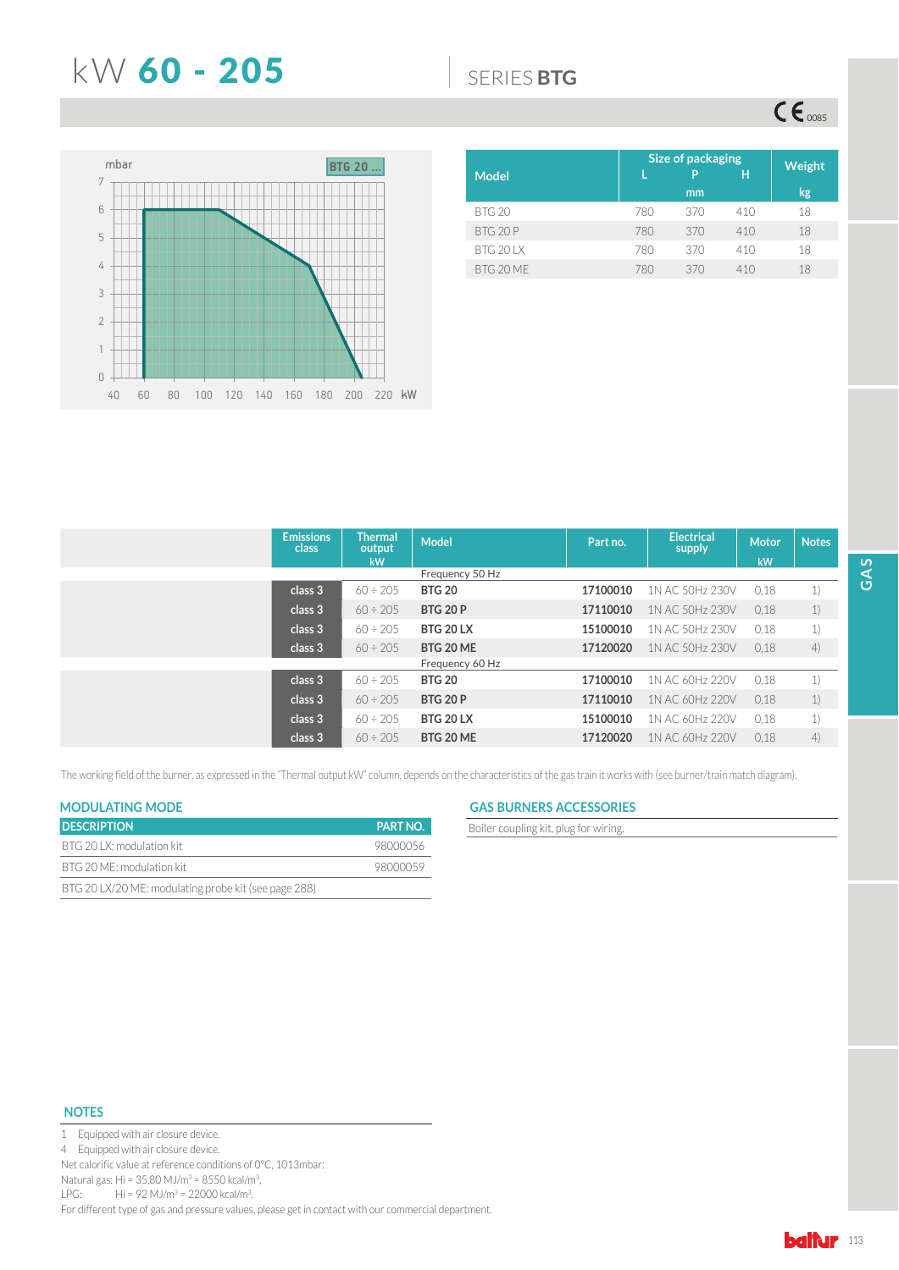## **KW 60 - 205 6** SERIES BTG

 $\mathsf{CE}_{\text{0085}}$ 



|                 | Size of packaging | Weight  |     |    |
|-----------------|-------------------|---------|-----|----|
| <b>Model</b>    |                   | P<br>mm | н   | kg |
| <b>BTG 20</b>   | 780               | 370     | 410 | 18 |
| BTG 20P         | 780               | 370     | 410 | 18 |
| <b>BTG 201X</b> | 780               | 370     | 410 | 18 |
| BTG 20 ME       | 780               | 370     | 410 | 18 |

| <b>Emissions</b><br>class | <b>Thermal</b><br>output<br><b>kW</b> | <b>Model</b>     | Part no. | <b>Electrical</b><br>supply | <b>Motor</b><br>kW | <b>Notes</b> |
|---------------------------|---------------------------------------|------------------|----------|-----------------------------|--------------------|--------------|
|                           |                                       | Frequency 50 Hz  |          |                             |                    |              |
| class 3                   | $60 \div 205$                         | <b>BTG 20</b>    | 17100010 | 1N AC 50Hz 230V             | 0,18               | 1)           |
| class 3                   | $60 \div 205$                         | <b>BTG 20 P</b>  | 17110010 | 1N AC 50Hz 230V             | 0,18               | 1)           |
| class 3                   | $60 \div 205$                         | <b>BTG 20 LX</b> | 15100010 | 1N AC 50Hz 230V             | 0.18               | 1)           |
| class 3                   | $60 \div 205$                         | <b>BTG 20 ME</b> | 17120020 | 1N AC 50Hz 230V             | 0.18               | 4)           |
|                           |                                       | Frequency 60 Hz  |          |                             |                    |              |
| class 3                   | $60 \div 205$                         | <b>BTG 20</b>    | 17100010 | 1N AC 60Hz 220V             | 0.18               | 1)           |
| class 3                   | $60 \div 205$                         | <b>BTG 20 P</b>  | 17110010 | 1N AC 60Hz 220V             | 0,18               | 1)           |
| class 3                   | $60 \div 205$                         | <b>BTG 20 LX</b> | 15100010 | 1N AC 60Hz 220V             | 0.18               | 1)           |
| class 3                   | $60 \div 205$                         | BTG 20 ME        | 17120020 | 1N AC 60Hz 220V             | 0.18               | 4)           |

The working field of the burner, as expressed in the "Thermal output kW" column, depends on the characteristics of the gas train it works with (see burner/train match diagram).

| <b>DESCRIPTION</b>                                   | <b>PART NO.</b> |
|------------------------------------------------------|-----------------|
| BTG 20 LX: modulation kit                            | 98000056        |
| BTG 20 ME: modulation kit                            | 98000059        |
| BTG 20 LX/20 ME: modulating probe kit (see page 288) |                 |

## **MODULATING MODE GAS BURNERS ACCESSORIES**

**Boiler coupling kit, plug for wiring.** 

### **NOTES**



4 Equipped with air closure device.

Net calorific value at reference conditions of 0°C, 1013mbar:

Natural gas: Hi = 35,80 MJ/m<sup>3</sup> = 8550 kcal/m<sup>3</sup>,

LPG: Hi = 92 MJ/m<sup>3</sup> = 22000 kcal/m<sup>3</sup>.

For different type of gas and pressure values, please get in contact with our commercial department.

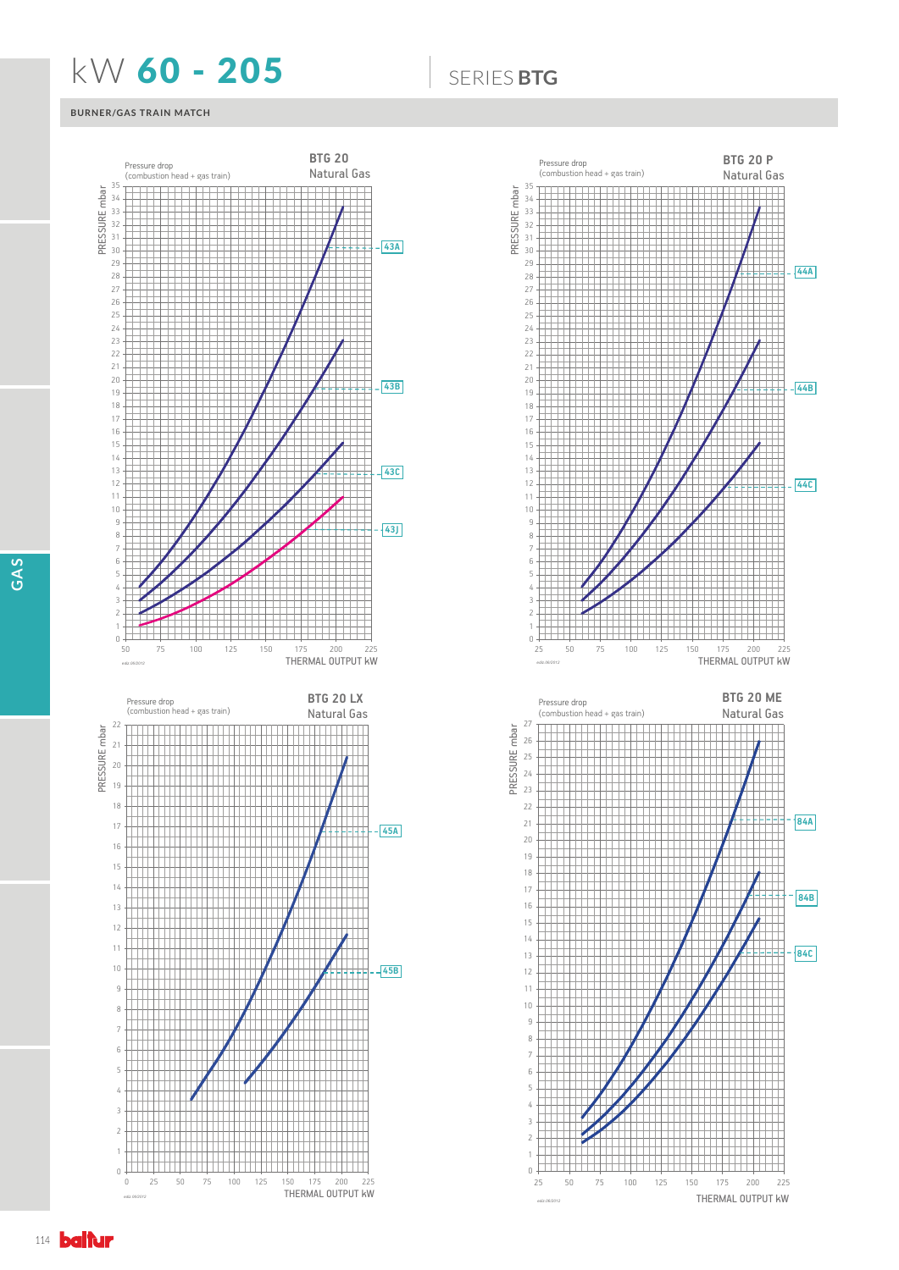## **KW 60 - 205 6** SERIES BTG

## **BURNER/GAS TRAIN MATCH**



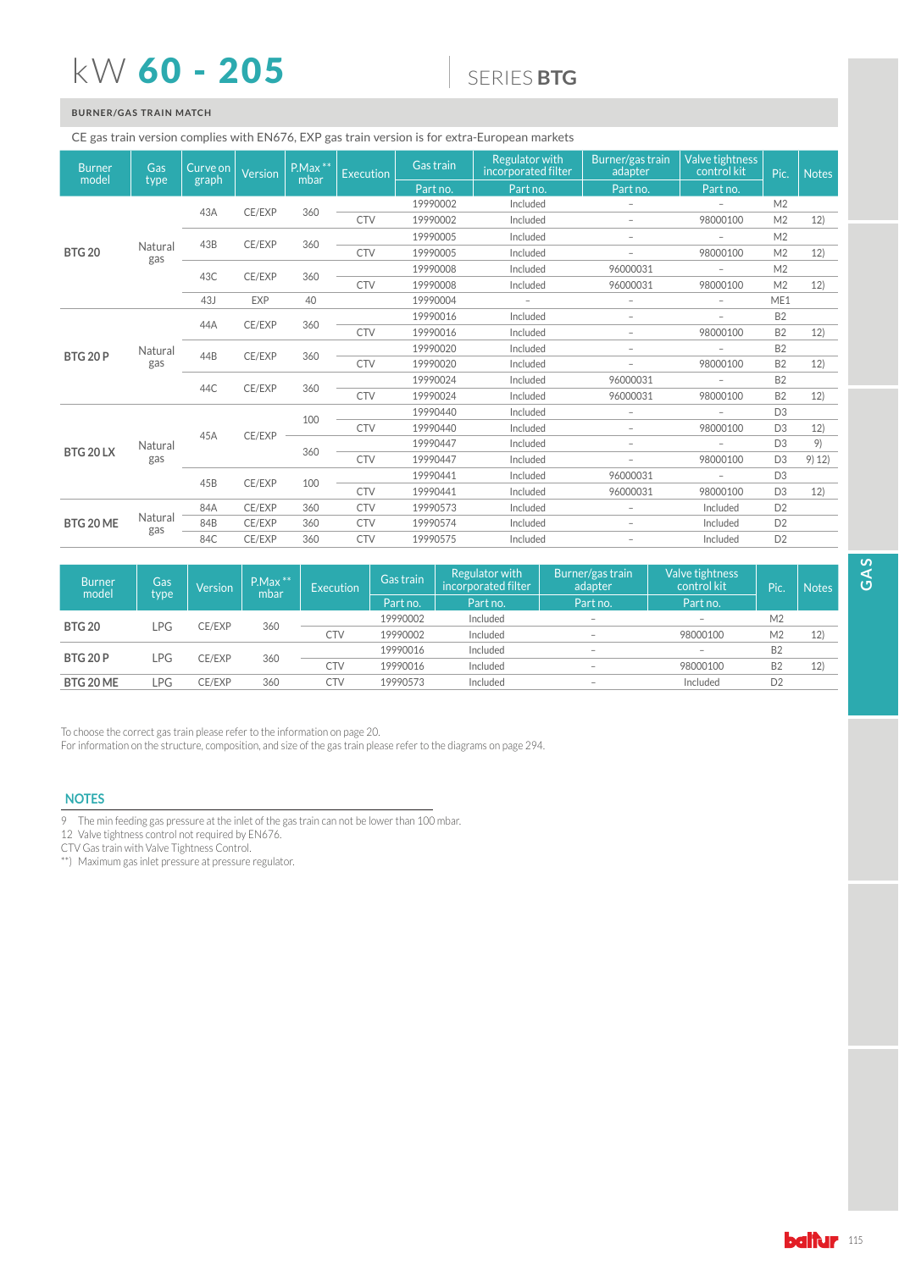# kW 60 - 205

## 6(5,(6**BTG**

## **BURNER/GAS TRAIN MATCH**

### CE gas train version complies with EN676, EXP gas train version is for extra-European markets

| <b>Burner</b><br>model | Gas<br>type    | Curve on<br>graph | <b>Version</b> | $P.Max$ **<br>mbar | <b>Execution</b> | Gas train | <b>Regulator with</b><br>incorporated filter | Burner/gas train<br>adapter | Valve tightness<br>control kit | Pic.           | <b>Notes</b> |
|------------------------|----------------|-------------------|----------------|--------------------|------------------|-----------|----------------------------------------------|-----------------------------|--------------------------------|----------------|--------------|
|                        |                |                   |                |                    |                  | Part no.  | Part no.                                     | Part no.                    | Part no.                       |                |              |
|                        |                | 43A               | CE/EXP         | 360                |                  | 19990002  | Included                                     | $\overline{\phantom{a}}$    | $\overline{\phantom{0}}$       | M <sub>2</sub> |              |
|                        |                |                   |                |                    | <b>CTV</b>       | 19990002  | Included                                     | $\overline{\phantom{a}}$    | 98000100                       | M <sub>2</sub> | 12)          |
|                        |                | 43B               | CE/EXP         | 360                |                  | 19990005  | Included                                     | $\overline{\phantom{a}}$    | $\overline{a}$                 | M <sub>2</sub> |              |
| <b>BTG 20</b>          | Natural<br>gas |                   |                |                    | <b>CTV</b>       | 19990005  | Included                                     | $\overline{\phantom{a}}$    | 98000100                       | M <sub>2</sub> | 12)          |
|                        |                | 43C               | CE/EXP         |                    |                  | 19990008  | Included                                     | 96000031                    | $\overline{a}$                 | M <sub>2</sub> |              |
|                        |                |                   |                | 360                | <b>CTV</b>       | 19990008  | Included                                     | 96000031                    | 98000100                       | M <sub>2</sub> | 12)          |
|                        |                | 43J               | EXP            | 40                 |                  | 19990004  | $\overline{\phantom{a}}$                     | $\overline{\phantom{a}}$    | $\overline{a}$                 | ME1            |              |
|                        |                | 44A               | CE/EXP         | 360                |                  | 19990016  | Included                                     | $\overline{a}$              | $\overline{a}$                 | <b>B2</b>      |              |
|                        |                |                   |                |                    | <b>CTV</b>       | 19990016  | Included                                     | $\overline{\phantom{a}}$    | 98000100                       | <b>B2</b>      | 12)          |
| <b>BTG 20 P</b>        | Natural<br>gas | 44B               | CE/EXP         | 360                |                  | 19990020  | Included                                     | $\overline{\phantom{a}}$    | $\overline{a}$                 | B <sub>2</sub> |              |
|                        |                |                   |                |                    | <b>CTV</b>       | 19990020  | Included                                     | $\overline{\phantom{a}}$    | 98000100                       | <b>B2</b>      | 12)          |
|                        |                | 44C               | CE/EXP         | 360                |                  | 19990024  | Included                                     | 96000031                    | $\overline{a}$                 | B <sub>2</sub> |              |
|                        |                |                   |                |                    | <b>CTV</b>       | 19990024  | Included                                     | 96000031                    | 98000100                       | <b>B2</b>      | 12)          |
|                        |                |                   |                | 100                |                  | 19990440  | Included                                     | $\overline{\phantom{a}}$    | $\overline{a}$                 | D <sub>3</sub> |              |
|                        |                | 45A               | CE/EXP         |                    | <b>CTV</b>       | 19990440  | Included                                     | $\overline{\phantom{a}}$    | 98000100                       | D <sub>3</sub> | 12)          |
| BTG 20 LX              | Natural        |                   |                | 360                |                  | 19990447  | Included                                     | $\overline{\phantom{a}}$    | $\overline{a}$                 | D <sub>3</sub> | 9)           |
|                        | gas            |                   |                |                    | <b>CTV</b>       | 19990447  | Included                                     | $\overline{\phantom{a}}$    | 98000100                       | D <sub>3</sub> | 9) 12)       |
|                        |                | 45B               | CE/EXP         | 100                |                  | 19990441  | Included                                     | 96000031                    | $\qquad \qquad -$              | D <sub>3</sub> |              |
|                        |                |                   |                |                    | <b>CTV</b>       | 19990441  | Included                                     | 96000031                    | 98000100                       | D <sub>3</sub> | 12)          |
|                        |                | 84A               | CE/EXP         | 360                | <b>CTV</b>       | 19990573  | Included                                     | $\overline{\phantom{a}}$    | Included                       | D <sub>2</sub> |              |
| BTG 20 ME              | Natural        | 84B               | CE/EXP         | 360                | <b>CTV</b>       | 19990574  | Included                                     | $\overline{\phantom{a}}$    | Included                       | D <sub>2</sub> |              |
|                        | gas            | 84C               | CE/EXP         | 360                | <b>CTV</b>       | 19990575  | Included                                     | $\overline{\phantom{a}}$    | Included                       | D <sub>2</sub> |              |

| <b>Burner</b><br>model | Gas<br>type | <b>Version</b> | $P.Max$ **<br>mbar | Execution  | Regulator with<br>Gas train<br>incorporated filter<br>Part no.<br>Part no. |          | Burner/gas train<br>adapter<br>Part no. | Valve tightness<br>control kit<br>Part no. | (Pic.          | <b>Notes</b> |
|------------------------|-------------|----------------|--------------------|------------|----------------------------------------------------------------------------|----------|-----------------------------------------|--------------------------------------------|----------------|--------------|
|                        |             |                |                    |            | 19990002                                                                   | Included | $\overline{\phantom{0}}$                | $\overline{\phantom{a}}$                   | M <sub>2</sub> |              |
| <b>BTG 20</b><br>LPG   |             | <b>CE/EXP</b>  | 360                |            |                                                                            |          |                                         |                                            |                |              |
|                        |             |                |                    | <b>CTV</b> | 19990002                                                                   | Included | $\overline{\phantom{0}}$                | 98000100                                   | M <sub>2</sub> | 12)          |
|                        |             | CE/EXP         | 360                |            | 19990016                                                                   | Included | $\overline{\phantom{a}}$                | $\overline{\phantom{a}}$                   | <b>B2</b>      |              |
| <b>BTG 20 P</b><br>LPG |             |                |                    | <b>CTV</b> | 19990016                                                                   | Included | $\overline{\phantom{0}}$                | 98000100                                   | B <sub>2</sub> | 12)          |
| BTG 20 ME              | LPG         | CE/EXP         | 360                | <b>CTV</b> | 19990573                                                                   | Included | $\overline{\phantom{0}}$                | Included                                   | D <sub>2</sub> |              |

To choose the correct gas train please refer to the information on page 20.

For information on the structure, composition, and size of the gas train please refer to the diagrams on page 294.

### **NOTES**

7 The min feeding gas pressure at the inlet of the gas train can not be lower than 100 mbar.

12 Valve tightness control not required by EN676.

CTV Gas train with Valve Tightness Control.

\*\*) Maximum gas inlet pressure at pressure regulator.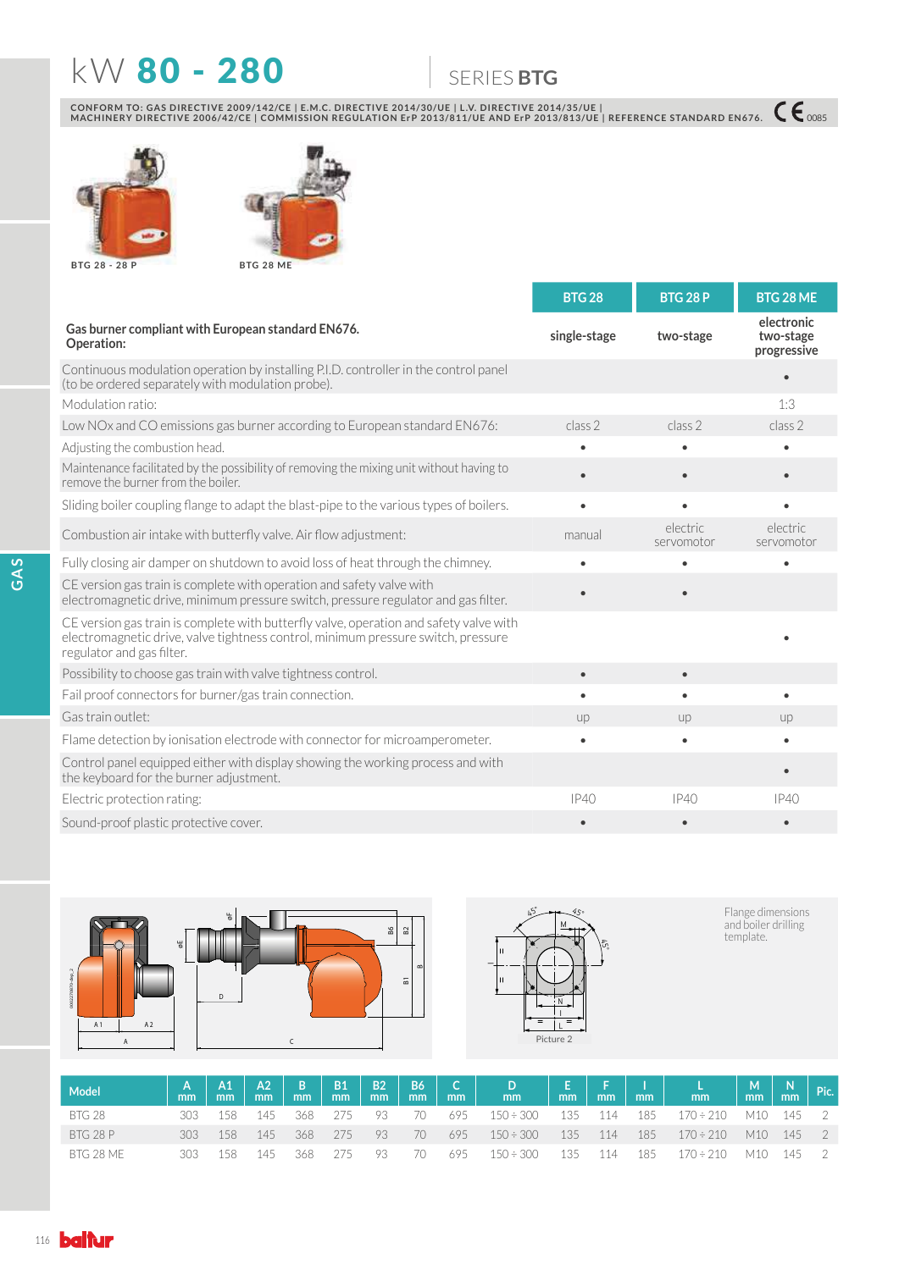## **KW 80 - 280 6 SERIES BTG**

CONFORM TO: GAS DIRECTIVE 2009/142/CE | E.M.C. DIRECTIVE 2014/30/UE | L.V. DIRECTIVE 2014/35/UE |<br>MACHINERY DIRECTIVE 2006/42/CE | COMMISSION REGULATION ErP 2013/811/UE AND ErP 2013/813/UE | REFERENCE STANDARD EN676. 【€ 00





**BTG 20 - 20 P 28 28** 

**BTG 28 ME**

|                                                                                                                                                                                                          | <b>BTG 28</b> | <b>BTG 28 P</b>        | BTG 28 ME                              |
|----------------------------------------------------------------------------------------------------------------------------------------------------------------------------------------------------------|---------------|------------------------|----------------------------------------|
| Gas burner compliant with European standard EN676.<br>Operation:                                                                                                                                         | single-stage  | two-stage              | electronic<br>two-stage<br>progressive |
| Continuous modulation operation by installing P.I.D. controller in the control panel<br>(to be ordered separately with modulation probe).                                                                |               |                        |                                        |
| Modulation ratio:                                                                                                                                                                                        |               |                        | 1:3                                    |
| Low NOx and CO emissions gas burner according to European standard EN676:                                                                                                                                | class 2       | class 2                | class 2                                |
| Adjusting the combustion head.                                                                                                                                                                           |               |                        |                                        |
| Maintenance facilitated by the possibility of removing the mixing unit without having to<br>remove the burner from the boiler.                                                                           | $\bullet$     |                        |                                        |
| Sliding boiler coupling flange to adapt the blast-pipe to the various types of boilers.                                                                                                                  | $\bullet$     |                        |                                        |
| Combustion air intake with butterfly valve. Air flow adjustment:                                                                                                                                         | manual        | electric<br>servomotor | electric<br>servomotor                 |
| Fully closing air damper on shutdown to avoid loss of heat through the chimney.                                                                                                                          |               |                        |                                        |
| CE version gas train is complete with operation and safety valve with<br>electromagnetic drive, minimum pressure switch, pressure regulator and gas filter.                                              |               |                        |                                        |
| CE version gas train is complete with butterfly valve, operation and safety valve with<br>electromagnetic drive, valve tightness control, minimum pressure switch, pressure<br>regulator and gas filter. |               |                        |                                        |
| Possibility to choose gas train with valve tightness control.                                                                                                                                            | $\bullet$     |                        |                                        |
| Fail proof connectors for burner/gas train connection.                                                                                                                                                   | $\bullet$     | $\bullet$              |                                        |
| Gas train outlet:                                                                                                                                                                                        | up            | up                     | up                                     |
| Flame detection by ionisation electrode with connector for microamperometer.                                                                                                                             | $\bullet$     | $\bullet$              |                                        |
| Control panel equipped either with display showing the working process and with<br>the keyboard for the burner adjustment.                                                                               |               |                        |                                        |
| Electric protection rating:                                                                                                                                                                              | IP40          | IP40                   | IP40                                   |
| Sound-proof plastic protective cover.                                                                                                                                                                    |               |                        |                                        |





Flange dimensions<br>and boiler drilling<br>template.

| <b>Model</b> | mm | A1<br>mm | mm  | $A2$ $B$<br>mm | $-B1$<br>mm | mm   | B2   B6  <br>mm' | m <sub>m</sub> | C   D  <br>ımm'            | mm | mm'     | mm  | mm                             | $\mid$ M $\mid$<br>mm/ | $\begin{array}{ c c } \hline N & \text{Pic.} \end{array}$ |  |
|--------------|----|----------|-----|----------------|-------------|------|------------------|----------------|----------------------------|----|---------|-----|--------------------------------|------------------------|-----------------------------------------------------------|--|
| BTG 28       |    | 158      | 145 | 368 275        |             | -93. | $\sqrt{2}$       |                | 695 150÷300                |    | 135 114 | 185 | 170÷210 M10 145 2              |                        |                                                           |  |
| BTG 28 P     |    | 158      | 145 |                | 368 275     | - 93 | -70              | 695            | $150 \div 300$ $135$ $114$ |    |         |     | $185$ $170 \div 210$ M10 145 2 |                        |                                                           |  |
| BTG 28 ME    |    | 158      | 145 | 368            | 2/5         | 93   | 70               | 695            | $150 \div 300$             |    | 135 114 | 185 | $170 \div 210$ M10 145 2       |                        |                                                           |  |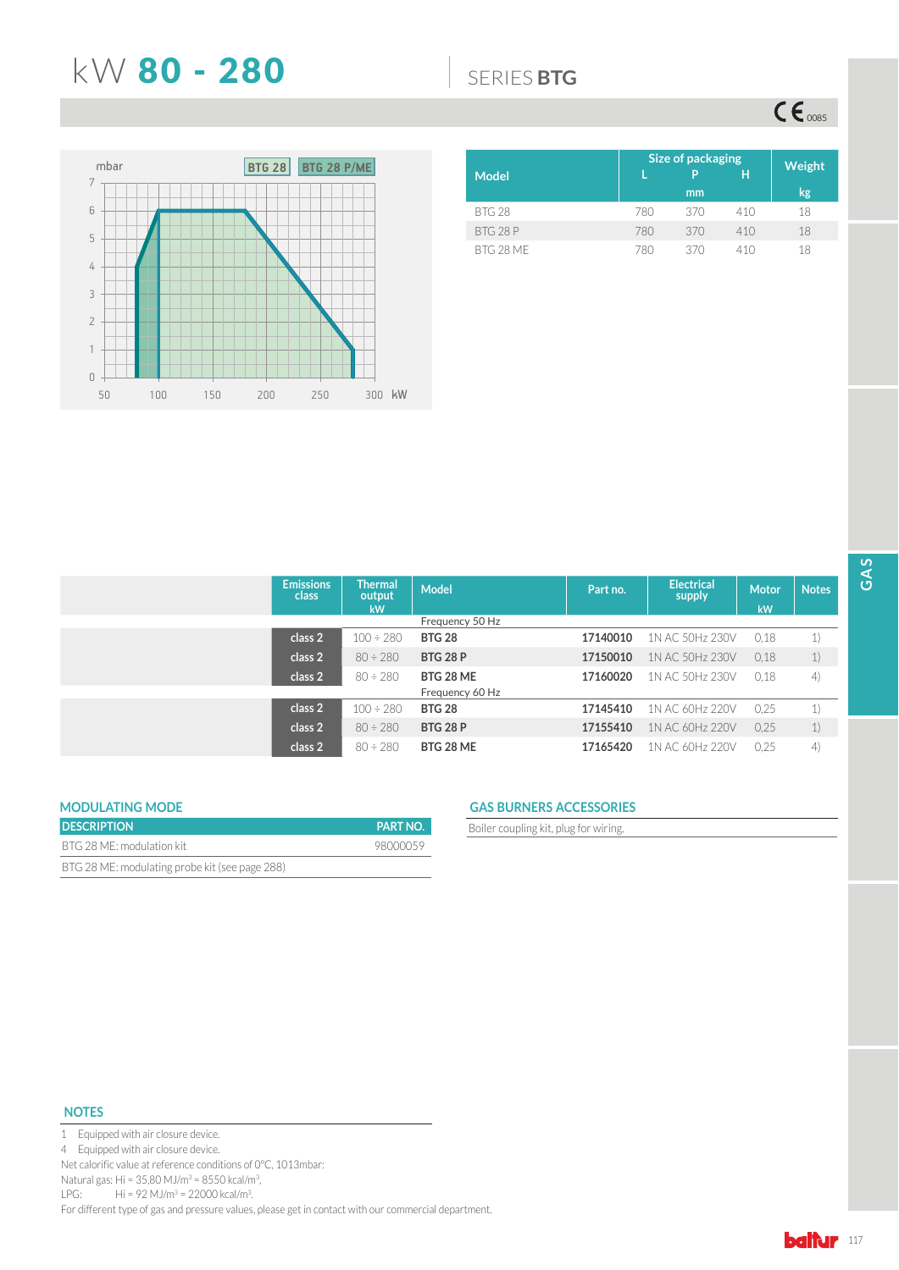## N: 80 - 280 6(5,(6**BTG**

 $CE_{\text{0085}}$ 



|           | Size of packaging | Weight |     |    |
|-----------|-------------------|--------|-----|----|
| Model     |                   | P      | Н   |    |
|           |                   | mm     |     | kg |
| BTG 28    | 780               | 370    | 410 | 18 |
| BTG 28 P  | 780               | 370    | 410 | 18 |
| BTG 28 MF | 780               | 370    | 410 | 18 |

| <b>Emissions</b><br>class | <b>Thermal</b><br>output<br>kW | <b>Model</b>    | Part no. | <b>Electrical</b><br>supply | Motor<br>kW | <b>Notes</b> |
|---------------------------|--------------------------------|-----------------|----------|-----------------------------|-------------|--------------|
|                           |                                | Frequency 50 Hz |          |                             |             |              |
| class 2                   | $100 \div 280$                 | <b>BTG 28</b>   | 17140010 | 1N AC 50Hz 230V             | 0,18        | 1)           |
| class 2                   | $80 \div 280$                  | <b>BTG 28 P</b> | 17150010 | 1N AC 50Hz 230V             | 0,18        | 1)           |
| class 2                   | $80 \div 280$                  | BTG 28 ME       | 17160020 | 1N AC 50Hz 230V             | 0.18        | 4)           |
|                           |                                | Frequency 60 Hz |          |                             |             |              |
| class 2                   | $100 \div 280$                 | <b>BTG 28</b>   | 17145410 | 1N AC 60Hz 220V             | 0.25        | 1)           |
| class 2                   | $80 \div 280$                  | <b>BTG 28 P</b> | 17155410 | 1N AC 60Hz 220V             | 0.25        | 1)           |
| class 2                   | $80 \div 280$                  | BTG 28 ME       | 17165420 | 1N AC 60Hz 220V             | 0.25        | 4)           |

| <b>MODULATING MODE</b>                         |                 |
|------------------------------------------------|-----------------|
| <b>DESCRIPTION</b>                             | <b>PART NO.</b> |
| BTG 28 ME: modulation kit                      | 98000059        |
| BTG 28 ME: modulating probe kit (see page 288) |                 |

## **MODULATING MODE GAS BURNERS ACCESSORIES**

**Boiler coupling kit, plug for wiring.** 

## **NOTES**

1 Equipped with air closure device.

4 Equipped with air closure device.

Net calorific value at reference conditions of 0°C, 1013mbar:

Natural gas: Hi = 35,80 MJ/m<sup>3</sup> = 8550 kcal/m<sup>3</sup>,

LPG: Hi = 92 MJ/m<sup>3</sup> = 22000 kcal/m<sup>3</sup>.

For different type of gas and pressure values, please get in contact with our commercial department.

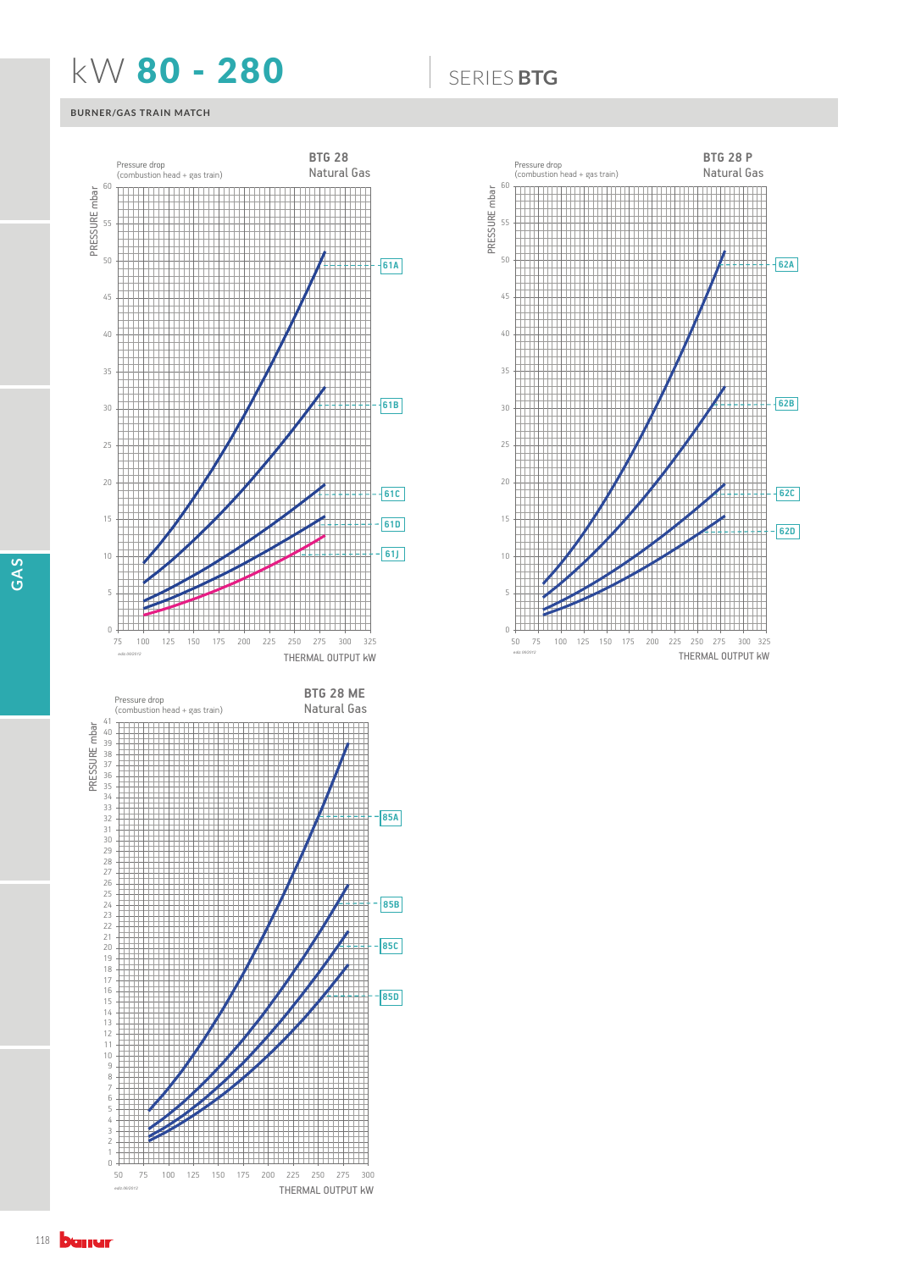## **KW 80 - 280** 6ERIES BTG

### **BURNER/GAS TRAIN MATCH**



THERMAL OUTPUT kW





*ediz.06/2012*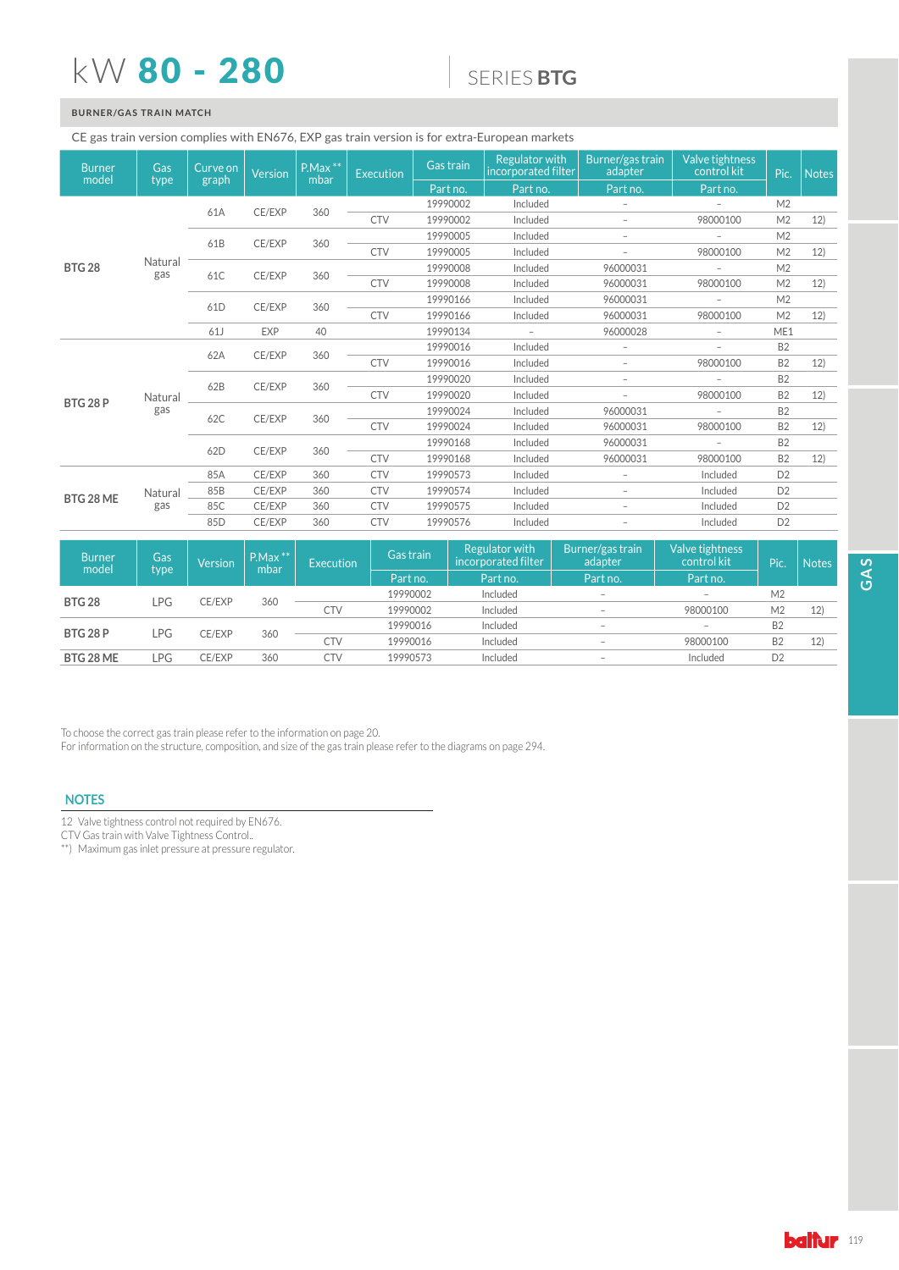## kW 80 - 280

## 6(5,(6**BTG**

## **BURNER/GAS TRAIN MATCH**

### CE gas train version complies with EN676, EXP gas train version is for extra-European markets

| <b>Burner</b><br>model | Gas<br>type    | Curve on<br>graph | <b>Version</b>  | P.Max **<br>mbar | Execution  | Gas train  | <b>Regulator with</b><br>incorporated filter | Burner/gas train<br>adapter | Valve tightness<br>control kit | Pic.           | Notes          |  |
|------------------------|----------------|-------------------|-----------------|------------------|------------|------------|----------------------------------------------|-----------------------------|--------------------------------|----------------|----------------|--|
|                        |                |                   |                 |                  |            | Part no.   | Part no.                                     | Part no.                    | Part no.                       |                |                |  |
|                        |                | 61A               | CE/EXP          | 360              |            | 19990002   | Included                                     | $\overline{\phantom{a}}$    |                                | M <sub>2</sub> |                |  |
|                        |                |                   |                 |                  | <b>CTV</b> | 19990002   | Included                                     | $\overline{\phantom{a}}$    | 98000100                       | M <sub>2</sub> | 12)            |  |
|                        |                | 61B               |                 | 360              |            | 19990005   | Included                                     | $\overline{\phantom{a}}$    | $\overline{\phantom{a}}$       | M <sub>2</sub> |                |  |
|                        |                |                   | CE/EXP          |                  | <b>CTV</b> | 19990005   | Included                                     | $\overline{\phantom{a}}$    | 98000100                       | M <sub>2</sub> | 12)            |  |
| <b>BTG 28</b>          | Natural<br>gas | 61C               | CE/EXP          | 360              |            | 19990008   | Included                                     | 96000031                    | $\overline{\phantom{a}}$       | M <sub>2</sub> |                |  |
|                        |                |                   |                 |                  | <b>CTV</b> | 19990008   | Included                                     | 96000031                    | 98000100                       | M <sub>2</sub> | 12)            |  |
|                        |                |                   |                 | 360              |            | 19990166   | Included                                     | 96000031                    | $\overline{\phantom{0}}$       | M <sub>2</sub> |                |  |
|                        |                | 61 <sub>D</sub>   | CE/EXP          |                  | <b>CTV</b> | 19990166   | Included                                     | 96000031                    | 98000100                       | M <sub>2</sub> | 12)            |  |
|                        |                | 61J               | <b>EXP</b>      | 40               |            | 19990134   | $\overline{\phantom{a}}$                     | 96000028                    | $\overline{\phantom{a}}$       | ME1            |                |  |
|                        |                | 62A               | CE/EXP          | 360              |            | 19990016   | Included                                     | $\overline{\phantom{a}}$    | $\overline{\phantom{0}}$       | <b>B2</b>      |                |  |
|                        |                |                   |                 |                  | <b>CTV</b> | 19990016   | Included                                     | $\overline{\phantom{a}}$    | 98000100                       | <b>B2</b>      | 12)            |  |
|                        |                | 62B               |                 | 360              |            | 19990020   | Included                                     | $\overline{\phantom{a}}$    | $\overline{\phantom{a}}$       | <b>B2</b>      |                |  |
| <b>BTG 28 P</b>        | Natural        |                   | CE/EXP          |                  | <b>CTV</b> | 19990020   | Included                                     | $\overline{\phantom{a}}$    | 98000100                       | <b>B2</b>      | 12)            |  |
|                        | gas            |                   |                 | 360              |            | 19990024   | Included                                     | 96000031                    | $\overline{\phantom{a}}$       | <b>B2</b>      |                |  |
|                        |                | 62C               | CE/EXP          |                  | <b>CTV</b> | 19990024   | Included                                     | 96000031                    | 98000100                       | <b>B2</b>      | 12)            |  |
|                        |                | 62D               | CE/EXP          | 360              |            | 19990168   | Included                                     | 96000031                    | $\overline{a}$                 | <b>B2</b>      |                |  |
|                        |                |                   |                 |                  | <b>CTV</b> | 19990168   | Included                                     | 96000031                    | 98000100                       | <b>B2</b>      | 12)            |  |
|                        |                | 85A               | CE/EXP          | 360              | <b>CTV</b> | 19990573   | Included                                     | $\overline{\phantom{a}}$    | Included                       | D <sub>2</sub> |                |  |
|                        | Natural        | 85B               | CE/EXP          | 360              | <b>CTV</b> | 19990574   | Included                                     | $\overline{\phantom{a}}$    | Included                       | D <sub>2</sub> |                |  |
| BTG 28 ME              | gas            | 85C               | CE/EXP          | 360              | <b>CTV</b> | 19990575   | Included                                     | $\overline{\phantom{a}}$    | Included                       | D <sub>2</sub> |                |  |
|                        |                |                   | 85 <sub>D</sub> | CE/EXP           | 360        | <b>CTV</b> | 19990576                                     | Included                    | $\qquad \qquad -$              | Included       | D <sub>2</sub> |  |

| <b>Burner</b><br>model         | Gas | <b>Version</b> | $P.Max$ **<br>mbar | Execution | Gas train | Regulator with<br>incorporated filter | Burner/gas train<br>adapter | Valve tightness<br>control kit | Pic.           | <b>Notes</b> |  |  |  |          |          |                          |                          |           |  |
|--------------------------------|-----|----------------|--------------------|-----------|-----------|---------------------------------------|-----------------------------|--------------------------------|----------------|--------------|--|--|--|----------|----------|--------------------------|--------------------------|-----------|--|
| type                           |     |                |                    | Part no.  | Part no.  | Part no.                              | Part no.                    |                                |                |              |  |  |  |          |          |                          |                          |           |  |
| <b>BTG 28</b><br>LPG<br>CE/EXP |     | 360            |                    | 19990002  | Included  | $\overline{\phantom{a}}$              | $\overline{\phantom{a}}$    | M <sub>2</sub>                 |                |              |  |  |  |          |          |                          |                          |           |  |
|                                |     |                |                    | CTV       | 19990002  | Included                              | $\overline{\phantom{a}}$    | 98000100                       | M <sub>2</sub> | 12)          |  |  |  |          |          |                          |                          |           |  |
|                                |     |                |                    |           |           |                                       |                             |                                |                | CE/EXP       |  |  |  | 19990016 | Included | $\overline{\phantom{a}}$ | $\overline{\phantom{a}}$ | <b>B2</b> |  |
| <b>BTG 28 P</b>                | LPG |                | 360                | CTV       | 19990016  | Included                              | $\overline{\phantom{a}}$    | 98000100                       | <b>B2</b>      | 12)          |  |  |  |          |          |                          |                          |           |  |
| BTG 28 ME                      | LPG | CE/EXP         | 360                | CTV       | 19990573  | Included                              | $\overline{\phantom{a}}$    | Included                       | D2             |              |  |  |  |          |          |                          |                          |           |  |

To choose the correct gas train please refer to the information on page 20.

For information on the structure, composition, and size of the gas train please refer to the diagrams on page 294.

## **NOTES**

12 Valve tightness control not required by EN676.

CTV Gas train with Valve Tightness Control..

\*\*) Maximum gas inlet pressure at pressure regulator.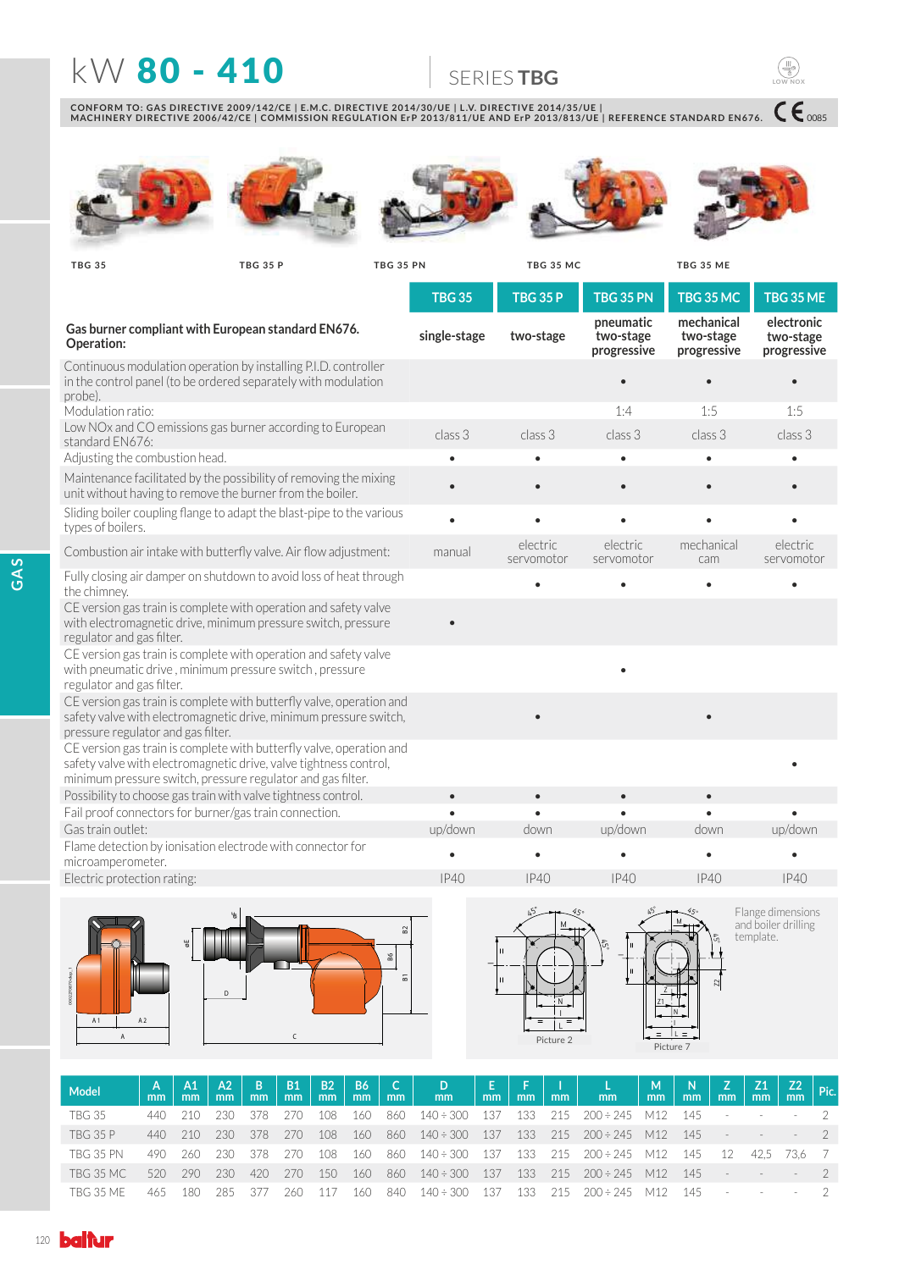## **KW 80 - 410 SERIESTBG**

CONFORM TO: GAS DIRECTIVE 2009/142/CE | E.M.C. DIRECTIVE 2014/30/UE | L.V. DIRECTIVE 2014/35/UE |<br>MACHINERY DIRECTIVE 2006/42/CE | COMMISSION REGULATION ErP 2013/811/UE AND ErP 2013/813/UE | REFERENCE STANDARD EN676.











 $C\epsilon_{\text{0085}}$ 

**LOW NOX**

**TBG 35 TBG 35 PN TBG 35 P TBG 35 MC TBG 35 ME**

|                                                                                                                                                                                                          | <b>TBG 35</b> | <b>TBG 35 P</b>        | <b>TBG 35 PN</b>                      | <b>TBG 35 MC</b>                       | TBG 35 ME                              |
|----------------------------------------------------------------------------------------------------------------------------------------------------------------------------------------------------------|---------------|------------------------|---------------------------------------|----------------------------------------|----------------------------------------|
| Gas burner compliant with European standard EN676.<br>Operation:                                                                                                                                         | single-stage  | two-stage              | pneumatic<br>two-stage<br>progressive | mechanical<br>two-stage<br>progressive | electronic<br>two-stage<br>progressive |
| Continuous modulation operation by installing P.I.D. controller<br>in the control panel (to be ordered separately with modulation<br>probe).                                                             |               |                        | $\bullet$                             | $\bullet$                              | $\bullet$                              |
| Modulation ratio:                                                                                                                                                                                        |               |                        | 1:4                                   | 1:5                                    | 1:5                                    |
| Low NOx and CO emissions gas burner according to European<br>standard EN676:                                                                                                                             | class 3       | class 3                | class 3                               | class 3                                | class 3                                |
| Adjusting the combustion head.                                                                                                                                                                           | $\bullet$     | $\bullet$              | $\bullet$                             | $\bullet$                              | $\bullet$                              |
| Maintenance facilitated by the possibility of removing the mixing<br>unit without having to remove the burner from the boiler.                                                                           | $\bullet$     | $\bullet$              | $\bullet$                             | $\bullet$                              |                                        |
| Sliding boiler coupling flange to adapt the blast-pipe to the various<br>types of boilers.                                                                                                               | $\bullet$     |                        |                                       |                                        |                                        |
| Combustion air intake with butterfly valve. Air flow adjustment:                                                                                                                                         | manual        | electric<br>servomotor | electric<br>servomotor                | mechanical<br>cam                      | electric<br>servomotor                 |
| Fully closing air damper on shutdown to avoid loss of heat through<br>the chimney.                                                                                                                       |               |                        |                                       | $\bullet$                              |                                        |
| CE version gas train is complete with operation and safety valve<br>with electromagnetic drive, minimum pressure switch, pressure<br>regulator and gas filter.                                           |               |                        |                                       |                                        |                                        |
| CE version gas train is complete with operation and safety valve<br>with pneumatic drive, minimum pressure switch, pressure<br>regulator and gas filter.                                                 |               |                        |                                       |                                        |                                        |
| CE version gas train is complete with butterfly valve, operation and<br>safety valve with electromagnetic drive, minimum pressure switch,<br>pressure regulator and gas filter.                          |               |                        |                                       |                                        |                                        |
| CE version gas train is complete with butterfly valve, operation and<br>safety valve with electromagnetic drive, valve tightness control,<br>minimum pressure switch, pressure regulator and gas filter. |               |                        |                                       |                                        |                                        |
| Possibility to choose gas train with valve tightness control.                                                                                                                                            | $\bullet$     | $\bullet$              | $\bullet$                             | $\bullet$                              |                                        |
| Fail proof connectors for burner/gas train connection.                                                                                                                                                   |               |                        | $\bullet$                             | $\bullet$                              | $\bullet$                              |
| Gas train outlet:                                                                                                                                                                                        | up/down       | down                   | up/down                               | down                                   | up/down                                |
| Flame detection by ionisation electrode with connector for<br>microamperometer.                                                                                                                          |               | $\bullet$              |                                       |                                        |                                        |
| Electric protection rating:                                                                                                                                                                              | IP40          | IP40                   | IP40                                  | IP40                                   | IP40                                   |
| $\mathbf{u}_\mathrm{c}$ .                                                                                                                                                                                |               | $45 - 45$              |                                       | <b>95 - مستقطع س</b> رگنا              | Elange dimensions                      |







Flange dimensions<br>and boiler drilling<br>template.

| Model            | mm   | A1<br>mm | AA2<br>mm | - B 1<br>mm | <b>B1</b><br>mm | <b>B2</b><br>mm | m <sub>m</sub> | B6   C  <br>mm | $\vert$ $\vert$ D $\vert$ $\vert$<br>mm   |  | E F Imm L Imm       | $\begin{array}{ c c c c }\hline \texttt{M} & \texttt{N} & \textbf{N} \\\hline \end{array}$<br>mm | mm    | mm     | Z1 <br>m <sub>m</sub> | $\frac{Z2}{mm}$ Pic. |  |
|------------------|------|----------|-----------|-------------|-----------------|-----------------|----------------|----------------|-------------------------------------------|--|---------------------|--------------------------------------------------------------------------------------------------|-------|--------|-----------------------|----------------------|--|
| <b>TBG 35</b>    | 440  | - 210    | 230-      | 378         | 270             | 108             | 160            | 860            | 140÷300 137 133 215 200÷245 M12 145       |  |                     |                                                                                                  |       | $\sim$ |                       |                      |  |
| <b>TBG 35 P</b>  | 440  | 210      | 230.      | 378         | -270            | 108             | - 160          |                | 860 140÷300 137 133 215 200÷245 M12 145 - |  |                     |                                                                                                  |       |        |                       |                      |  |
| <b>TBG 35 PN</b> | 490. | 260.     | -230-     | -378        | - 270           | 108             | - 160          |                | 860 140÷300 137 133 215 200÷245 M12 145   |  |                     |                                                                                                  |       | -12    |                       | 42.5 73.6 7          |  |
| TBG 35 MC        | 520  | 290      | 230       | 420         | -270            | 150             | - 160          |                | 860 140÷300 137 133 215 200÷245 M12 145   |  |                     |                                                                                                  |       | $\sim$ |                       |                      |  |
| TBG 35 ME        | 465  | 180      | 285       | -377        | 260.            | 11/             | 160            | 840            | 140÷300 137                               |  | 133 215 200÷245 M12 |                                                                                                  | - 145 |        |                       |                      |  |

B1 B2

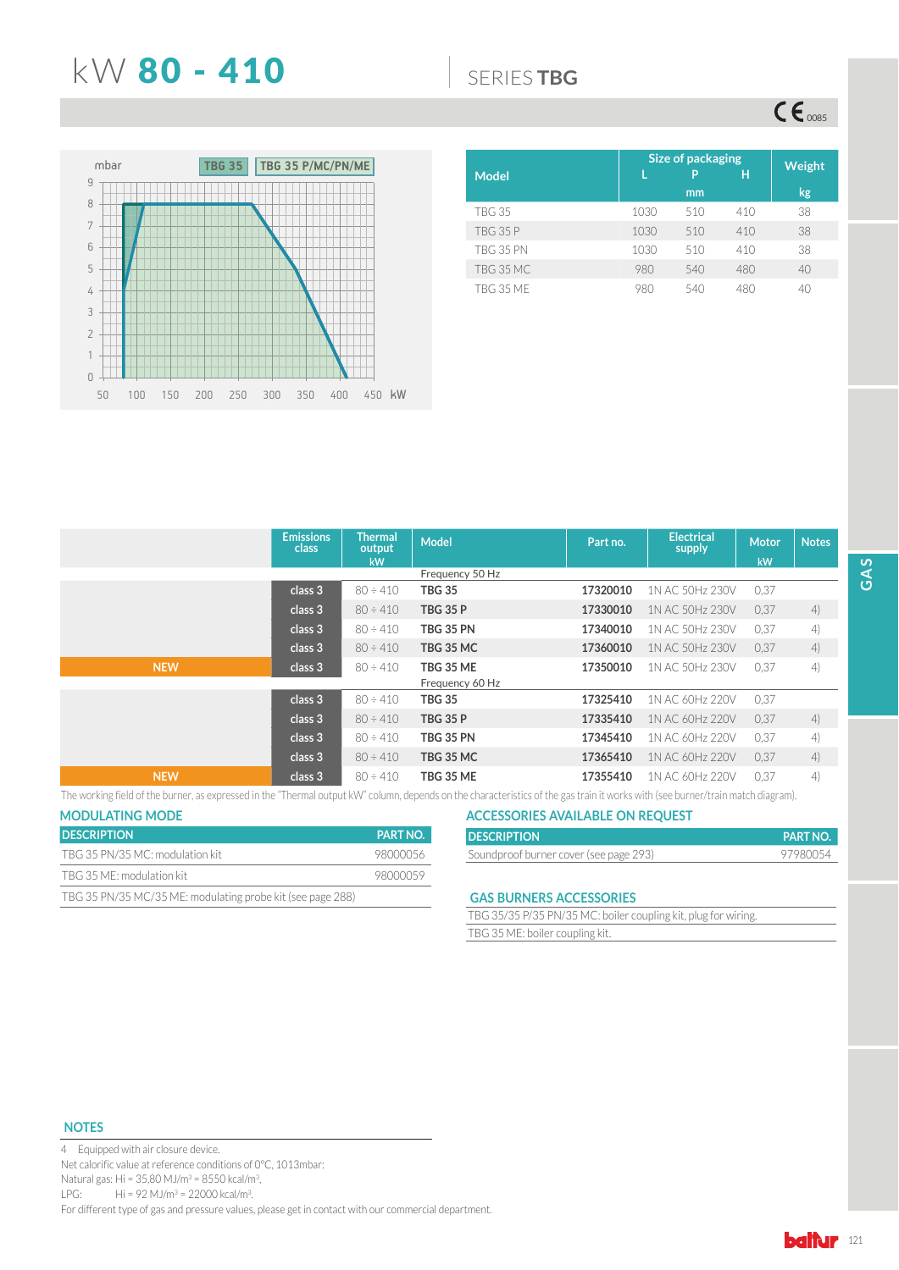## **KW 80 - 410 6FRIESTBG**

 $CE_{\text{0085}}$ 



|                  | Size of packaging | Weight |     |              |
|------------------|-------------------|--------|-----|--------------|
| <b>Model</b>     |                   | P      | н   |              |
|                  |                   | mm     |     | kg,          |
| <b>TBG 35</b>    | 1030              | 510    | 410 | 38           |
| <b>TBG 35 P</b>  | 1030              | 510    | 410 | 38           |
| <b>TBG 35 PN</b> | 1030              | 510    | 410 | 38           |
| TBG 35 MC        | 980               | 540    | 480 | 40           |
| <b>TBG 35 MF</b> | 980               | 540    | 480 | $40^{\circ}$ |

|            | <b>Emissions</b><br>class | Thermal<br>output<br>kW | <b>Model</b>                        | Part no. | <b>Electrical</b><br>supply | <b>Motor</b><br>kW | <b>Notes</b> |
|------------|---------------------------|-------------------------|-------------------------------------|----------|-----------------------------|--------------------|--------------|
|            |                           |                         | Frequency 50 Hz                     |          |                             |                    |              |
|            | class 3                   | $80 \div 410$           | TBG 35                              | 17320010 | 1N AC 50Hz 230V             | 0.37               |              |
|            | class 3                   | $80 \div 410$           | <b>TBG 35 P</b>                     | 17330010 | 1N AC 50Hz 230V             | 0.37               | 4)           |
|            | class 3                   | $80 \div 410$           | <b>TBG 35 PN</b>                    | 17340010 | 1N AC 50Hz 230V             | 0.37               | 4)           |
|            | class 3                   | $80 \div 410$           | <b>TBG 35 MC</b>                    | 17360010 | 1N AC 50Hz 230V             | 0.37               | 4)           |
| <b>NEW</b> | class <sub>3</sub>        | $80 \div 410$           | <b>TBG 35 ME</b><br>Frequency 60 Hz | 17350010 | 1N AC 50Hz 230V             | 0.37               | 4)           |
|            | class 3                   | $80 \div 410$           | <b>TBG 35</b>                       | 17325410 | 1N AC 60Hz 220V             | 0.37               |              |
|            | class 3                   | $80 \div 410$           | <b>TBG 35 P</b>                     | 17335410 | 1N AC 60Hz 220V             | 0.37               | 4)           |
|            | class 3                   | $80 \div 410$           | <b>TBG 35 PN</b>                    | 17345410 | 1N AC 60Hz 220V             | 0.37               | 4)           |
|            | class 3                   | $80 \div 410$           | <b>TBG 35 MC</b>                    | 17365410 | 1N AC 60Hz 220V             | 0.37               | 4)           |
| <b>NEW</b> | class 3                   | $80 \div 410$           | TBG 35 ME                           | 17355410 | 1N AC 60Hz 220V             | 0.37               | 4)           |

The working field of the burner, as expressed in the "Thermal output kW" column, depends on the characteristics of the gas train it works with (see burner/train match diagram).

| <b>MODULATING MODE</b>                                     |                 |
|------------------------------------------------------------|-----------------|
| <b>DESCRIPTION</b>                                         | <b>PART NO.</b> |
| TBG 35 PN/35 MC: modulation kit                            | 98000056        |
| TBG 35 ME: modulation kit                                  | 98000059        |
| TBG 35 PN/35 MC/35 ME: modulating probe kit (see page 288) |                 |

| <b>ACCESSORIES AVAILABLE ON REQUEST</b> |                 |
|-----------------------------------------|-----------------|
| <b>DESCRIPTION</b>                      | <b>PART NO.</b> |
| Soundproof burner cover (see page 293)  | 97980054        |

### **GAS BURNERS ACCESSORIES**

TBG 35/35 P/35 PN/35 MC: boiler coupling kit, plug for wiring. TBG 35 ME: boiler coupling kit.

### **NOTES**

4 Equipped with air closure device. Net calorific value at reference conditions of 0°C, 1013mbar: Natural gas: Hi =  $35,80$  MJ/m<sup>3</sup> =  $8550$  kcal/m<sup>3</sup>, LPG: Hi = 92 MJ/m<sup>3</sup> = 22000 kcal/m<sup>3</sup>. For different type of gas and pressure values, please get in contact with our commercial department.

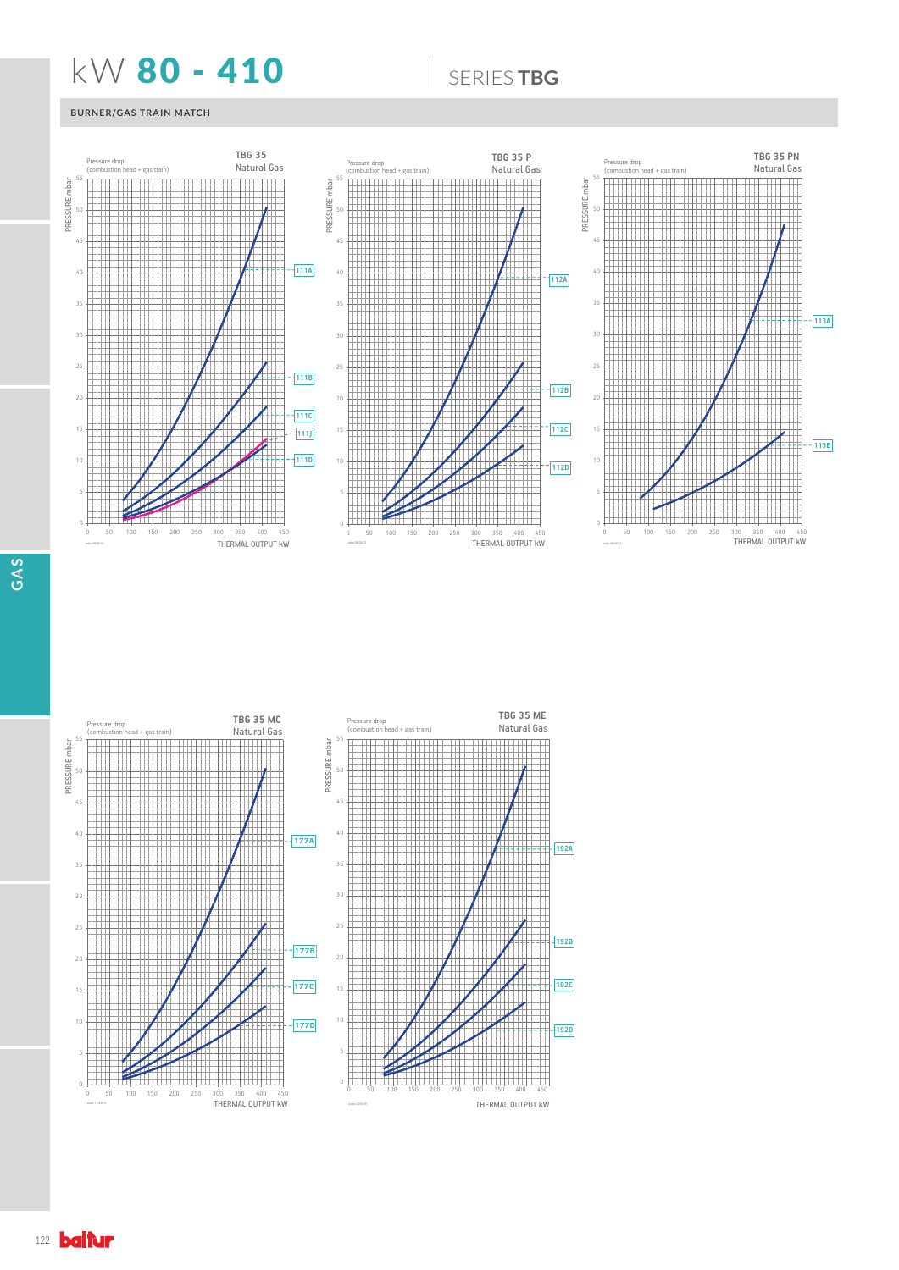## **KW 80 - 410 6 SERIESTBG**

## **BURNER/GAS TRAIN MATCH**



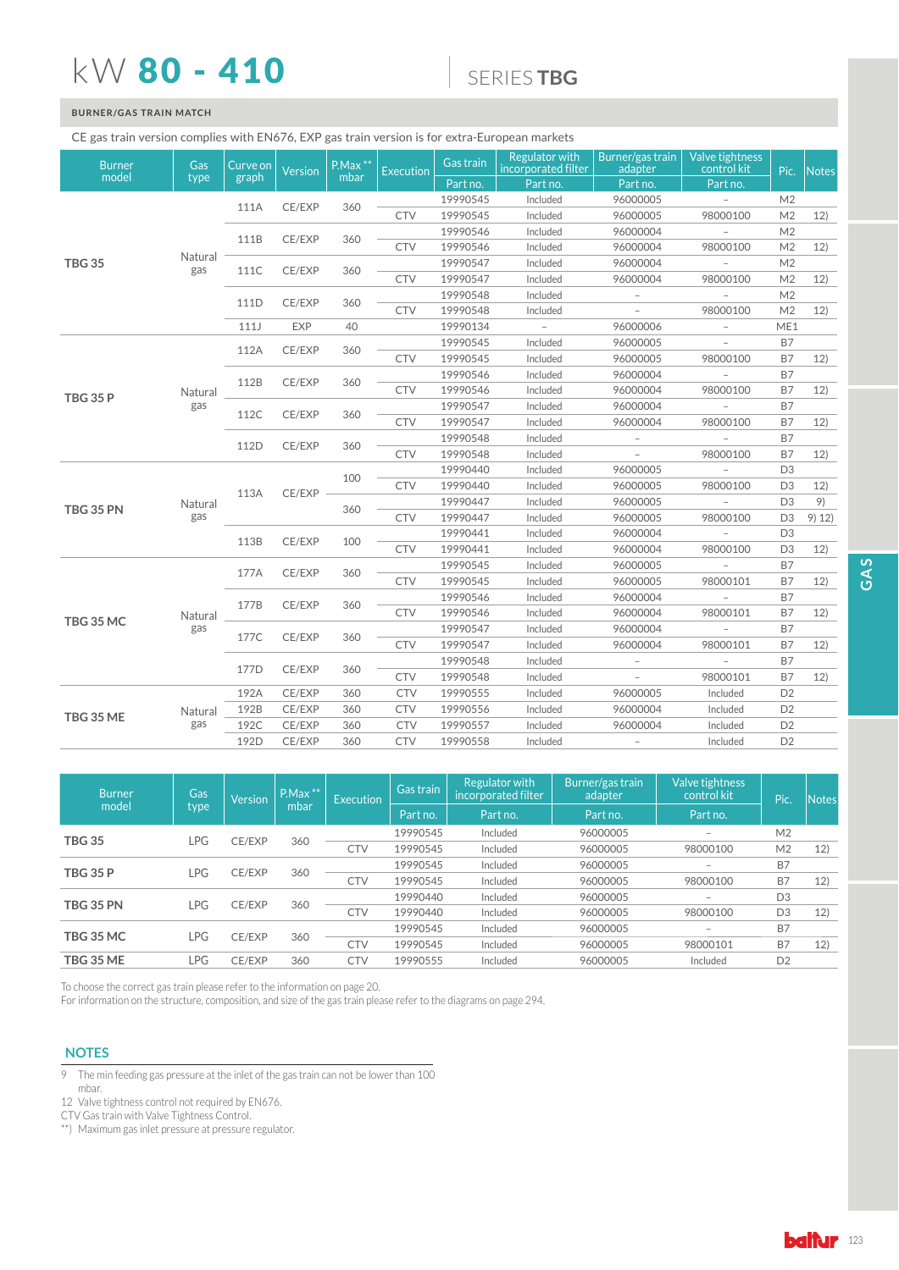## kW 80 - 410

## 6(5,(6**TBG**

## **BURNER/GAS TRAIN MATCH**

### CE gas train version complies with EN676, EXP gas train version is for extra-European markets

| <b>Burner</b>    | Gas            | Curve on | Version    | $PMax**$ | <b>Execution</b> | Gas train | <b>Regulator with</b><br>incorporated filter | Burner/gas train<br>adapter | Valve tightness<br>control kit | Pic.           | Notes  |
|------------------|----------------|----------|------------|----------|------------------|-----------|----------------------------------------------|-----------------------------|--------------------------------|----------------|--------|
| model            | type           | graph    |            | mbar     |                  | Part no.  | Part no.                                     | Part no.                    | Part no.                       |                |        |
|                  |                | 111A     | CE/EXP     | 360      |                  | 19990545  | Included                                     | 96000005                    |                                | M <sub>2</sub> |        |
|                  |                |          |            |          | <b>CTV</b>       | 19990545  | Included                                     | 96000005                    | 98000100                       | M <sub>2</sub> | 12)    |
|                  |                | 111B     | CE/EXP     | 360      |                  | 19990546  | Included                                     | 96000004                    |                                | M <sub>2</sub> |        |
|                  |                |          |            |          | <b>CTV</b>       | 19990546  | Included                                     | 96000004                    | 98000100                       | M <sub>2</sub> | 12)    |
| <b>TBG 35</b>    | Natural<br>gas | 111C     | CE/EXP     | 360      |                  | 19990547  | Included                                     | 96000004                    |                                | M <sub>2</sub> |        |
|                  |                |          |            |          | <b>CTV</b>       | 19990547  | Included                                     | 96000004                    | 98000100                       | M <sub>2</sub> | 12)    |
|                  |                | 111D     | CE/EXP     | 360      |                  | 19990548  | Included                                     | $\overline{\phantom{a}}$    |                                | M <sub>2</sub> |        |
|                  |                |          |            |          | <b>CTV</b>       | 19990548  | Included                                     |                             | 98000100                       | M <sub>2</sub> | 12)    |
|                  |                | 111      | <b>EXP</b> | 40       |                  | 19990134  | $\overline{\phantom{a}}$                     | 96000006                    |                                | ME1            |        |
|                  |                | 112A     | CE/EXP     | 360      |                  | 19990545  | Included                                     | 96000005                    |                                | <b>B7</b>      |        |
|                  |                |          |            |          | <b>CTV</b>       | 19990545  | Included                                     | 96000005                    | 98000100                       | B7             | 12)    |
|                  |                | 112B     | CE/EXP     | 360      |                  | 19990546  | Included                                     | 96000004                    | $\overline{\phantom{a}}$       | <b>B7</b>      |        |
| <b>TBG 35 P</b>  | Natural        |          |            |          | <b>CTV</b>       | 19990546  | Included                                     | 96000004                    | 98000100                       | B7             | 12)    |
|                  | gas            | 112C     | CE/EXP     | 360      |                  | 19990547  | Included                                     | 96000004                    |                                | B7             |        |
|                  |                |          |            |          | <b>CTV</b>       | 19990547  | Included                                     | 96000004                    | 98000100                       | <b>B7</b>      | 12)    |
|                  |                | 112D     | CE/EXP     | 360      |                  | 19990548  | Included                                     |                             |                                | <b>B7</b>      |        |
|                  |                |          |            |          | <b>CTV</b>       | 19990548  | Included                                     |                             | 98000100                       | <b>B7</b>      | 12)    |
|                  |                |          | CE/EXP     | 100      |                  | 19990440  | Included                                     | 96000005                    | $\overline{\phantom{a}}$       | D <sub>3</sub> |        |
|                  |                | 113A     |            |          | <b>CTV</b>       | 19990440  | Included                                     | 96000005                    | 98000100                       | D <sub>3</sub> | 12)    |
| <b>TBG 35 PN</b> | Natural        |          |            |          |                  | 19990447  | Included                                     | 96000005                    | $\overline{\phantom{a}}$       | D <sub>3</sub> | 9)     |
|                  | gas            |          |            | 360      | CTV              | 19990447  | Included                                     | 96000005                    | 98000100                       | D <sub>3</sub> | 9) 12) |
|                  |                | 113B     | CE/EXP     | 100      |                  | 19990441  | Included                                     | 96000004                    | $\overline{\phantom{a}}$       | D <sub>3</sub> |        |
|                  |                |          |            |          | <b>CTV</b>       | 19990441  | Included                                     | 96000004                    | 98000100                       | D <sub>3</sub> | 12)    |
|                  |                | 177A     | CE/EXP     | 360      |                  | 19990545  | Included                                     | 96000005                    | $\overline{\phantom{a}}$       | <b>B7</b>      |        |
|                  |                |          |            |          | <b>CTV</b>       | 19990545  | Included                                     | 96000005                    | 98000101                       | <b>B7</b>      | 12)    |
|                  |                | 177B     | CE/EXP     | 360      |                  | 19990546  | Included                                     | 96000004                    |                                | <b>B7</b>      |        |
| TBG 35 MC        | Natural        |          |            |          | <b>CTV</b>       | 19990546  | Included                                     | 96000004                    | 98000101                       | B7             | 12)    |
|                  | gas            | 177C     | CE/EXP     | 360      |                  | 19990547  | Included                                     | 96000004                    |                                | <b>B7</b>      |        |
|                  |                |          |            |          | <b>CTV</b>       | 19990547  | Included                                     | 96000004                    | 98000101                       | B7             | 12)    |
|                  |                | 177D     | CE/EXP     | 360      |                  | 19990548  | Included                                     | $\overline{\phantom{a}}$    | $\overline{\phantom{a}}$       | <b>B7</b>      |        |
|                  |                |          |            |          | <b>CTV</b>       | 19990548  | Included                                     | $\overline{\phantom{a}}$    | 98000101                       | B7             | 12)    |
|                  |                | 192A     | CE/EXP     | 360      | <b>CTV</b>       | 19990555  | Included                                     | 96000005                    | Included                       | D <sub>2</sub> |        |
|                  | Natural        | 192B     | CE/EXP     | 360      | <b>CTV</b>       | 19990556  | Included                                     | 96000004                    | Included                       | D <sub>2</sub> |        |
| <b>TBG 35 ME</b> | gas            | 192C     | CE/EXP     | 360      | <b>CTV</b>       | 19990557  | Included                                     | 96000004                    | Included                       | D <sub>2</sub> |        |
|                  |                | 192D     | CE/EXP     | 360      | <b>CTV</b>       | 19990558  | Included                                     | $\overline{\phantom{a}}$    | Included                       | D <sub>2</sub> |        |
|                  |                |          |            |          |                  |           |                                              |                             |                                |                |        |

| <b>Burner</b>    | Gas   | <b>Version</b> |      |            | $P.Max$ ** | <b>Execution</b> | Gas train | <b>Regulator with</b><br>incorporated filter | Burner/gas train<br>adapter | Valve tightness<br>control kit | Pic. | <b>Notes</b> |
|------------------|-------|----------------|------|------------|------------|------------------|-----------|----------------------------------------------|-----------------------------|--------------------------------|------|--------------|
| model            | type  |                | mbar |            | Part no.   | ' Part no.,      | Part no.  | Part no.                                     |                             |                                |      |              |
| <b>TBG 35</b>    | LPG   | CE/EXP         | 360  |            | 19990545   | Included         | 96000005  | $\overline{\phantom{a}}$                     | M <sub>2</sub>              |                                |      |              |
|                  |       |                |      | CTV        | 19990545   | Included         | 96000005  | 98000100                                     | M <sub>2</sub>              | 12)                            |      |              |
| <b>TBG 35 P</b>  | ∟PG.  | CE/EXP         | 360  |            | 19990545   | Included         | 96000005  | $\overline{\phantom{a}}$                     | <b>B7</b>                   |                                |      |              |
|                  |       |                |      | CTV        | 19990545   | Included         | 96000005  | 98000100                                     | <b>B7</b>                   | 12)                            |      |              |
| <b>TBG 35 PN</b> | ∟PG.  | CE/EXP         | 360  |            | 19990440   | Included         | 96000005  | $\overline{\phantom{a}}$                     | D <sub>3</sub>              |                                |      |              |
|                  |       |                |      | CTV        | 19990440   | Included         | 96000005  | 98000100                                     | D <sub>3</sub>              | 12)                            |      |              |
| <b>TBG 35 MC</b> | ∟PG i | CE/EXP         | 360  |            | 19990545   | Included         | 96000005  |                                              | <b>B7</b>                   |                                |      |              |
|                  |       |                |      | CTV        | 19990545   | Included         | 96000005  | 98000101                                     | <b>B7</b>                   | 12)                            |      |              |
| TBG 35 ME        | LPG   | CE/EXP         | 360  | <b>CTV</b> | 19990555   | Included         | 96000005  | Included                                     | D <sub>2</sub>              |                                |      |              |

To choose the correct gas train please refer to the information on page 20.

For information on the structure, composition, and size of the gas train please refer to the diagrams on page 294.

### **NOTES**

- 7 The min feeding gas pressure at the inlet of the gas train can not be lower than 100 mbar.
- 12 Valve tightness control not required by EN676.

CTV Gas train with Valve Tightness Control.

\*\*) Maximum gas inlet pressure at pressure regulator.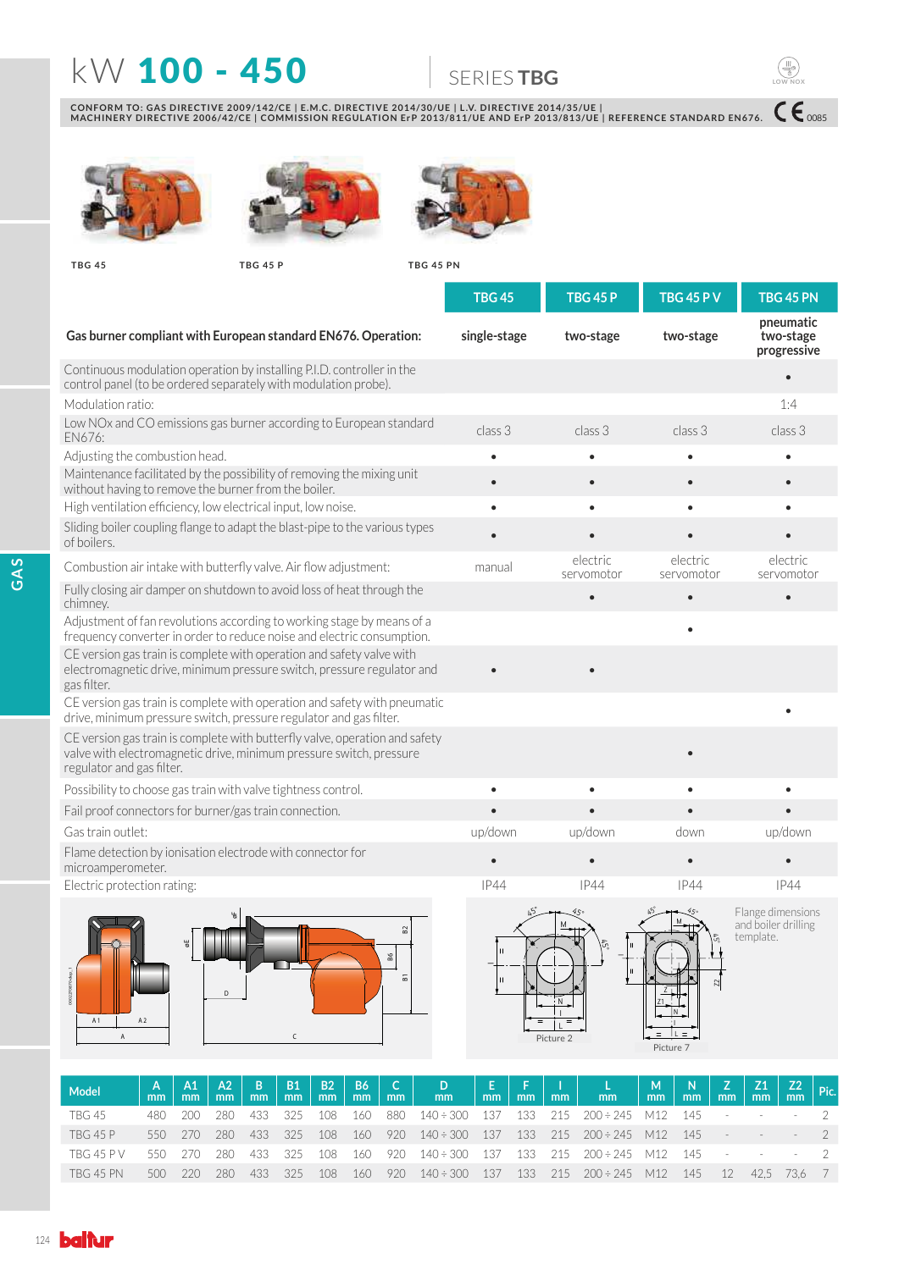## **KW 100 - 450 6ERIESTBG**

 $C \epsilon_{\text{0085}}$ 

**LOW NOX**

 $\begin{pmatrix} \begin{smallmatrix} 1 \end{smallmatrix} \\ \begin{smallmatrix} 0 \\ 0 \end{smallmatrix} \end{pmatrix}$ 

CONFORM TO: GAS DIRECTIVE 2009/142/CE | E.M.C. DIRECTIVE 2014/30/UE | L.V. DIRECTIVE 2014/35/UE |<br>MACHINERY DIRECTIVE 2006/42/CE | COMMISSION REGULATION ErP 2013/811/UE AND ErP 2013/813/UE | REFERENCE STANDARD EN676.







**TBG 45 TBG 45 P TBG 45 PN**

|                                                                                                                                                                                 | <b>TBG 45</b>           | <b>TBG 45 P</b>        | <b>TBG 45 P V</b>      | TBG 45 PN                                             |
|---------------------------------------------------------------------------------------------------------------------------------------------------------------------------------|-------------------------|------------------------|------------------------|-------------------------------------------------------|
| Gas burner compliant with European standard EN676. Operation:                                                                                                                   | single-stage            | two-stage              | two-stage              | pneumatic<br>two-stage<br>progressive                 |
| Continuous modulation operation by installing P.I.D. controller in the<br>control panel (to be ordered separately with modulation probe).                                       |                         |                        |                        |                                                       |
| Modulation ratio:                                                                                                                                                               |                         |                        |                        | 1:4                                                   |
| Low NOx and CO emissions gas burner according to European standard<br>EN676:                                                                                                    | class 3                 | class 3                | class 3                | class 3                                               |
| Adjusting the combustion head.                                                                                                                                                  |                         |                        |                        |                                                       |
| Maintenance facilitated by the possibility of removing the mixing unit<br>without having to remove the burner from the boiler.                                                  |                         |                        |                        |                                                       |
| High ventilation efficiency, low electrical input, low noise.                                                                                                                   |                         |                        |                        |                                                       |
| Sliding boiler coupling flange to adapt the blast-pipe to the various types<br>of boilers.                                                                                      |                         |                        |                        |                                                       |
| Combustion air intake with butterfly valve. Air flow adjustment:                                                                                                                | manual                  | electric<br>servomotor | electric<br>servomotor | electric<br>servomotor                                |
| Fully closing air damper on shutdown to avoid loss of heat through the<br>chimney.                                                                                              |                         |                        |                        |                                                       |
| Adjustment of fan revolutions according to working stage by means of a<br>frequency converter in order to reduce noise and electric consumption.                                |                         |                        |                        |                                                       |
| CE version gas train is complete with operation and safety valve with<br>electromagnetic drive, minimum pressure switch, pressure regulator and<br>gas filter.                  |                         |                        |                        |                                                       |
| CE version gas train is complete with operation and safety with pneumatic<br>drive, minimum pressure switch, pressure regulator and gas filter.                                 |                         |                        |                        |                                                       |
| CE version gas train is complete with butterfly valve, operation and safety<br>valve with electromagnetic drive, minimum pressure switch, pressure<br>regulator and gas filter. |                         |                        |                        |                                                       |
| Possibility to choose gas train with valve tightness control.                                                                                                                   | $\bullet$               |                        | $\bullet$              |                                                       |
| Fail proof connectors for burner/gas train connection.                                                                                                                          |                         |                        |                        |                                                       |
| Gas train outlet:                                                                                                                                                               | up/down                 | up/down                | down                   | up/down                                               |
| Flame detection by ionisation electrode with connector for<br>microamperometer.                                                                                                 |                         |                        |                        |                                                       |
| Electric protection rating:                                                                                                                                                     | IP44                    | <b>IP44</b>            | <b>IP44</b>            | <b>IP44</b>                                           |
| 5<br>B <sub>2</sub><br>싱<br>86<br>듦<br>A <sub>1</sub><br>A <sub>2</sub><br>$\overline{A}$<br>C                                                                                  | $\overline{\mathbf{H}}$ | N<br>Picture 2         | Picture 7              | Flange dimensions<br>and boiler drilling<br>template. |

| Model             | mm  | mm    | $A2 \mid B$<br>m <sub>m</sub> | mm  | <b>B1</b><br>mm | <b>B2</b><br><sub>mm</sub> | <b>B6</b><br>mm | C <br>mm | $\mathbf{D}$<br>mm                                      |       |       |     | E   F   I   L  <br>  mm   mm   mm   mm | $\begin{array}{c} M \\ mm \end{array}$ | $\mathbb{N}$<br>mm |        | $\begin{array}{ c c c c c }\nZ & Z1 & Z2 & \text{Pic.} \ \text{mm} & \text{mm} & \text{mm} \end{array}$ |                          |  |
|-------------------|-----|-------|-------------------------------|-----|-----------------|----------------------------|-----------------|----------|---------------------------------------------------------|-------|-------|-----|----------------------------------------|----------------------------------------|--------------------|--------|---------------------------------------------------------------------------------------------------------|--------------------------|--|
| TBG 45            | 480 | 200   | 280.                          | 433 | 325             | 108                        | 160             | 880      | $140 \div 300$                                          | - 137 | -133  | 215 | $200 \div 245$                         | M12                                    | 145                | $\sim$ |                                                                                                         |                          |  |
| <b>TBG 45 P</b>   | 550 | - 270 | 280                           | 433 | 325             | 108                        | $160^{\circ}$   | 920      | $140 \div 300$ 137                                      |       | - 133 | 215 | $200 \div 245$ M12                     |                                        | 145                |        |                                                                                                         |                          |  |
| <b>TBG 45 P V</b> | 550 | 270   | 280                           | 433 | 325             | 108                        | 160             | 920      | $140 \div 300$ $137$ $133$ $215$ $200 \div 245$ M12 145 |       |       |     |                                        |                                        |                    | $\sim$ |                                                                                                         | <b>Contract Contract</b> |  |
| <b>TBG 45 PN</b>  | 500 | -220  | 280                           | 433 | 325             | 108                        | 160             | 920      | $140 \div 300$ 137                                      |       | - 133 | 215 | $200 \div 245$                         | M12                                    | 145                | -12    | 42.5                                                                                                    | - 73.6                   |  |
|                   |     |       |                               |     |                 |                            |                 |          |                                                         |       |       |     |                                        |                                        |                    |        |                                                                                                         |                          |  |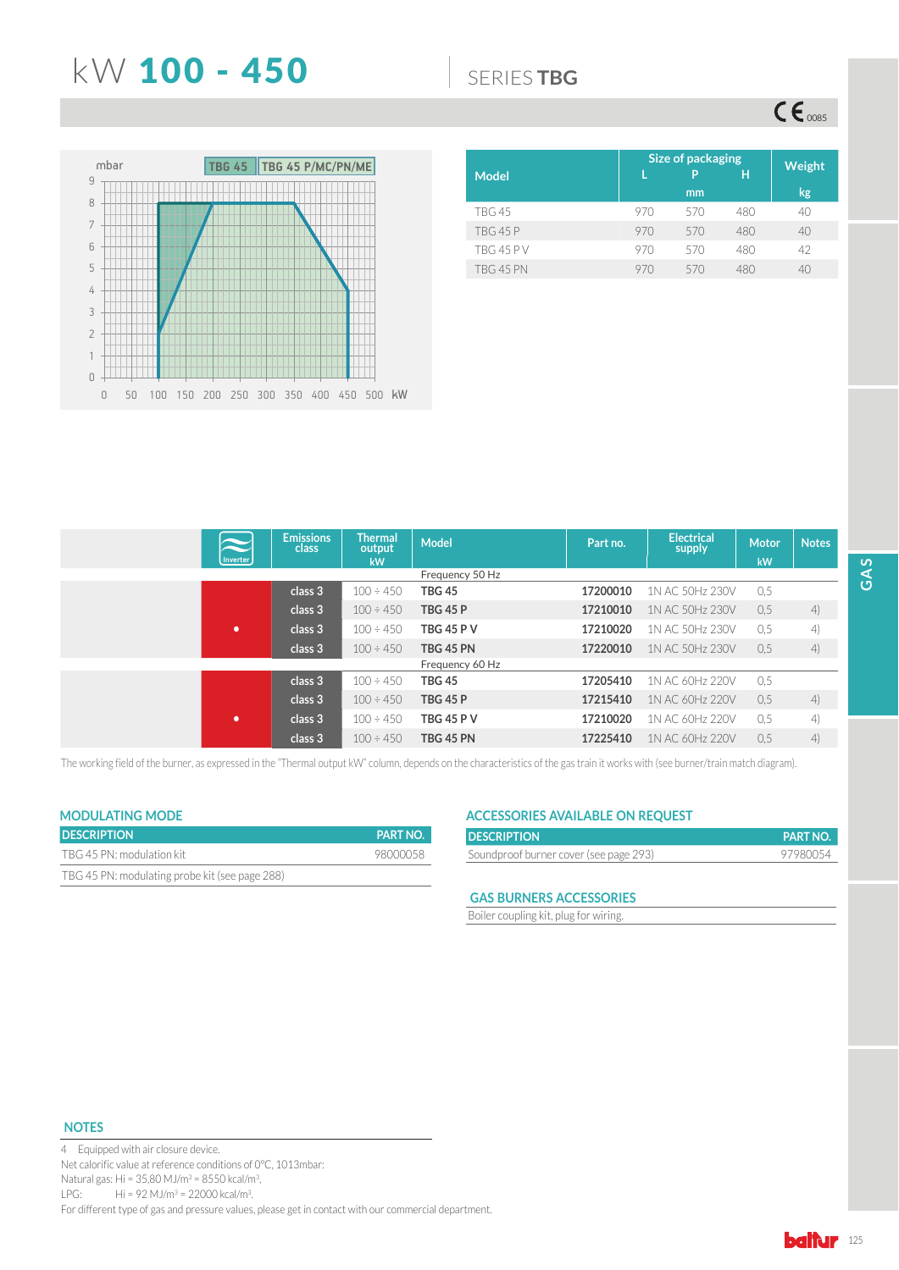## **KW 100 - 450 6** SERIES TBG

 $CE_{\text{0085}}$ 



| <b>Model</b>     |     | Size of packaging<br>P<br>Н |     |    |  |  |
|------------------|-----|-----------------------------|-----|----|--|--|
|                  |     | mm                          |     | kg |  |  |
| <b>TBG 45</b>    | 970 | 570                         | 480 | 40 |  |  |
| <b>TBG 45 P</b>  | 970 | 570                         | 480 | 40 |  |  |
| <b>TBG 45 PV</b> | 970 | 570                         | 480 | 42 |  |  |
| <b>TBG 45 PN</b> | 970 | 570                         | 480 | 40 |  |  |

|          | <b>Emissions</b><br>class | <b>Thermal</b><br>output | <b>Model</b>      | Part no. | <b>Electrical</b><br>supply | <b>Motor</b> | <b>Notes</b> |
|----------|---------------------------|--------------------------|-------------------|----------|-----------------------------|--------------|--------------|
| Inverter |                           | kW                       |                   |          |                             | kW           |              |
|          |                           |                          | Frequency 50 Hz   |          |                             |              |              |
|          | class 3                   | $100 \div 450$           | <b>TBG 45</b>     | 17200010 | 1N AC 50Hz 230V             | 0.5          |              |
|          | class 3                   | $100 \div 450$           | <b>TBG 45 P</b>   | 17210010 | 1N AC 50Hz 230V             | 0.5          | 4)           |
| ٠        | class 3                   | $100 \div 450$           | <b>TBG 45 P V</b> | 17210020 | 1N AC 50Hz 230V             | 0.5          | 4)           |
|          | class 3                   | $100 \div 450$           | TBG 45 PN         | 17220010 | 1N AC 50Hz 230V             | 0.5          | 4)           |
|          |                           |                          | Frequency 60 Hz   |          |                             |              |              |
|          | class 3                   | $100 \div 450$           | <b>TBG 45</b>     | 17205410 | 1N AC 60Hz 220V             | 0.5          |              |
|          | class 3                   | $100 \div 450$           | <b>TBG 45 P</b>   | 17215410 | 1N AC 60Hz 220V             | 0.5          | 4)           |
| ٠        | class 3                   | $100 \div 450$           | <b>TBG 45 P V</b> | 17210020 | 1N AC 60Hz 220V             | 0.5          | 4)           |
|          | class 3                   | $100 \div 450$           | TBG 45 PN         | 17225410 | 1N AC 60Hz 220V             | 0.5          | 4)           |

The working field of the burner, as expressed in the "Thermal output kW" column, depends on the characteristics of the gas train it works with (see burner/train match diagram).

## **MODULATING MODE**

| <b>DESCRIPTION</b>                             | <b>PART NO.</b> |
|------------------------------------------------|-----------------|
| TBG 45 PN: modulation kit                      | 98000058        |
| TBG 45 PN: modulating probe kit (see page 288) |                 |

## **ACCESSORIES AVAILABLE ON REQUEST**

| <b>DESCRIPTION</b>                     | <b>PART NO.</b> |
|----------------------------------------|-----------------|
| Soundproof burner cover (see page 293) | 97980054        |

### **GAS BURNERS ACCESSORIES**

Boiler coupling kit, plug for wiring.

### **NOTES**

4 Equipped with air closure device. Net calorific value at reference conditions of 0°C, 1013mbar: Natural gas: Hi =  $35,80$  MJ/m<sup>3</sup> =  $8550$  kcal/m<sup>3</sup>, LPG: Hi = 92 MJ/m<sup>3</sup> = 22000 kcal/m<sup>3</sup>. For different type of gas and pressure values, please get in contact with our commercial department.

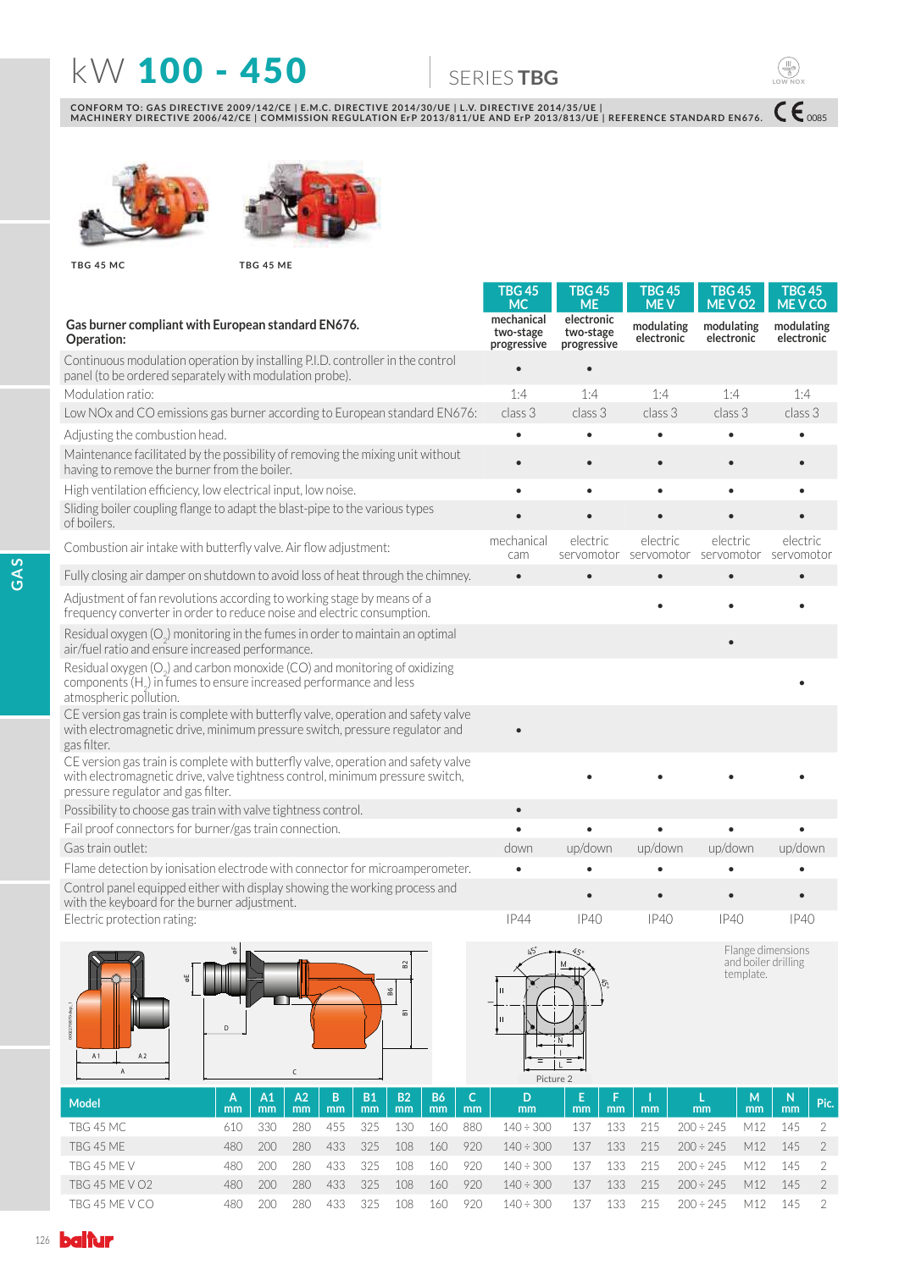# **KW 100 - 450 6ERIESTBG**

 $C\epsilon$ <sub>0085</sub>

**LOW NOX**

 $\begin{pmatrix} \begin{smallmatrix} 1 \end{smallmatrix} \\ \begin{smallmatrix} 0 \\ 0 \end{smallmatrix} \end{pmatrix}$ 

CONFORM TO: GAS DIRECTIVE 2009/142/CE | E.M.C. DIRECTIVE 2014/30/UE | L.V. DIRECTIVE 2014/35/UE |<br>MACHINERY DIRECTIVE 2006/42/CE | COMMISSION REGULATION ErP 2013/811/UE AND ErP 2013/813/UE | REFERENCE STANDARD EN676.





**TBG 45 MC TBG 45 ME**

|                                                                                                                                                                                         | TBG 45<br><b>MC</b>                    | <b>TBG 45</b><br><b>ME</b>             | <b>TBG 45</b><br><b>MEV</b> | <b>TBG 45</b><br>MEV <sub>O2</sub> | <b>TBG 45</b><br><b>MEVCO</b> |
|-----------------------------------------------------------------------------------------------------------------------------------------------------------------------------------------|----------------------------------------|----------------------------------------|-----------------------------|------------------------------------|-------------------------------|
| Gas burner compliant with European standard EN676.<br>Operation:                                                                                                                        | mechanical<br>two-stage<br>progressive | electronic<br>two-stage<br>progressive | modulating<br>electronic    | modulating<br>electronic           | modulating<br>electronic      |
| Continuous modulation operation by installing P.I.D. controller in the control<br>panel (to be ordered separately with modulation probe).                                               |                                        |                                        |                             |                                    |                               |
| Modulation ratio:                                                                                                                                                                       | 1:4                                    | 1:4                                    | 1:4                         | 1:4                                | 1:4                           |
| Low NOx and CO emissions gas burner according to European standard EN676:                                                                                                               | class 3                                | class 3                                | class 3                     | class 3                            | class 3                       |
| Adjusting the combustion head.                                                                                                                                                          | $\bullet$                              |                                        | $\bullet$                   | $\bullet$                          |                               |
| Maintenance facilitated by the possibility of removing the mixing unit without<br>having to remove the burner from the boiler.                                                          | $\bullet$                              |                                        | $\bullet$                   | $\bullet$                          |                               |
| High ventilation efficiency, low electrical input, low noise.                                                                                                                           | $\bullet$                              | $\bullet$                              | $\bullet$                   | $\bullet$                          |                               |
| Sliding boiler coupling flange to adapt the blast-pipe to the various types<br>of boilers.                                                                                              |                                        |                                        |                             |                                    |                               |
| Combustion air intake with butterfly valve. Air flow adjustment:                                                                                                                        | mechanical<br>cam                      | electric<br>servomotor                 | electric<br>servomotor      | electric<br>servomotor             | electric<br>servomotor        |
| Fully closing air damper on shutdown to avoid loss of heat through the chimney.                                                                                                         | $\bullet$                              |                                        |                             |                                    |                               |
| Adjustment of fan revolutions according to working stage by means of a<br>frequency converter in order to reduce noise and electric consumption.                                        |                                        |                                        |                             |                                    |                               |
| Residual oxygen $(O_2)$ monitoring in the fumes in order to maintain an optimal<br>air/fuel ratio and ensure increased performance.                                                     |                                        |                                        |                             |                                    |                               |
| Residual oxygen (O <sub>2</sub> ) and carbon monoxide (CO) and monitoring of oxidizing<br>components $(H2)$ in fumes to ensure increased performance and less<br>atmospheric pollution. |                                        |                                        |                             |                                    |                               |
| CE version gas train is complete with butterfly valve, operation and safety valve<br>with electromagnetic drive, minimum pressure switch, pressure regulator and<br>gas filter.         |                                        |                                        |                             |                                    |                               |
| CE version gas train is complete with butterfly valve, operation and safety valve<br>with electromagnetic drive, valve tightness control, minimum pressure switch,                      |                                        |                                        |                             |                                    |                               |
| pressure regulator and gas filter.                                                                                                                                                      |                                        |                                        |                             |                                    |                               |
| Possibility to choose gas train with valve tightness control.                                                                                                                           | $\bullet$                              |                                        |                             |                                    |                               |
| Fail proof connectors for burner/gas train connection.                                                                                                                                  |                                        |                                        |                             |                                    |                               |
| Gas train outlet:                                                                                                                                                                       | down                                   | up/down                                | up/down                     | up/down                            | up/down                       |
| Flame detection by ionisation electrode with connector for microamperometer.                                                                                                            |                                        |                                        |                             |                                    |                               |
| Control panel equipped either with display showing the working process and<br>with the keyboard for the burner adjustment.                                                              |                                        |                                        | $\bullet$                   |                                    |                               |
| Electric protection rating:                                                                                                                                                             | <b>IP44</b>                            | IP40                                   | IP40                        | IP40                               | IP40                          |
| 4<br>52<br>₩<br>86<br>0002270870-de<br>듮<br>D<br>A <sub>2</sub><br>A <sub>1</sub><br>$\mathsf{C}$<br>$\mathsf A$                                                                        | $\mathbf{H}$<br>H<br>$=$               | ${\sf N}$<br>$\equiv$<br>Picture 2     |                             | and boiler drilling<br>template.   | Flange dimensions             |
| A2<br>B<br><b>B1</b><br><b>B2</b><br><b>B6</b><br>A1<br>C.<br>A<br><b>Model</b><br>mm<br>mm<br>mm<br>mm<br>mm<br>mm<br>mm<br>mm                                                         | D<br>mm                                | Е<br>F<br>mm<br>mm                     | mm                          | M<br>L<br>mm<br>mm                 | N<br>Pic.<br>mm               |
| TBG 45 MC<br>610<br>330<br>280<br>455<br>325<br>130<br>160<br>880                                                                                                                       | $140 \div 300$                         | 137<br>133                             | 215                         | $200 \div 245$<br>M12              | 145<br>2                      |
| 325<br>TBG 45 ME<br>480<br>200<br>280<br>433<br>108<br>160<br>920                                                                                                                       | $140 \div 300$                         | 137<br>133                             | 215                         | $200 \div 245$<br>M12              | $\overline{2}$<br>145         |
| TBG 45 ME V<br>480<br>200<br>280<br>433<br>325<br>108<br>160<br>920                                                                                                                     | $140 \div 300$                         | 137<br>133                             | 215                         | $200 \div 245$<br>M12              | 2<br>145                      |
| 200<br>280<br>433<br>325<br>108<br>160<br>920<br><b>TBG 45 ME V O2</b><br>480                                                                                                           | $140 \div 300$                         | 137<br>133                             | 215                         | $200 \div 245$<br>M12              | $\overline{2}$<br>145         |
| TBG 45 ME V CO<br>480<br>200<br>280<br>433<br>325<br>160<br>920<br>108                                                                                                                  | $140 \div 300$                         | 137<br>133                             | 215                         | M12<br>$200 \div 245$              | $\overline{2}$<br>145         |

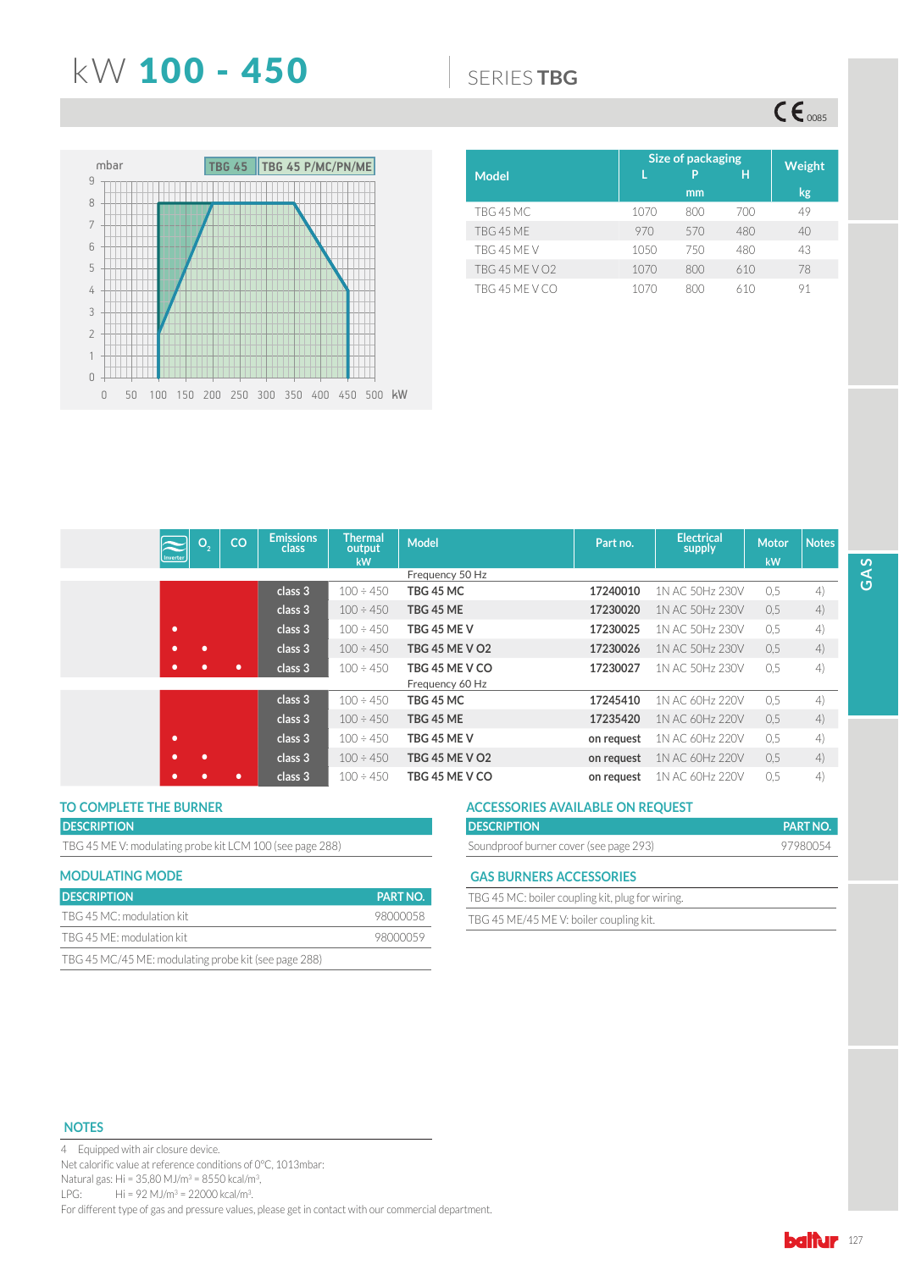## N: 100 - 450 6(5,(6**TBG**

 $CE_{\text{0085}}$ 



|                       |      | Size of packaging |     |               |  |  |  |
|-----------------------|------|-------------------|-----|---------------|--|--|--|
| <b>Model</b>          |      | P                 | Ή   | <b>Weight</b> |  |  |  |
|                       |      | mm                |     | kg            |  |  |  |
| TBG 45 MC             | 1070 | 800               | 700 | 49            |  |  |  |
| TBG 45 ME             | 970  | 570               | 480 | 40            |  |  |  |
| TBG 45 MF V           | 1050 | 750               | 480 | 43            |  |  |  |
| <b>TBG 45 ME V O2</b> | 1070 | 800               | 610 | 78            |  |  |  |
| TBG 45 ME V CO        | 1070 | 800               | 610 | 91            |  |  |  |

| О,<br>Inverter | CO | <b>Emissions</b><br>class | <b>Thermal</b><br>output<br>kW | <b>Model</b>                      | Part no.   | <b>Electrical</b><br>supply | <b>Motor</b><br>kW | <b>Notes</b> |
|----------------|----|---------------------------|--------------------------------|-----------------------------------|------------|-----------------------------|--------------------|--------------|
|                |    |                           |                                | Frequency 50 Hz                   |            |                             |                    |              |
|                |    | class 3                   | $100 \div 450$                 | TBG 45 MC                         | 17240010   | 1N AC 50Hz 230V             | 0,5                | 4)           |
|                |    | class 3                   | $100 \div 450$                 | TBG 45 ME                         | 17230020   | 1N AC 50Hz 230V             | 0,5                | 4)           |
| ٠              |    | class 3                   | $100 \div 450$                 | TBG 45 ME V                       | 17230025   | 1N AC 50Hz 230V             | 0.5                | 4)           |
| ٠<br>٠         |    | class 3                   | $100 \div 450$                 | <b>TBG 45 ME V O2</b>             | 17230026   | 1N AC 50Hz 230V             | 0.5                | 4)           |
| ٠              | ٠  | class 3                   | $100 \div 450$                 | TBG 45 ME V CO<br>Frequency 60 Hz | 17230027   | 1N AC 50Hz 230V             | 0,5                | 4)           |
|                |    | class 3                   | $100 \div 450$                 | TBG 45 MC                         | 17245410   | 1N AC 60Hz 220V             | 0,5                | 4)           |
|                |    | class 3                   | $100 \div 450$                 | TBG 45 ME                         | 17235420   | 1N AC 60Hz 220V             | 0,5                | 4)           |
| ۰              |    | class 3                   | $100 \div 450$                 | TBG 45 ME V                       | on request | 1N AC 60Hz 220V             | 0,5                | 4)           |
| ٠<br>٠         |    | class 3                   | $100 \div 450$                 | <b>TBG 45 ME V O2</b>             | on request | 1N AC 60Hz 220V             | 0.5                | 4)           |
| ٠              | ٠  | class 3                   | $100 \div 450$                 | TBG 45 ME V CO                    | on request | 1N AC 60Hz 220V             | 0.5                | 4)           |

### **DESCRIPTION**

TBG 45 ME V: modulating probe kit LCM 100 (see page 288)

| <b>MODULATING MODE</b>                               |                 |
|------------------------------------------------------|-----------------|
| <b>DESCRIPTION</b>                                   | <b>PART NO.</b> |
| TBG 45 MC: modulation kit                            | 98000058        |
| TBG 45 ME: modulation kit                            | 98000059        |
| TBG 45 MC/45 ME: modulating probe kit (see page 288) |                 |

## TO COMPLETE THE BURNER **THE SURNER ACCESSORIES AVAILABLE ON REQUEST**

| <b>DESCRIPTION</b>                     | <b>PART NO.</b> |
|----------------------------------------|-----------------|
| Soundproof burner cover (see page 293) | 97980054        |

### **GAS BURNERS ACCESSORIES**

| TBG 45 MC: boiler coupling kit, plug for wiring. |  |
|--------------------------------------------------|--|
| TBG 45 ME/45 MEV: boiler coupling kit.           |  |

### **NOTES**

4 Equipped with air closure device. Net calorific value at reference conditions of 0°C, 1013mbar: Natural gas: Hi = 35,80 MJ/m<sup>3</sup> = 8550 kcal/m<sup>3</sup>, LPG: Hi = 92 MJ/m<sup>3</sup> = 22000 kcal/m<sup>3</sup>. For different type of gas and pressure values, please get in contact with our commercial department.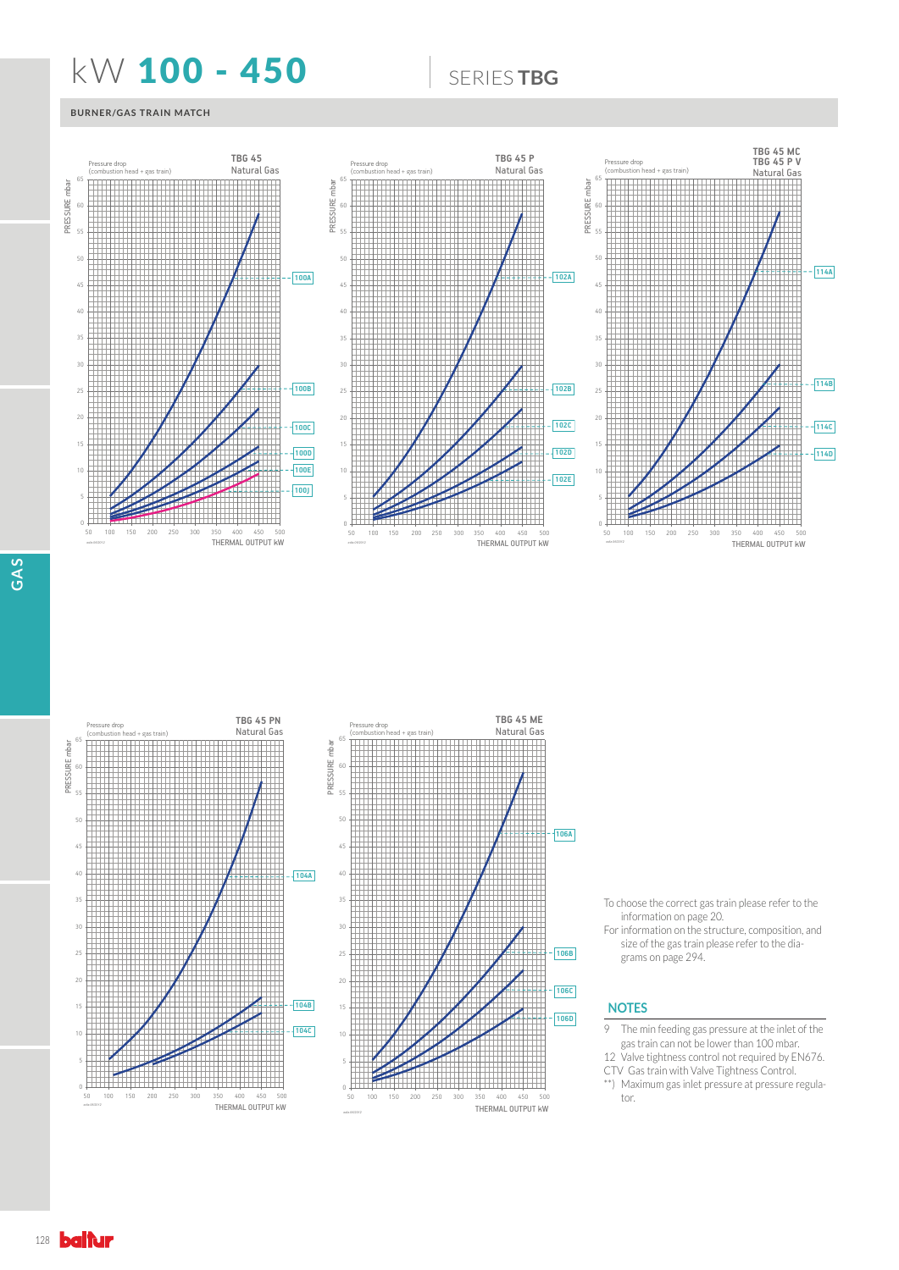## **KW 100 - 450 | SERIESTBG**

### **BURNER/GAS TRAIN MATCH**





THERMAL OUTPUT kW

*ediz.06/2012*

50 100 150 200 250 300 350 400 450 500

<u> 1999 - Parti Maria Maria III (m. 198</u>



To choose the correct gas train please refer to the information on page 20.

For information on the structure, composition, and size of the gas train please refer to the diagrams on page 294.

### **NOTES**

- 9 The min feeding gas pressure at the inlet of the gas train can not be lower than 100 mbar.
- 12 Valve tightness control not required by EN676. CTV Gas train with Valve Tightness Control.
- \*\*) Maximum gas inlet pressure at pressure regulator.

0 5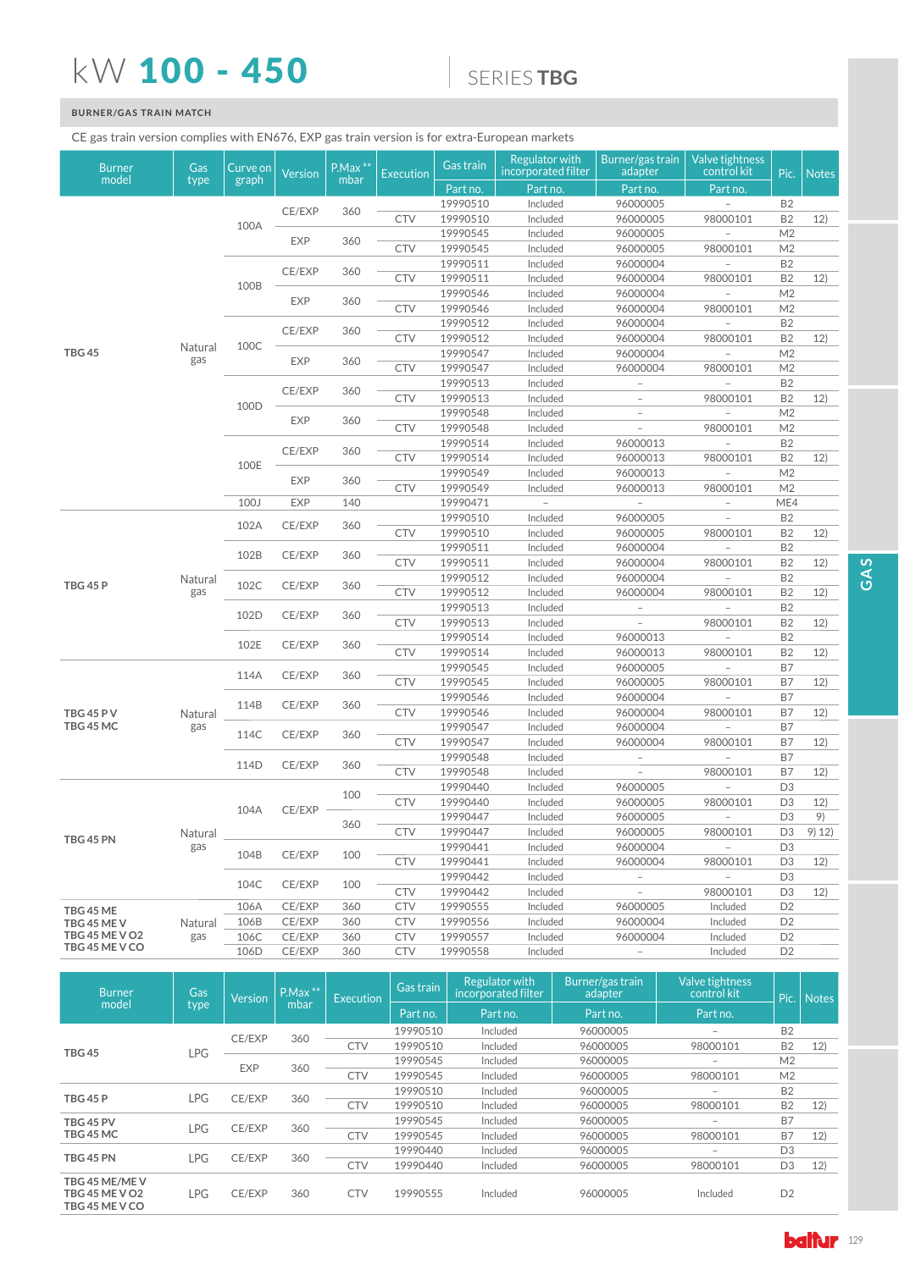# kW 100 - 450

## 6(5,(6**TBG**

## **BURNER/GAS TRAIN MATCH**

## CE gas train version complies with EN676, EXP gas train version is for extra-European markets

| <b>Burner</b><br>model | Gas<br>type    | Curve on<br>graph | <b>Version</b> | $P.Max$ **<br>mbar | <b>Execution</b> | Gas train | Regulator with<br>incorporated filter | Burner/gas train<br>adapter | Valve tightness<br>control kit | Pic.           | <b>Notes</b> |
|------------------------|----------------|-------------------|----------------|--------------------|------------------|-----------|---------------------------------------|-----------------------------|--------------------------------|----------------|--------------|
|                        |                |                   |                |                    |                  | Part no.  | Part no.                              | Part no.                    | Part no.                       |                |              |
|                        |                |                   | CE/EXP         | 360                |                  | 19990510  | Included                              | 96000005                    |                                | <b>B2</b>      |              |
|                        |                | 100A              |                |                    | <b>CTV</b>       | 19990510  | Included                              | 96000005                    | 98000101                       | <b>B2</b>      | 12)          |
|                        |                |                   | <b>EXP</b>     | 360                |                  | 19990545  | Included                              | 96000005                    |                                | M <sub>2</sub> |              |
|                        |                |                   |                |                    | <b>CTV</b>       | 19990545  | Included                              | 96000005                    | 98000101                       | M <sub>2</sub> |              |
|                        |                |                   | CE/EXP         | 360                |                  | 19990511  | Included                              | 96000004                    |                                | <b>B2</b>      |              |
|                        |                | 100B              |                |                    | <b>CTV</b>       | 19990511  | Included                              | 96000004                    | 98000101                       | B <sub>2</sub> | 12)          |
|                        |                |                   | <b>EXP</b>     | 360                |                  | 19990546  | Included                              | 96000004                    |                                | M <sub>2</sub> |              |
|                        |                |                   |                |                    | <b>CTV</b>       | 19990546  | Included                              | 96000004                    | 98000101                       | M <sub>2</sub> |              |
|                        |                |                   | CE/EXP         | 360                |                  | 19990512  | Included                              | 96000004                    |                                | <b>B2</b>      |              |
|                        | Natural        | 100C              |                |                    | <b>CTV</b>       | 19990512  | Included                              | 96000004                    | 98000101                       | <b>B2</b>      | 12)          |
| <b>TBG 45</b>          | gas            |                   | EXP            | 360                |                  | 19990547  | Included                              | 96000004                    |                                | M <sub>2</sub> |              |
|                        |                |                   |                |                    | <b>CTV</b>       | 19990547  | Included                              | 96000004                    | 98000101                       | M <sub>2</sub> |              |
|                        |                |                   | CE/EXP         | 360                |                  | 19990513  | Included                              | $\overline{\phantom{a}}$    |                                | <b>B2</b>      |              |
|                        |                | 100D              |                |                    | <b>CTV</b>       | 19990513  | Included                              |                             | 98000101                       | <b>B2</b>      | 12)          |
|                        |                |                   | <b>EXP</b>     | 360                |                  | 19990548  | Included                              | $\overline{\phantom{a}}$    |                                | M <sub>2</sub> |              |
|                        |                |                   |                |                    | <b>CTV</b>       | 19990548  | Included                              | $\overline{\phantom{a}}$    | 98000101                       | M <sub>2</sub> |              |
|                        |                |                   | CE/EXP         | 360                |                  | 19990514  | Included                              | 96000013                    |                                | <b>B2</b>      |              |
|                        |                | 100E              |                |                    | <b>CTV</b>       | 19990514  | Included                              | 96000013                    | 98000101                       | <b>B2</b>      | 12)          |
|                        |                |                   | <b>EXP</b>     | 360                |                  | 19990549  | Included                              | 96000013                    | $\overline{\phantom{0}}$       | M <sub>2</sub> |              |
|                        |                |                   |                |                    | <b>CTV</b>       | 19990549  | Included                              | 96000013                    | 98000101                       | M <sub>2</sub> |              |
|                        |                | 100J              | <b>EXP</b>     | 140                |                  | 19990471  |                                       |                             |                                | ME4            |              |
|                        |                | 102A              | CE/EXP         | 360                |                  | 19990510  | Included                              | 96000005                    |                                | <b>B2</b>      |              |
|                        |                |                   |                |                    | <b>CTV</b>       | 19990510  | Included                              | 96000005                    | 98000101                       | <b>B2</b>      | 12)          |
|                        |                | 102B              | CE/EXP         | 360                |                  | 19990511  | Included                              | 96000004                    |                                | <b>B2</b>      |              |
|                        | Natural<br>gas |                   |                |                    | <b>CTV</b>       | 19990511  | Included                              | 96000004                    | 98000101                       | <b>B2</b>      | 12)          |
| <b>TBG 45 P</b>        |                | 102C              | CE/EXP         | 360                |                  | 19990512  | Included                              | 96000004                    |                                | <b>B2</b>      |              |
|                        |                |                   |                |                    | <b>CTV</b>       | 19990512  | Included                              | 96000004                    | 98000101                       | <b>B2</b>      | 12)          |
|                        |                | 102D              | CE/EXP         | 360                |                  | 19990513  | Included                              | $\overline{\phantom{0}}$    |                                | <b>B2</b>      |              |
|                        |                |                   |                |                    | <b>CTV</b>       | 19990513  | Included                              | $\overline{\phantom{0}}$    | 98000101                       | <b>B2</b>      | 12)          |
|                        |                | 102E              | CE/EXP         | 360                |                  | 19990514  | Included                              | 96000013                    |                                | <b>B2</b>      |              |
|                        |                |                   |                |                    | <b>CTV</b>       | 19990514  | Included                              | 96000013                    | 98000101                       | <b>B2</b>      | 12)          |
|                        |                | 114A              | CE/EXP         | 360                |                  | 19990545  | Included                              | 96000005                    |                                | <b>B7</b>      |              |
|                        |                |                   |                |                    | <b>CTV</b>       | 19990545  | Included                              | 96000005                    | 98000101                       | B7             | 12)          |
|                        |                | 114B              | CE/EXP         | 360                |                  | 19990546  | Included                              | 96000004                    |                                | B7             |              |
| <b>TBG 45 PV</b>       | Natural        |                   |                |                    | <b>CTV</b>       | 19990546  | Included                              | 96000004                    | 98000101                       | B7             | 12)          |
| TBG 45 MC              | gas            | 114C              | CE/EXP         | 360                |                  | 19990547  | Included                              | 96000004                    |                                | B7             |              |
|                        |                |                   |                |                    | <b>CTV</b>       | 19990547  | Included                              | 96000004                    | 98000101                       | <b>B7</b>      | 12)          |
|                        |                | 114D              | CE/EXP         | 360                |                  | 19990548  | Included                              | $\overline{\phantom{a}}$    |                                | B7             |              |
|                        |                |                   |                |                    | <b>CTV</b>       | 19990548  | Included                              | $\overline{\phantom{a}}$    | 98000101                       | B7             | 12)          |
|                        |                |                   |                | 100                |                  | 19990440  | Included                              | 96000005                    |                                | D <sub>3</sub> |              |
|                        |                | 104A              | CE/EXP         |                    | <b>CTV</b>       | 19990440  | Included                              | 96000005                    | 98000101                       | D <sub>3</sub> | 12)          |
|                        |                |                   |                | 360                |                  | 19990447  | Included                              | 96000005                    |                                | D <sub>3</sub> | 9)           |
| TBG 45 PN              | Natural        |                   |                |                    | <b>CTV</b>       | 19990447  | Included                              | 96000005                    | 98000101                       | D3             | 9) 12)       |
|                        | gas            | 104B              | CE/EXP         | 100                |                  | 19990441  | Included                              | 96000004                    |                                | D <sub>3</sub> |              |
|                        |                |                   |                |                    | <b>CTV</b>       | 19990441  | Included                              | 96000004                    | 98000101                       | D <sub>3</sub> | 12)          |
|                        |                | 104C              | CE/EXP         | 100                |                  | 19990442  | Included                              | $\overline{\phantom{a}}$    |                                | D <sub>3</sub> |              |
|                        |                |                   |                |                    | <b>CTV</b>       | 19990442  | Included                              | $\qquad \qquad -$           | 98000101                       | D3             | 12)          |
| TBG 45 ME              |                | 106A              | CE/EXP         | 360                | <b>CTV</b>       | 19990555  | Included                              | 96000005                    | Included                       | D <sub>2</sub> |              |
| TBG 45 MEV             | Natural        | 106B              | CE/EXP         | 360                | <b>CTV</b>       | 19990556  | Included                              | 96000004                    | Included                       | D <sub>2</sub> |              |
| <b>TBG 45 ME V O2</b>  | gas            | 106C              | CE/EXP         | 360                | <b>CTV</b>       | 19990557  | Included                              | 96000004                    | Included                       | D <sub>2</sub> |              |
| TBG 45 ME V CO         |                | 106D              | CE/EXP         | 360                | <b>CTV</b>       | 19990558  | Included                              | $\overline{\phantom{a}}$    | Included                       | D <sub>2</sub> |              |

| Gas<br><b>Burner</b><br>model                     |            | <b>Version</b> | $PMax**$ | <b>Execution</b> | Gas train | <b>Regulator with</b><br>incorporated filter | Burner/gas train<br>adapter | Valve tightness<br>control kit | Pic.           | <b>Notes</b> |
|---------------------------------------------------|------------|----------------|----------|------------------|-----------|----------------------------------------------|-----------------------------|--------------------------------|----------------|--------------|
|                                                   | type       |                | mbar     |                  | Part no.  | Part no.                                     | Part no.                    | Part no.                       |                |              |
|                                                   |            | CE/EXP         | 360      |                  | 19990510  | Included                                     | 96000005                    |                                | <b>B2</b>      |              |
| <b>TBG 45</b>                                     | LPG        |                |          | <b>CTV</b>       | 19990510  | Included                                     | 96000005                    | 98000101                       | <b>B2</b>      | 12)          |
|                                                   |            | <b>EXP</b>     | 360      |                  | 19990545  | Included                                     | 96000005                    |                                | M <sub>2</sub> |              |
|                                                   |            |                |          | <b>CTV</b>       | 19990545  | Included                                     | 96000005                    | 98000101                       | M <sub>2</sub> |              |
| <b>TBG 45 P</b>                                   | LPG.       | CE/EXP         | 360      |                  | 19990510  | Included                                     | 96000005                    | $\overline{\phantom{a}}$       | <b>B2</b>      |              |
|                                                   |            |                |          | <b>CTV</b>       | 19990510  | Included                                     | 96000005                    | 98000101                       | <b>B2</b>      | 12)          |
| TBG 45 PV                                         | <b>LPG</b> | CE/EXP         | 360      |                  | 19990545  | Included                                     | 96000005                    |                                | <b>B7</b>      |              |
| TBG 45 MC                                         |            |                |          | <b>CTV</b>       | 19990545  | Included                                     | 96000005                    | 98000101                       | <b>B7</b>      | 12)          |
| TBG 45 PN                                         | LPG        | CE/EXP         | 360      |                  | 19990440  | Included                                     | 96000005                    |                                | D <sub>3</sub> |              |
|                                                   |            |                |          | <b>CTV</b>       | 19990440  | Included                                     | 96000005                    | 98000101                       | D <sub>3</sub> | 12)          |
| TBG 45 ME/MEV<br>TBG 45 ME V O2<br>TBG 45 ME V CO | LPG        | CE/EXP         | 360      | <b>CTV</b>       | 19990555  | Included                                     | 96000005                    | Included                       | D <sub>2</sub> |              |

**baltur** 129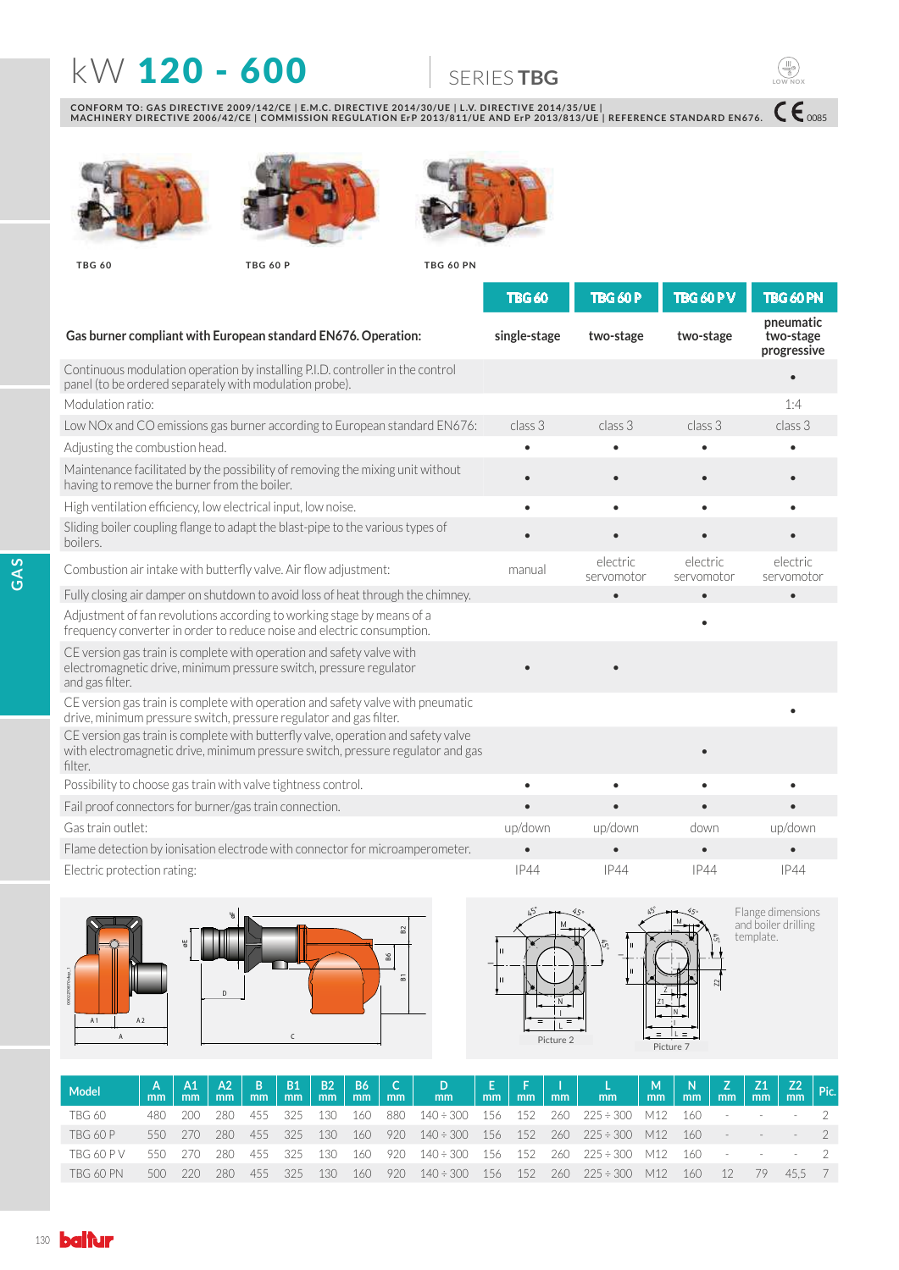## **KW 120 - 600 SERIESTBG**

CONFORM TO: GAS DIRECTIVE 2009/142/CE | E.M.C. DIRECTIVE 2014/30/UE | L.V. DIRECTIVE 2014/35/UE |<br>MACHINERY DIRECTIVE 2006/42/CE | COMMISSION REGULATION ErP 2013/811/UE AND ErP 2013/813/UE | REFERENCE STANDARD EN676.







**TBG 60 TBG 60 P TBG 60 PN**



|                                                                                                                                                                                 | <b>TBG 60</b> | <b>TBG 60 P</b>        | <b>TBG 60 PV</b>       | TBG 60 PN                             |
|---------------------------------------------------------------------------------------------------------------------------------------------------------------------------------|---------------|------------------------|------------------------|---------------------------------------|
| Gas burner compliant with European standard EN676. Operation:                                                                                                                   | single-stage  | two-stage              | two-stage              | pneumatic<br>two-stage<br>progressive |
| Continuous modulation operation by installing P.I.D. controller in the control<br>panel (to be ordered separately with modulation probe).                                       |               |                        |                        |                                       |
| Modulation ratio:                                                                                                                                                               |               |                        |                        | 1:4                                   |
| Low NOx and CO emissions gas burner according to European standard EN676:                                                                                                       | class 3       | class 3                | class 3                | class 3                               |
| Adjusting the combustion head.                                                                                                                                                  | $\bullet$     | $\bullet$              | $\bullet$              | $\bullet$                             |
| Maintenance facilitated by the possibility of removing the mixing unit without<br>having to remove the burner from the boiler.                                                  |               | $\bullet$              |                        |                                       |
| High ventilation efficiency, low electrical input, low noise.                                                                                                                   | ٠             | $\bullet$              | ٠                      | $\bullet$                             |
| Sliding boiler coupling flange to adapt the blast-pipe to the various types of<br>boilers.                                                                                      |               | $\bullet$              |                        |                                       |
| Combustion air intake with butterfly valve. Air flow adjustment:                                                                                                                | manual        | electric<br>servomotor | electric<br>servomotor | electric<br>servomotor                |
| Fully closing air damper on shutdown to avoid loss of heat through the chimney.                                                                                                 |               | $\bullet$              | $\bullet$              | $\bullet$                             |
| Adjustment of fan revolutions according to working stage by means of a<br>frequency converter in order to reduce noise and electric consumption.                                |               |                        |                        |                                       |
| CE version gas train is complete with operation and safety valve with<br>electromagnetic drive, minimum pressure switch, pressure regulator<br>and gas filter.                  |               |                        |                        |                                       |
| CE version gas train is complete with operation and safety valve with pneumatic<br>drive, minimum pressure switch, pressure regulator and gas filter.                           |               |                        |                        |                                       |
| CE version gas train is complete with butterfly valve, operation and safety valve<br>with electromagnetic drive, minimum pressure switch, pressure regulator and gas<br>filter. |               |                        |                        |                                       |
| Possibility to choose gas train with valve tightness control.                                                                                                                   | $\bullet$     | $\bullet$              |                        | $\bullet$                             |
| Fail proof connectors for burner/gas train connection.                                                                                                                          | $\bullet$     | $\bullet$              |                        | $\bullet$                             |
| Gas train outlet:                                                                                                                                                               | up/down       | up/down                | down                   | up/down                               |
| Flame detection by ionisation electrode with connector for microamperometer.                                                                                                    |               |                        |                        |                                       |
| Electric protection rating:                                                                                                                                                     | <b>IP44</b>   | IP44                   | <b>IP44</b>            | <b>IP44</b>                           |





Flange dimensions<br>and boiler drilling<br>template.

 $C\epsilon_{\text{0085}}$ 

**LOW NOX**

| Model             | mm  | mm    | $A1 \mid A2 \mid B \mid B1 \mid$<br>mm | m <sub>m</sub> | mm    | B2<br>mm |       | $B6$ $C$ | $\begin{array}{ c c c c c c c c } \hline & D & E & E & F & I & L & L \\ \hline & mm & mm & mm & mm & mm & mm \\ \hline \end{array}$ |     |                   |     |                          | $\begin{array}{ c c c c c c }\hline \mathsf{M} & \mathsf{N} & \mathsf{Z} & \mathsf{Z1} & \mathsf{Z2} & \mathsf{Pic.} \ \hline \mathsf{mm} & \mathsf{mm} & \mathsf{mm} & \mathsf{mm} & \mathsf{mm} \ \hline \end{array}$ |     |    |                        |        |  |
|-------------------|-----|-------|----------------------------------------|----------------|-------|----------|-------|----------|-------------------------------------------------------------------------------------------------------------------------------------|-----|-------------------|-----|--------------------------|-------------------------------------------------------------------------------------------------------------------------------------------------------------------------------------------------------------------------|-----|----|------------------------|--------|--|
| <b>TBG 60</b>     | 480 | 200   | 280.                                   | 455            | - 325 | 130      | - 160 | - 880    | $140 \div 300$ 156                                                                                                                  |     | 152               |     | 260 225÷300 M12 160      |                                                                                                                                                                                                                         |     |    |                        |        |  |
| TBG 60 P          | 550 | - 270 | 280                                    | 455            | 325   | 130      | - 160 |          | $920 \quad 140 \div 300 \quad 156$                                                                                                  |     | 152 260           |     | $225 \div 300$ M12 160 - |                                                                                                                                                                                                                         |     |    | and the control of the |        |  |
| <b>TBG 60 P V</b> | 550 | 270.  | 280.                                   | 455            | - 325 | 130      | - 160 |          | 920 140÷300 156                                                                                                                     |     | $\frac{152}{152}$ |     | 260 225÷300 M12 160 -    |                                                                                                                                                                                                                         |     |    |                        | $   2$ |  |
| TBG 60 PN         |     | 220   | 280                                    | 455            | 325   | 130      | 160   | 920      | $140 \div 300$                                                                                                                      | 156 | 152               | 260 | $225 \div 300$           | M12                                                                                                                                                                                                                     | 160 | 12 | - 79                   | 45.5 7 |  |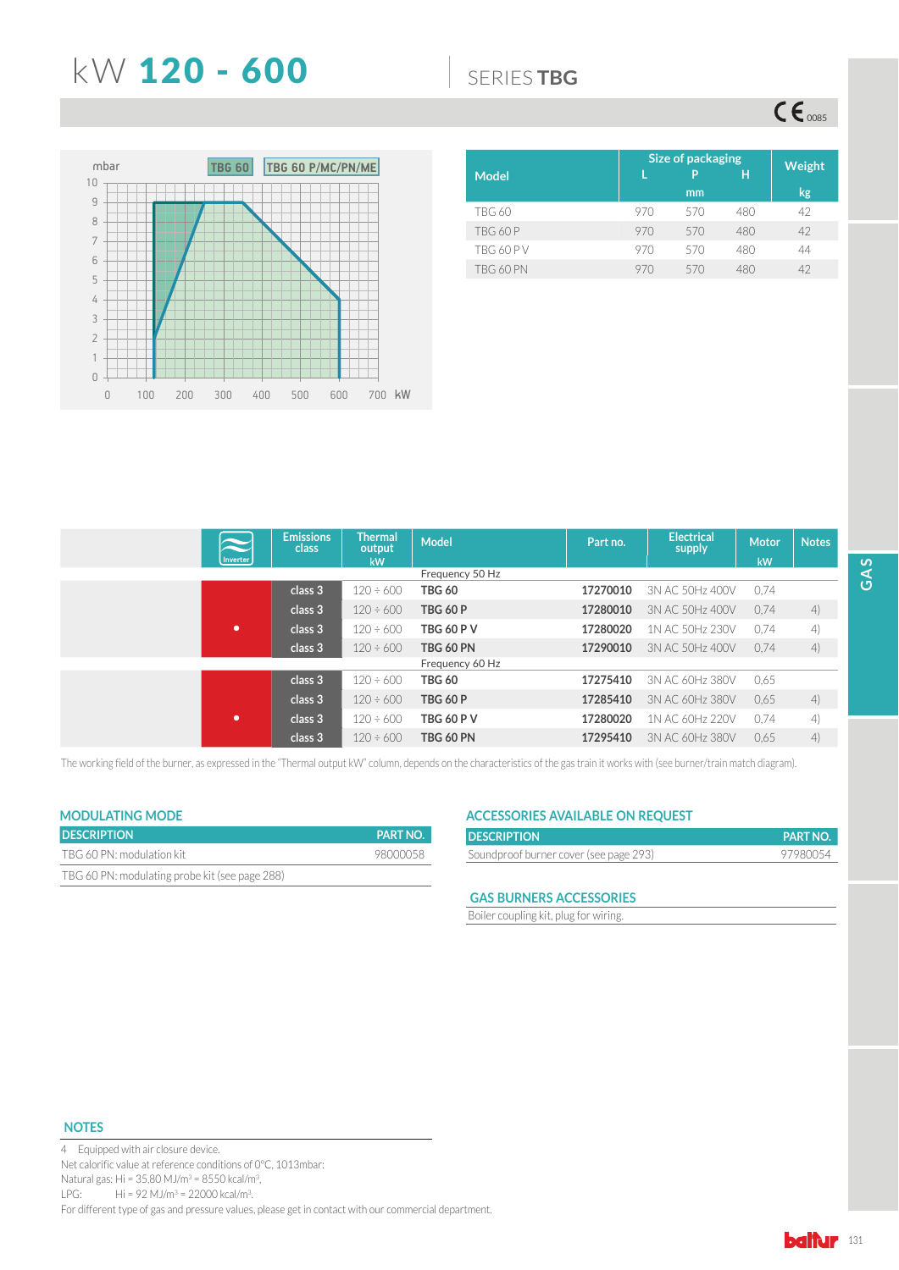## **KW 120 - 600 6600 6** SERIES TBG

 $CE_{\cos}$ 



| <b>Model</b>     | Size of packaging | Weight |     |    |
|------------------|-------------------|--------|-----|----|
|                  |                   | mm     |     | kg |
| <b>TBG 60</b>    | 970               | 570    | 480 | 42 |
| <b>TBG 60 P</b>  | 970               | 570    | 480 | 42 |
| <b>TBG 60 PV</b> | 970               | 570    | 480 | 44 |
| TBG 60 PN        | 970               | 570    | 480 | 42 |

| $\tilde{\phantom{0}}$ | <b>Emissions</b><br>class | <b>Thermal</b><br>output | <b>Model</b>      | Part no. | <b>Electrical</b><br>supply | <b>Motor</b> | <b>Notes</b> |
|-----------------------|---------------------------|--------------------------|-------------------|----------|-----------------------------|--------------|--------------|
| <b>Inverter</b>       |                           | kW                       |                   |          |                             | kW           |              |
|                       |                           |                          | Frequency 50 Hz   |          |                             |              |              |
|                       | class 3                   | $120 \div 600$           | <b>TBG 60</b>     | 17270010 | 3N AC 50Hz 400V             | 0.74         |              |
|                       | class 3                   | $120 \div 600$           | <b>TBG 60 P</b>   | 17280010 | 3N AC 50Hz 400V             | 0.74         | 4)           |
| ٠                     | class 3                   | $120 \div 600$           | <b>TBG 60 P V</b> | 17280020 | 1N AC 50Hz 230V             | 0.74         | 4)           |
|                       | class 3                   | $120 \div 600$           | <b>TBG 60 PN</b>  | 17290010 | 3N AC 50Hz 400V             | 0.74         | 4)           |
|                       |                           |                          | Frequency 60 Hz   |          |                             |              |              |
|                       | class 3                   | $120 \div 600$           | <b>TBG 60</b>     | 17275410 | 3N AC 60Hz 380V             | 0,65         |              |
|                       | class 3                   | $120 \div 600$           | <b>TBG 60 P</b>   | 17285410 | 3N AC 60Hz 380V             | 0.65         | 4)           |
| ٠                     | class 3                   | $120 \div 600$           | <b>TBG 60 P V</b> | 17280020 | 1N AC 60Hz 220V             | 0.74         | 4)           |
|                       | class 3                   | $120 \div 600$           | <b>TBG 60 PN</b>  | 17295410 | 3N AC 60Hz 380V             | 0.65         | 4)           |

The working field of the burner, as expressed in the "Thermal output kW" column, depends on the characteristics of the gas train it works with (see burner/train match diagram).

## **MODULATING MODE**

| <b>DESCRIPTION</b>                             | <b>PART NO.</b> |
|------------------------------------------------|-----------------|
| TBG 60 PN: modulation kit                      | 98000058        |
| TBG 60 PN: modulating probe kit (see page 288) |                 |

## **ACCESSORIES AVAILABLE ON REQUEST**

| <b>DESCRIPTION</b>                     | <b>PART NO.</b> |
|----------------------------------------|-----------------|
| Soundproof burner cover (see page 293) | 97980054        |

### **GAS BURNERS ACCESSORIES**

Boiler coupling kit, plug for wiring.

### **NOTES**

4 Equipped with air closure device. Net calorific value at reference conditions of 0°C, 1013mbar: Natural gas: Hi =  $35,80$  MJ/m<sup>3</sup> =  $8550$  kcal/m<sup>3</sup>, LPG: Hi = 92 MJ/m<sup>3</sup> = 22000 kcal/m<sup>3</sup>. For different type of gas and pressure values, please get in contact with our commercial department.

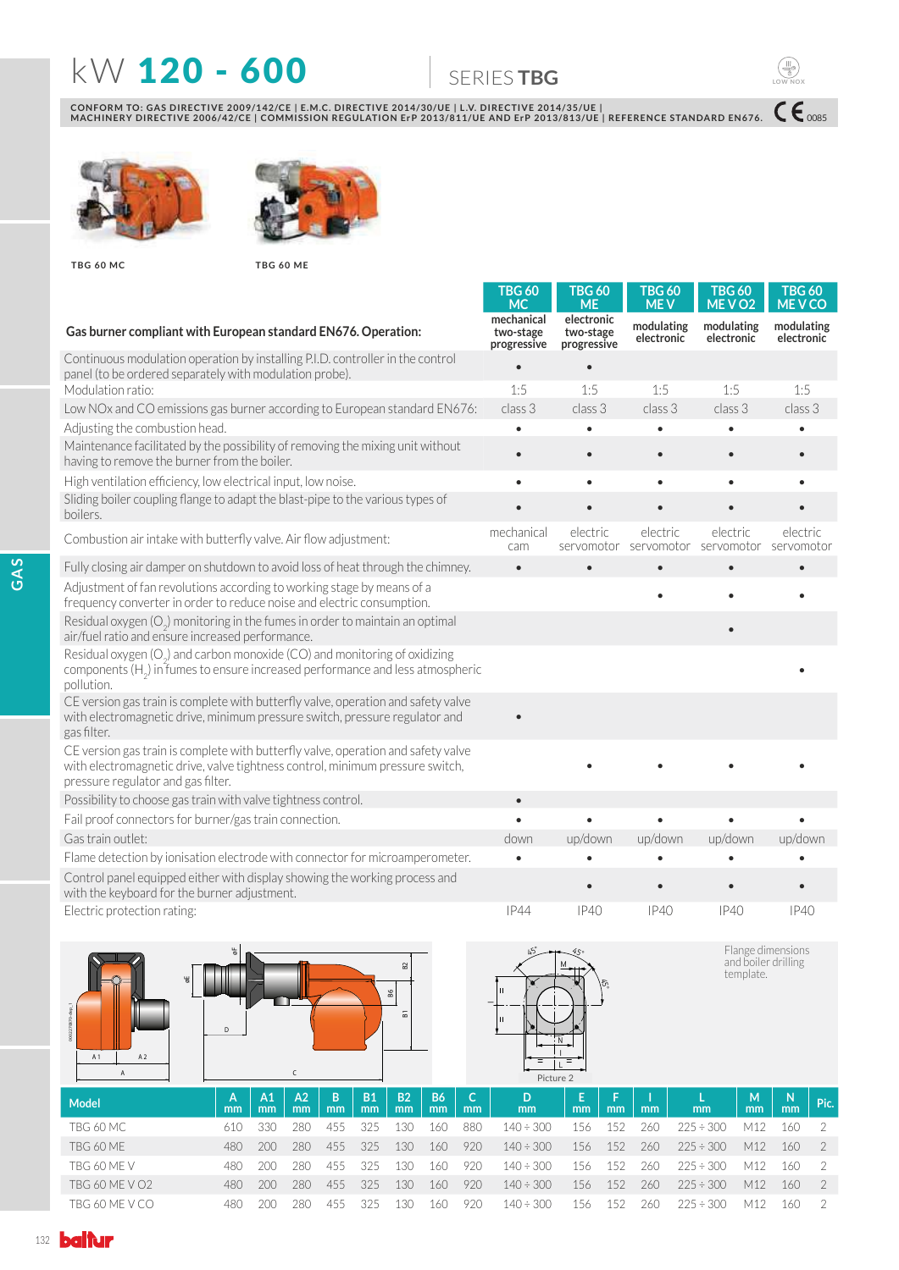# **KW 120 - 600 6600 SERIESTBG**

 $ce$ <sub>0085</sub>

**LOW NOX**

CONFORM TO: GAS DIRECTIVE 2009/142/CE | E.M.C. DIRECTIVE 2014/30/UE | L.V. DIRECTIVE 2014/35/UE |<br>MACHINERY DIRECTIVE 2006/42/CE | COMMISSION REGULATION ErP 2013/811/UE AND ErP 2013/813/UE | REFERENCE STANDARD EN676.





**TBG 60 MC TBG 60 ME**

|                                                                                                                                                                                                          | TBG 60<br><b>MC</b>                    | <b>TBG 60</b><br><b>ME</b>             | <b>TBG 60</b><br><b>MEV</b> | <b>TBG 60</b><br>MEVO <sub>2</sub>                      | TBG 60<br><b>MEVCO</b>   |
|----------------------------------------------------------------------------------------------------------------------------------------------------------------------------------------------------------|----------------------------------------|----------------------------------------|-----------------------------|---------------------------------------------------------|--------------------------|
| Gas burner compliant with European standard EN676. Operation:                                                                                                                                            | mechanical<br>two-stage<br>progressive | electronic<br>two-stage<br>progressive | modulating<br>electronic    | modulating<br>electronic                                | modulating<br>electronic |
| Continuous modulation operation by installing P.I.D. controller in the control<br>panel (to be ordered separately with modulation probe).                                                                |                                        |                                        |                             |                                                         |                          |
| Modulation ratio:                                                                                                                                                                                        | 1:5                                    | 1:5                                    | 1:5                         | 1:5                                                     | 1:5                      |
| Low NOx and CO emissions gas burner according to European standard EN676:                                                                                                                                | class 3                                | class 3                                | class 3                     | class 3                                                 | class 3                  |
| Adjusting the combustion head.                                                                                                                                                                           |                                        | $\bullet$                              | $\bullet$                   | $\bullet$                                               |                          |
| Maintenance facilitated by the possibility of removing the mixing unit without<br>having to remove the burner from the boiler.                                                                           |                                        | $\bullet$                              | $\bullet$                   | $\bullet$                                               |                          |
| High ventilation efficiency, low electrical input, low noise.                                                                                                                                            | $\bullet$                              | $\bullet$                              | $\bullet$                   | $\bullet$                                               |                          |
| Sliding boiler coupling flange to adapt the blast-pipe to the various types of<br>boilers.                                                                                                               |                                        |                                        |                             |                                                         |                          |
| Combustion air intake with butterfly valve. Air flow adjustment:                                                                                                                                         | mechanical<br>cam                      | electric                               | electric                    | electric<br>servomotor servomotor servomotor servomotor | electric                 |
| Fully closing air damper on shutdown to avoid loss of heat through the chimney.                                                                                                                          | $\bullet$                              |                                        | $\bullet$                   | $\bullet$                                               | $\bullet$                |
| Adjustment of fan revolutions according to working stage by means of a<br>frequency converter in order to reduce noise and electric consumption.                                                         |                                        |                                        |                             | $\bullet$                                               |                          |
| Residual oxygen $(O_2)$ monitoring in the fumes in order to maintain an optimal<br>air/fuel ratio and ensure increased performance.                                                                      |                                        |                                        |                             |                                                         |                          |
| Residual oxygen (O <sub>2</sub> ) and carbon monoxide (CO) and monitoring of oxidizing<br>components $(H2)$ in fumes to ensure increased performance and less atmospheric<br>pollution.                  |                                        |                                        |                             |                                                         |                          |
| CE version gas train is complete with butterfly valve, operation and safety valve<br>with electromagnetic drive, minimum pressure switch, pressure regulator and<br>gas filter.                          |                                        |                                        |                             |                                                         |                          |
| CE version gas train is complete with butterfly valve, operation and safety valve<br>with electromagnetic drive, valve tightness control, minimum pressure switch,<br>pressure regulator and gas filter. |                                        |                                        |                             |                                                         |                          |
| Possibility to choose gas train with valve tightness control.                                                                                                                                            | $\bullet$                              |                                        |                             |                                                         |                          |
| Fail proof connectors for burner/gas train connection.                                                                                                                                                   |                                        |                                        |                             | $\bullet$                                               |                          |
| Gas train outlet:                                                                                                                                                                                        | down                                   | up/down                                | up/down                     | up/down                                                 | up/down                  |
| Flame detection by ionisation electrode with connector for microamperometer.                                                                                                                             |                                        |                                        |                             |                                                         |                          |
| Control panel equipped either with display showing the working process and<br>with the keyboard for the burner adjustment.                                                                               |                                        |                                        |                             |                                                         |                          |
| Electric protection rating:                                                                                                                                                                              | IP44                                   | IP40                                   | IP40                        | IP40                                                    | IP40                     |
|                                                                                                                                                                                                          |                                        |                                        |                             |                                                         |                          |



| Model          | A<br>mm | A1<br>mm | AA <sub>2</sub><br>mm | B<br>mm | <b>B1</b><br><sub>mm</sub> | <b>B2</b><br>mm | <b>B6</b><br>mm | mm  | mm             | mm  | mm  | mm  | mm             | м<br>mm | -N<br>mm | Pic. |
|----------------|---------|----------|-----------------------|---------|----------------------------|-----------------|-----------------|-----|----------------|-----|-----|-----|----------------|---------|----------|------|
| TBG 60 MC      | 610     | 330      | 280                   | 455     | 325                        | 130             | 160             | 880 | $140 \div 300$ | 156 | 152 | 260 | $225 \div 300$ | M12     | 160      |      |
| TBG 60 ME      | 480     | 200      | 280                   | 455     | 325                        | 130             | 160             | 920 | $140 \div 300$ | 156 | 152 | 260 | $225 \div 300$ | M12     | 160      |      |
| TBG 60 ME V    | 480     | 200      | 280.                  | 455     | 325                        | 130             | 160.            | 920 | $140 \div 300$ | 156 | 152 | 260 | $225 \div 300$ | M12     | 160      |      |
| TBG 60 ME V O2 | 480     | 200      | 280                   | 455     | 325                        | 130             | 160             | 920 | $140 \div 300$ | 156 | 152 | 260 | $225 \div 300$ | M12     | 160      |      |
| TBG 60 ME V CO | 480     | 200.     | 280.                  | 455     | 325                        | 30              | 160             | 920 | $140 \div 300$ | 156 | 152 | 260 | $225 \div 300$ | M12     | 160      |      |

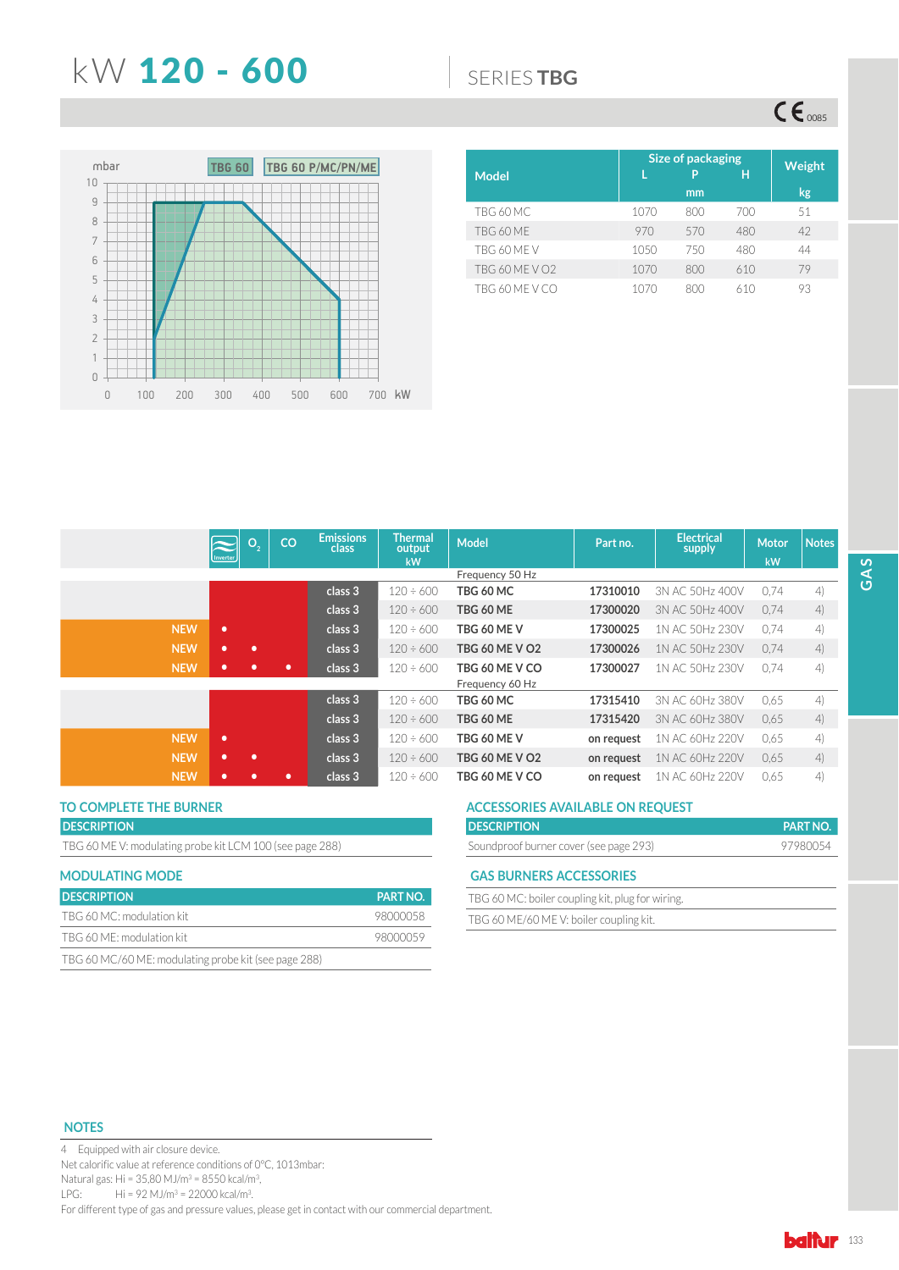## **KW 120 - 600 6600 6** SERIES TBG

 $\mathsf{CE}_{\mathrm{0085}}$ 



|                       | <b>Size of packaging</b> | Weight  |     |    |
|-----------------------|--------------------------|---------|-----|----|
| <b>Model</b>          |                          | P<br>mm | н   |    |
|                       |                          |         |     | kg |
| TBG 60 MC             | 1070                     | 800     | 700 | 51 |
| TBG 60 ME             | 970                      | 570     | 480 | 42 |
| TBG 60 MF V           | 1050                     | 750     | 480 | 44 |
| <b>TBG 60 ME V O2</b> | 1070                     | 800     | 610 | 79 |
| TBG 60 ME V CO        | 1070                     | 800     | 610 | 93 |

|            | Inverter  | O <sub>2</sub> | CO        | <b>Emissions</b><br>class | Thermal<br>output | <b>Model</b>          | Part no.   | <b>Electrical</b><br>supply | <b>Motor</b> | <b>Notes</b> |
|------------|-----------|----------------|-----------|---------------------------|-------------------|-----------------------|------------|-----------------------------|--------------|--------------|
|            |           |                |           |                           | <b>kW</b>         | Frequency 50 Hz       |            |                             | kW           |              |
|            |           |                |           | class 3                   | $120 \div 600$    | TBG 60 MC             | 17310010   | 3N AC 50Hz 400V             | 0.74         | 4)           |
|            |           |                |           | class 3                   | $120 \div 600$    | TBG 60 ME             | 17300020   | 3N AC 50Hz 400V             | 0.74         | 4)           |
| <b>NEW</b> | $\bullet$ |                |           | class 3                   | $120 \div 600$    | TBG 60 ME V           | 17300025   | 1N AC 50Hz 230V             | 0.74         | 4)           |
| <b>NEW</b> | ۰         | ٠              |           | class 3                   | $120 \div 600$    | <b>TBG 60 ME V O2</b> | 17300026   | 1N AC 50Hz 230V             | 0.74         | 4)           |
| <b>NEW</b> | ۰         |                | ۰         | class 3                   | $120 \div 600$    | TBG 60 ME V CO        | 17300027   | 1N AC 50Hz 230V             | 0.74         | 4)           |
|            |           |                |           |                           |                   | Frequency 60 Hz       |            |                             |              |              |
|            |           |                |           | class 3                   | $120 \div 600$    | TBG 60 MC             | 17315410   | 3N AC 60Hz 380V             | 0.65         | 4)           |
|            |           |                |           | class 3                   | $120 \div 600$    | TBG 60 ME             | 17315420   | 3N AC 60Hz 380V             | 0.65         | 4)           |
| <b>NEW</b> | ٠         |                |           | class 3                   | $120 \div 600$    | TBG 60 ME V           | on request | 1N AC 60Hz 220V             | 0.65         | 4)           |
| <b>NEW</b> | ۰         | ٠              |           | class 3                   | $120 \div 600$    | TBG 60 ME V O2        | on request | 1N AC 60Hz 220V             | 0.65         | 4)           |
| <b>NEW</b> | ۰         |                | $\bullet$ | class 3                   | $120 \div 600$    | TBG 60 ME V CO        | on request | 1N AC 60Hz 220V             | 0,65         | 4)           |

## **DESCRIPTION**

TBG 60 ME V: modulating probe kit LCM 100 (see page 288)

| <b>MODULATING MODE</b>                               |                 |
|------------------------------------------------------|-----------------|
| <b>DESCRIPTION</b>                                   | <b>PART NO.</b> |
| TBG 60 MC: modulation kit                            | 98000058        |
| TBG 60 ME: modulation kit                            | 98000059        |
| TBG 60 MC/60 ME: modulating probe kit (see page 288) |                 |

## TO COMPLETE THE BURNER **THE SURNER ACCESSORIES AVAILABLE ON REQUEST**

| <b>PART NO.</b> |
|-----------------|
| 97980054        |
|                 |
|                 |

### **GAS BURNERS ACCESSORIES**

| TBG 60 MC: boiler coupling kit, plug for wiring. |  |
|--------------------------------------------------|--|
| TBG 60 ME/60 MEV: boiler coupling kit.           |  |

### **NOTES**

4 Equipped with air closure device. Net calorific value at reference conditions of 0°C, 1013mbar: Natural gas: Hi = 35,80 MJ/m<sup>3</sup> = 8550 kcal/m<sup>3</sup>, LPG: Hi = 92 MJ/m<sup>3</sup> = 22000 kcal/m<sup>3</sup>. For different type of gas and pressure values, please get in contact with our commercial department.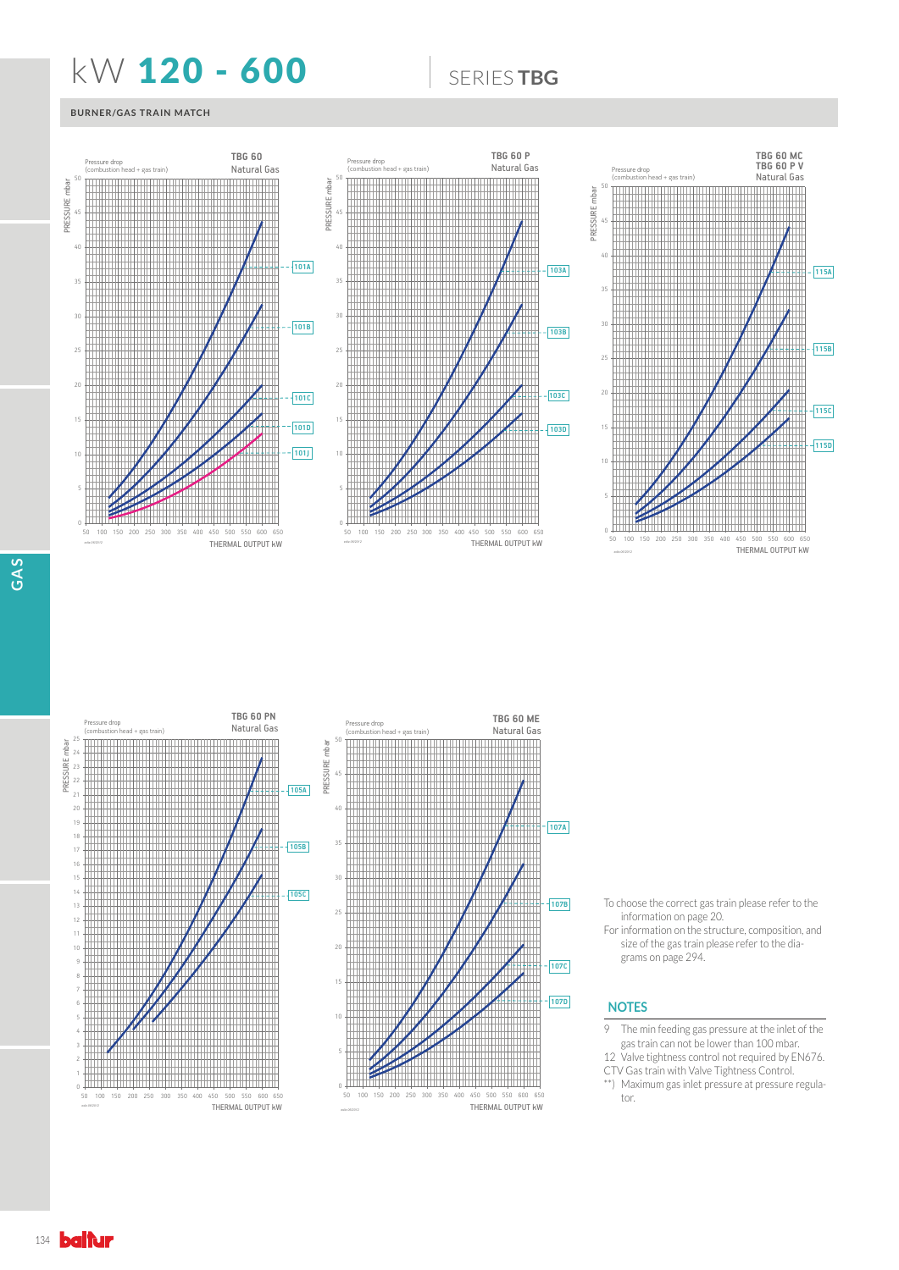## **KW 120 - 600 6600 SERIESTBG**

### **BURNER/GAS TRAIN MATCH**





- To choose the correct gas train please refer to the information on page 20.
- For information on the structure, composition, and size of the gas train please refer to the diagrams on page 294.

### **NOTES**

- 9 The min feeding gas pressure at the inlet of the gas train can not be lower than 100 mbar.
- 12 Valve tightness control not required by EN676.
- CTV Gas train with Valve Tightness Control. \*\*) Maximum gas inlet pressure at pressure regula-
- tor.

134 **baltur**